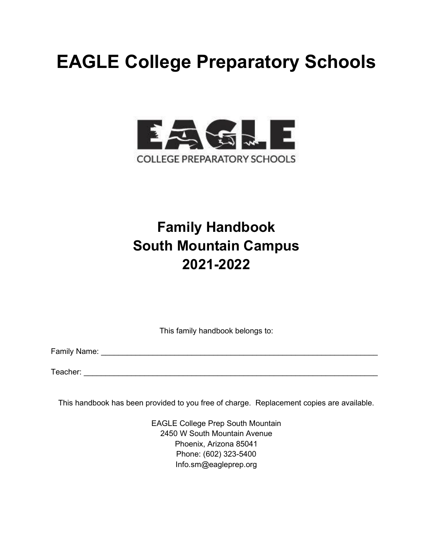# **EAGLE College Preparatory Schools**



# **Family Handbook South Mountain Campus 2021-2022**

This family handbook belongs to:

Family Name: \_\_\_\_\_\_\_\_\_\_\_\_\_\_\_\_\_\_\_\_\_\_\_\_\_\_\_\_\_\_\_\_\_\_\_\_\_\_\_\_\_\_\_\_\_\_\_\_\_\_\_\_\_\_\_\_\_\_\_\_\_\_\_\_

Teacher: **with the set of the set of the set of the set of the set of the set of the set of the set of the set of the set of the set of the set of the set of the set of the set of the set of the set of the set of the set o** 

This handbook has been provided to you free of charge. Replacement copies are available.

EAGLE College Prep South Mountain 2450 W South Mountain Avenue Phoenix, Arizona 85041 Phone: (602) 323-5400 Info.sm@eagleprep.org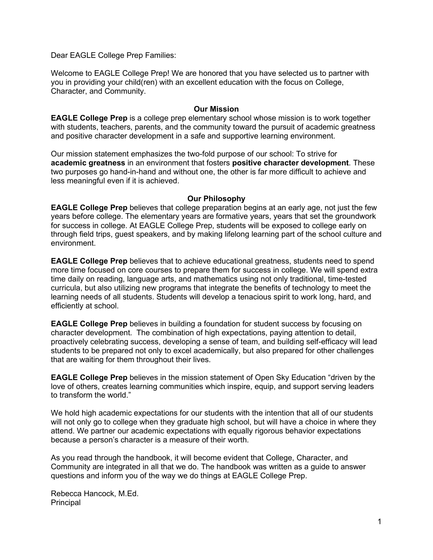Dear EAGLE College Prep Families:

Welcome to EAGLE College Prep! We are honored that you have selected us to partner with you in providing your child(ren) with an excellent education with the focus on College, Character, and Community.

#### **Our Mission**

**EAGLE College Prep** is a college prep elementary school whose mission is to work together with students, teachers, parents, and the community toward the pursuit of academic greatness and positive character development in a safe and supportive learning environment.

Our mission statement emphasizes the two-fold purpose of our school: To strive for **academic greatness** in an environment that fosters **positive character development***.* These two purposes go hand-in-hand and without one, the other is far more difficult to achieve and less meaningful even if it is achieved.

#### **Our Philosophy**

**EAGLE College Prep** believes that college preparation begins at an early age, not just the few years before college. The elementary years are formative years, years that set the groundwork for success in college. At EAGLE College Prep, students will be exposed to college early on through field trips, guest speakers, and by making lifelong learning part of the school culture and environment.

**EAGLE College Prep** believes that to achieve educational greatness, students need to spend more time focused on core courses to prepare them for success in college. We will spend extra time daily on reading, language arts, and mathematics using not only traditional, time-tested curricula, but also utilizing new programs that integrate the benefits of technology to meet the learning needs of all students. Students will develop a tenacious spirit to work long, hard, and efficiently at school.

**EAGLE College Prep** believes in building a foundation for student success by focusing on character development. The combination of high expectations, paying attention to detail, proactively celebrating success, developing a sense of team, and building self-efficacy will lead students to be prepared not only to excel academically, but also prepared for other challenges that are waiting for them throughout their lives.

**EAGLE College Prep** believes in the mission statement of Open Sky Education "driven by the love of others, creates learning communities which inspire, equip, and support serving leaders to transform the world."

We hold high academic expectations for our students with the intention that all of our students will not only go to college when they graduate high school, but will have a choice in where they attend. We partner our academic expectations with equally rigorous behavior expectations because a person's character is a measure of their worth.

As you read through the handbook, it will become evident that College, Character, and Community are integrated in all that we do. The handbook was written as a guide to answer questions and inform you of the way we do things at EAGLE College Prep.

Rebecca Hancock, M.Ed. Principal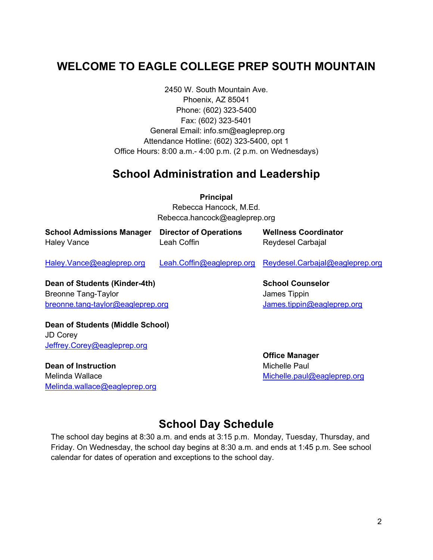# **WELCOME TO EAGLE COLLEGE PREP SOUTH MOUNTAIN**

2450 W. South Mountain Ave. Phoenix, AZ 85041 Phone: (602) 323-5400 Fax: (602) 323-5401 General Email: info.sm@eagleprep.org Attendance Hotline: (602) 323-5400, opt 1 Office Hours: 8:00 a.m.- 4:00 p.m. (2 p.m. on Wednesdays)

### **School Administration and Leadership**

**Principal** Rebecca Hancock, M.Ed. Rebecca.hancock@eagleprep.org

| <b>School Admissions Manager</b> Director of Operations |             | <b>Wellness Coordinator</b> |
|---------------------------------------------------------|-------------|-----------------------------|
| <b>Haley Vance</b>                                      | Leah Coffin | Reydesel Carbajal           |
|                                                         |             |                             |

[Haley.Vance@eagleprep.org](mailto:Haley.Vance@eagleprep.org) [Leah.Coffin@eagleprep.org](mailto:Leah.Coffin@eagleprep.org) [Reydesel.Carbajal@eagleprep.org](mailto:Reydesel.Carbajal@eagleprep.org)

**Dean of Students (Kinder-4th)** Breonne Tang-Taylor [breonne.tang-taylor@eagleprep.org](mailto:breonne.tang-taylor@eagleprep.org) **School Counselor** James Tippin [James.tippin@eagleprep.org](mailto:James.tippin@eagleprep.org)

**Dean of Students (Middle School)** JD Corey [Jeffrey.Corey@eagleprep.org](mailto:Jeffrey.Corey@eagleprep.org)

**Dean of Instruction** Melinda Wallace [Melinda.wallace@eagleprep.org](mailto:Melinda.wallace@eagleprep.org) **Office Manager** Michelle Paul [Michelle.paul@eagleprep.org](mailto:Michelle.paul@eagleprep.org)

# **School Day Schedule**

The school day begins at 8:30 a.m. and ends at 3:15 p.m. Monday, Tuesday, Thursday, and Friday. On Wednesday, the school day begins at 8:30 a.m. and ends at 1:45 p.m. See school calendar for dates of operation and exceptions to the school day.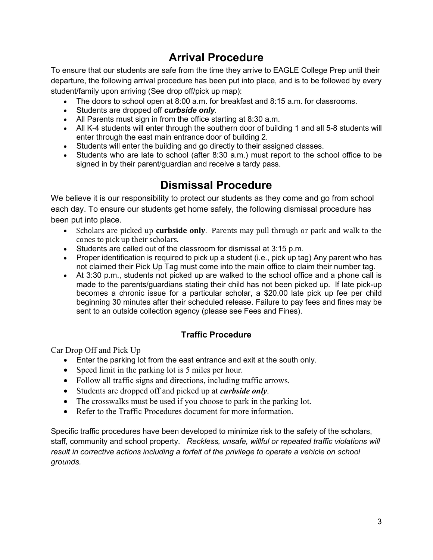# **Arrival Procedure**

To ensure that our students are safe from the time they arrive to EAGLE College Prep until their departure, the following arrival procedure has been put into place, and is to be followed by every student/family upon arriving (See drop off/pick up map):

- The doors to school open at 8:00 a.m. for breakfast and 8:15 a.m. for classrooms.
- Students are dropped off *curbside only*.
- All Parents must sign in from the office starting at 8:30 a.m.
- All K-4 students will enter through the southern door of building 1 and all 5-8 students will enter through the east main entrance door of building 2.
- Students will enter the building and go directly to their assigned classes.
- Students who are late to school (after 8:30 a.m.) must report to the school office to be signed in by their parent/guardian and receive a tardy pass.

# **Dismissal Procedure**

We believe it is our responsibility to protect our students as they come and go from school each day. To ensure our students get home safely, the following dismissal procedure has been put into place.

- Scholars are picked up **curbside only**. Parents may pull through or park and walk to the cones to pick up their scholars.
- Students are called out of the classroom for dismissal at 3:15 p.m.
- Proper identification is required to pick up a student (i.e., pick up tag) Any parent who has not claimed their Pick Up Tag must come into the main office to claim their number tag.
- At 3:30 p.m., students not picked up are walked to the school office and a phone call is made to the parents/guardians stating their child has not been picked up. If late pick-up becomes a chronic issue for a particular scholar, a \$20.00 late pick up fee per child beginning 30 minutes after their scheduled release. Failure to pay fees and fines may be sent to an outside collection agency (please see Fees and Fines).

#### **Traffic Procedure**

Car Drop Off and Pick Up

- Enter the parking lot from the east entrance and exit at the south only.
- Speed limit in the parking lot is 5 miles per hour.
- Follow all traffic signs and directions, including traffic arrows.
- Students are dropped off and picked up at *curbside only*.
- The crosswalks must be used if you choose to park in the parking lot.
- Refer to the Traffic Procedures document for more information.

Specific traffic procedures have been developed to minimize risk to the safety of the scholars, staff, community and school property. *Reckless, unsafe, willful or repeated traffic violations will result in corrective actions including a forfeit of the privilege to operate a vehicle on school grounds.*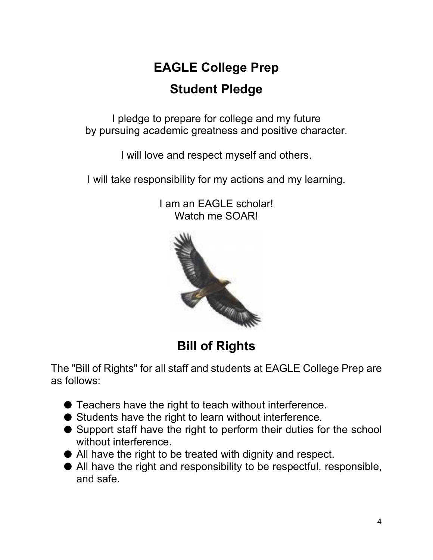# **EAGLE College Prep Student Pledge**

I pledge to prepare for college and my future by pursuing academic greatness and positive character.

I will love and respect myself and others.

I will take responsibility for my actions and my learning.



I am an EAGLE scholar! Watch me SOAR!

The "Bill of Rights" for all staff and students at EAGLE College Prep are as follows:

- Teachers have the right to teach without interference.
- Students have the right to learn without interference.
- Support staff have the right to perform their duties for the school without interference.
- All have the right to be treated with dignity and respect.
- All have the right and responsibility to be respectful, responsible, and safe.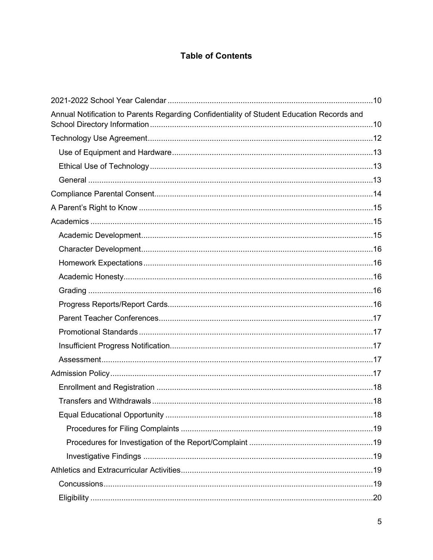### **Table of Contents**

| Annual Notification to Parents Regarding Confidentiality of Student Education Records and |  |
|-------------------------------------------------------------------------------------------|--|
|                                                                                           |  |
|                                                                                           |  |
|                                                                                           |  |
|                                                                                           |  |
|                                                                                           |  |
|                                                                                           |  |
|                                                                                           |  |
|                                                                                           |  |
|                                                                                           |  |
|                                                                                           |  |
|                                                                                           |  |
|                                                                                           |  |
|                                                                                           |  |
|                                                                                           |  |
|                                                                                           |  |
|                                                                                           |  |
|                                                                                           |  |
|                                                                                           |  |
|                                                                                           |  |
|                                                                                           |  |
|                                                                                           |  |
|                                                                                           |  |
|                                                                                           |  |
|                                                                                           |  |
|                                                                                           |  |
|                                                                                           |  |
|                                                                                           |  |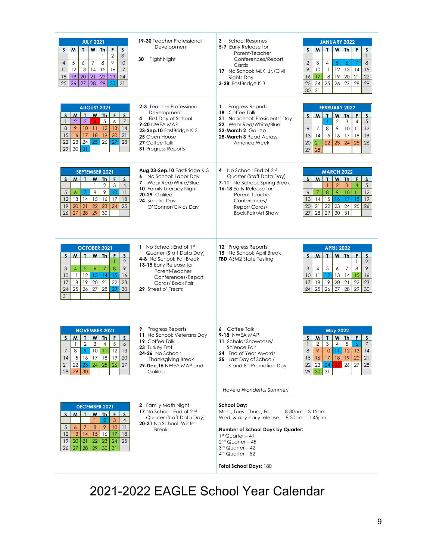| <b>JULY 2021</b><br><u>T W Th</u><br>F<br><sub>S</sub><br>M<br>S.<br>$\overline{2}$<br>$\mathfrak{Z}$<br>1<br>8<br>$\mathcal{P}$<br>10<br>5<br>$\overline{7}$<br>$\overline{4}$<br>6<br>11<br>12<br>14<br>15<br>13<br>16<br>17<br>18<br>19<br>20<br>21<br>22<br>23<br>24<br>30<br>26<br>27<br>28<br>29<br>31<br>25                                                                       | <b>19-30</b> Teacher Professional<br>Development<br>30 Flight Night                                                                                                                           | <b>School Resumes</b><br>3<br>5-7 Early Release for<br>Parent-Teacher<br>Conferences/Report<br>Cards<br>17 No School: MLK, Jr./Civil<br><b>Rights Day</b><br>3-28 FastBridge K-3                                                 | <b>JANUARY 2022</b><br>$W$ Th<br>F<br>$S$ $M$ $T$<br>$\mathbf{s}$<br>$\mathbf{1}$<br>$\,8\,$<br>$\overline{2}$<br>3<br>5<br>$\overline{4}$<br>7<br>6<br>9<br>$10\,$<br>11<br>12<br>13<br>15<br>14<br>18<br>19<br>22<br>16<br>17<br>20<br>21<br>25<br>26<br>27<br>28<br>29<br>24<br>23<br>31<br>30                                 |
|------------------------------------------------------------------------------------------------------------------------------------------------------------------------------------------------------------------------------------------------------------------------------------------------------------------------------------------------------------------------------------------|-----------------------------------------------------------------------------------------------------------------------------------------------------------------------------------------------|----------------------------------------------------------------------------------------------------------------------------------------------------------------------------------------------------------------------------------|-----------------------------------------------------------------------------------------------------------------------------------------------------------------------------------------------------------------------------------------------------------------------------------------------------------------------------------|
| <b>AUGUST 2021</b><br>T I<br>$W$ Th<br>S<br>M<br>F<br>$\mathbf{s}$<br>3<br>5<br>$\overline{7}$<br>$\overline{2}$<br>6<br>$\mathbf{1}$<br>$\overline{4}$<br>9<br>10 <sup>°</sup><br>12<br>13<br>8<br>11<br>14<br>17<br>18<br>19<br>20<br>21<br>15<br>16<br>24<br>25<br>26<br>23<br>27<br>28<br>22<br>29<br>31<br>30 <sup>°</sup>                                                          | 2-3 Teacher Professional<br>Development<br>First Day of School<br>4<br><b>9-20 NWEA MAP</b><br>23-Sep.10 FastBridge K-3<br>25 Open House<br>27 Coffee Talk<br>31 Progress Reports             | Progress Reports<br>1<br>18 Coffee Talk<br>21 No School: Presidents' Day<br>22 Wear Red/White/Blue<br>22-March 2 Galileo<br>28-March 3 Read Across<br>America Week                                                               | <b>FEBRUARY 2022</b><br>$\mathbf{r}$<br>$W$ Th<br>S<br>M<br>F<br>S.<br>$\overline{2}$<br>$\sqrt{5}$<br>3<br>$\overline{4}$<br>$\mathbf{1}$<br>9<br>12<br>$\overline{7}$<br>8<br>10<br>11<br>6<br>15<br>13<br>14<br>16<br>17<br>18<br>19<br>22<br>23<br>25<br>26<br>20<br>21<br>24<br>27<br>28                                     |
| <b>SEPTEMBER 2021</b><br>$S$ $M$ $\overline{I}$<br>$W$ Th $F$ $S$<br>$\mathsf 3$<br>$\mathbf{1}$<br>$\overline{2}$<br>$\overline{4}$<br>8<br>$\sqrt{5}$<br>$\overline{9}$<br>10 <sup>1</sup><br>11<br>$\epsilon$<br>7<br>13 14 <br>12<br>15<br>16<br>17<br>18<br>25<br>20<br>21<br>22<br>23<br>24<br>19<br>28<br>29<br>26<br>27<br>30                                                    | Aug.23-Sep.10 FastBridge K-3<br>6 No School: Labor Day<br>7 Wear Red/White/Blue<br>10 Family Literacy Night<br><b>20-29 Galileo</b><br>24 Sandra Day<br>O'Connor/Civics Day                   | No School: End of 3rd<br>4<br>Quarter (Staff Data Day)<br>7-11 No School: Spring Break<br>16-18 Early Release for<br>Parent-Teacher<br>Conferences/<br>Report Cards/<br><b>Book Fair/Art Show</b>                                | <b>MARCH 2022</b><br>$W$ Th<br>F.<br>$S$ $M$<br>$\mathbf{r}$<br>$\mathsf{s}$<br>$\overline{2}$<br>3<br>$\sqrt{5}$<br>$\overline{4}$<br>$\mathbf{1}$<br>$\bf8$<br>$\,9$<br>$\overline{7}$<br>10<br>12<br>6<br>11<br>15<br>19<br>14<br>16<br>17<br>18<br>13<br>22<br>23<br>24<br>25<br>26<br>20<br>21<br>28<br>29<br>31<br>27<br>30 |
| <b>OCTOBER 2021</b><br>w <sub>1</sub><br><b>Th</b><br>$S$   M<br>T<br>F<br><sub>S</sub><br>$\overline{2}$<br>8<br>$\overline{5}$<br>9<br>3<br>$\boldsymbol{6}$<br>7<br>4<br>12<br>13<br>14<br>15<br>16<br>10<br>11<br>19<br>20<br>21<br>17<br>18<br>22<br>23<br>26<br>27<br>28<br>29<br>24<br>25<br>30<br>31                                                                             | 1 No School: End of 1st<br>Quarter (Staff Data Day)<br>4-8 No School: Fall Break<br>13-15 Early Release for<br>Parent-Teacher<br>Conferences/Report<br>Cards/Book Fair<br>29 Street o' Treats | 12 Progress Reports<br>15 No School: April Break<br><b>TBD</b> AZM2 State Testing                                                                                                                                                | <b>APRIL 2022</b><br>$W$ Th<br>M<br>$\mathbf{r}$<br>F<br>S<br>S<br>$\overline{2}$<br>$\mathbf{1}$<br>5<br>9<br>3<br>8<br>4<br>6<br>7<br>12<br>15<br>$16\,$<br>11<br>13<br>10<br>14<br>$19$<br>21<br>18<br>20<br>22<br>23<br>17<br>26<br>27<br>25<br>28<br>29<br>24<br>30                                                          |
| <b>NOVEMBER 2021</b><br>$\mathbf{r}$<br>F<br>$\mathsf{S}$<br>M I<br>WITh<br>S<br>$\overline{2}$<br>$\ensuremath{\mathsf{3}}$<br>$\sqrt{5}$<br>$\overline{4}$<br>$\epsilon$<br>$\mathbf{1}$<br>9   10   11   12   13<br>8 <sup>1</sup><br>7 <sup>7</sup><br>20<br>15 16<br>$18$   19 <br> 4<br>17 <sup>2</sup><br>$22 \mid 23 \mid$<br>24<br>25<br>27<br>21<br>26<br>$28 \mid 29 \mid 30$ | Progress Reports<br>9<br>11 No School: Veterans Day<br>19 Coffee Talk<br>23 Turkey Trot<br>24-26 No School:<br><b>Thanksgiving Break</b><br>29-Dec.15 NWEA MAP and<br>Galileo                 | 6 Coffee Talk<br>9-18 NWEA MAP<br>11 Scholar Showcase/<br>Science Fair<br><b>24</b> End of Year Awards<br>25 Last Day of School/<br>K and 8 <sup>th</sup> Promotion Day<br>Have a Wonderful Summer!                              | <b>May 2022</b><br>W Th<br>M<br>$\mathbf{T}$<br>F.<br>S.<br>S<br>$\overline{2}$<br>3<br>$\overline{4}$<br>5<br>$\overline{7}$<br>$\mathbf{1}$<br>$\overline{6}$<br>8 9 10 11 12 13 14<br>20<br>21<br>15<br>17<br>19<br>16<br>18<br>25<br>26<br>23<br>24<br>22<br>27<br>28<br>$29 \mid 30 \mid 31$                                 |
| <b>DECEMBER 2021</b><br>$\mathbf{I}$<br>$S_{-}$<br>M<br>$W$ Ih<br>上<br>$\mathsf{s}$<br>$\mathbf{3}$<br>$\overline{2}$<br>$\overline{4}$<br>-1<br>10<br>$\overline{7}$<br>8<br>9<br>11<br>5<br>6<br>12<br>14<br>15<br>13<br>16<br>17<br>18<br>23<br>20 21<br>22<br>24<br>25<br>19<br>28<br>$29 \mid 30 \mid 31$<br>27 <sup>1</sup><br>26                                                  | 2 Family Math Night<br>17 No School: End of 2 <sup>nd</sup><br>Quarter (Staff Data Day)<br>20-31 No School: Winter<br><b>Break</b>                                                            | <b>School Day:</b><br>Mon., Tues., Thurs., Fri.<br>Wed. & any early release<br>Number of School Days by Quarter:<br>$1st$ Quarter - 41<br>$2nd$ Quarter - 45<br>3rd Quarter - 42<br>$4th$ Quarter - 52<br>Total School Days: 180 | $8:30$ am – $3:15$ pm<br>$8:30$ am - 1:45pm                                                                                                                                                                                                                                                                                       |

2021-2022 EAGLE School Year Calendar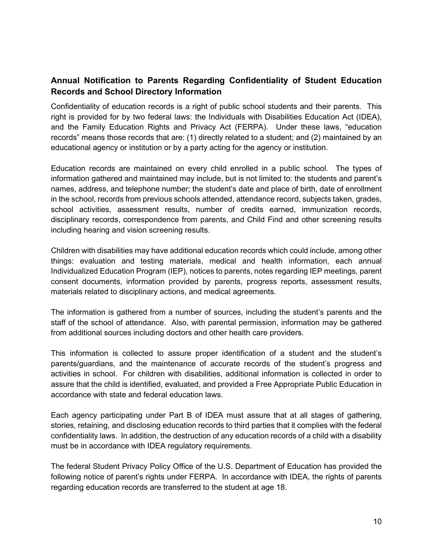#### <span id="page-10-1"></span><span id="page-10-0"></span>**Annual Notification to Parents Regarding Confidentiality of Student Education Records and School Directory Information**

Confidentiality of education records is a right of public school students and their parents. This right is provided for by two federal laws: the Individuals with Disabilities Education Act (IDEA), and the Family Education Rights and Privacy Act (FERPA). Under these laws, "education records" means those records that are: (1) directly related to a student; and (2) maintained by an educational agency or institution or by a party acting for the agency or institution.

Education records are maintained on every child enrolled in a public school. The types of information gathered and maintained may include, but is not limited to: the students and parent's names, address, and telephone number; the student's date and place of birth, date of enrollment in the school, records from previous schools attended, attendance record, subjects taken, grades, school activities, assessment results, number of credits earned, immunization records, disciplinary records, correspondence from parents, and Child Find and other screening results including hearing and vision screening results.

Children with disabilities may have additional education records which could include, among other things: evaluation and testing materials, medical and health information, each annual Individualized Education Program (IEP), notices to parents, notes regarding IEP meetings, parent consent documents, information provided by parents, progress reports, assessment results, materials related to disciplinary actions, and medical agreements.

The information is gathered from a number of sources, including the student's parents and the staff of the school of attendance. Also, with parental permission, information may be gathered from additional sources including doctors and other health care providers.

This information is collected to assure proper identification of a student and the student's parents/guardians, and the maintenance of accurate records of the student's progress and activities in school. For children with disabilities, additional information is collected in order to assure that the child is identified, evaluated, and provided a Free Appropriate Public Education in accordance with state and federal education laws.

Each agency participating under Part B of IDEA must assure that at all stages of gathering, stories, retaining, and disclosing education records to third parties that it complies with the federal confidentiality laws. In addition, the destruction of any education records of a child with a disability must be in accordance with IDEA regulatory requirements.

The federal Student Privacy Policy Office of the U.S. Department of Education has provided the following notice of parent's rights under FERPA. In accordance with IDEA, the rights of parents regarding education records are transferred to the student at age 18.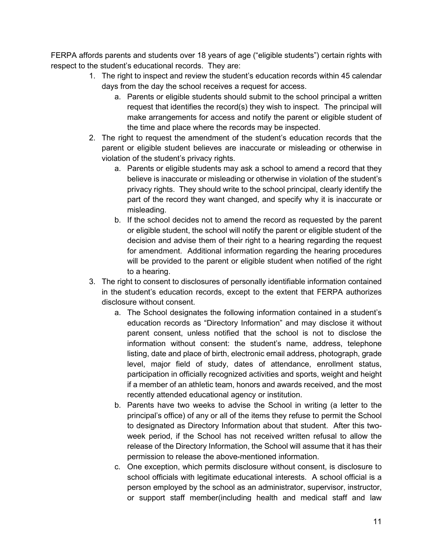FERPA affords parents and students over 18 years of age ("eligible students") certain rights with respect to the student's educational records. They are:

- 1. The right to inspect and review the student's education records within 45 calendar days from the day the school receives a request for access.
	- a. Parents or eligible students should submit to the school principal a written request that identifies the record(s) they wish to inspect. The principal will make arrangements for access and notify the parent or eligible student of the time and place where the records may be inspected.
- 2. The right to request the amendment of the student's education records that the parent or eligible student believes are inaccurate or misleading or otherwise in violation of the student's privacy rights.
	- a. Parents or eligible students may ask a school to amend a record that they believe is inaccurate or misleading or otherwise in violation of the student's privacy rights. They should write to the school principal, clearly identify the part of the record they want changed, and specify why it is inaccurate or misleading.
	- b. If the school decides not to amend the record as requested by the parent or eligible student, the school will notify the parent or eligible student of the decision and advise them of their right to a hearing regarding the request for amendment. Additional information regarding the hearing procedures will be provided to the parent or eligible student when notified of the right to a hearing.
- 3. The right to consent to disclosures of personally identifiable information contained in the student's education records, except to the extent that FERPA authorizes disclosure without consent.
	- a. The School designates the following information contained in a student's education records as "Directory Information" and may disclose it without parent consent, unless notified that the school is not to disclose the information without consent: the student's name, address, telephone listing, date and place of birth, electronic email address, photograph, grade level, major field of study, dates of attendance, enrollment status, participation in officially recognized activities and sports, weight and height if a member of an athletic team, honors and awards received, and the most recently attended educational agency or institution.
	- b. Parents have two weeks to advise the School in writing (a letter to the principal's office) of any or all of the items they refuse to permit the School to designated as Directory Information about that student. After this twoweek period, if the School has not received written refusal to allow the release of the Directory Information, the School will assume that it has their permission to release the above-mentioned information.
	- c. One exception, which permits disclosure without consent, is disclosure to school officials with legitimate educational interests. A school official is a person employed by the school as an administrator, supervisor, instructor, or support staff member(including health and medical staff and law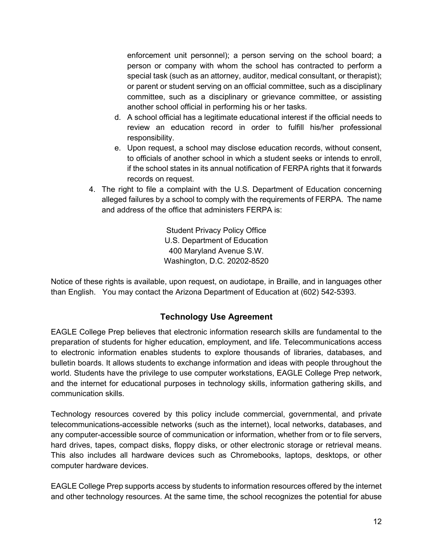enforcement unit personnel); a person serving on the school board; a person or company with whom the school has contracted to perform a special task (such as an attorney, auditor, medical consultant, or therapist); or parent or student serving on an official committee, such as a disciplinary committee, such as a disciplinary or grievance committee, or assisting another school official in performing his or her tasks.

- d. A school official has a legitimate educational interest if the official needs to review an education record in order to fulfill his/her professional responsibility.
- e. Upon request, a school may disclose education records, without consent, to officials of another school in which a student seeks or intends to enroll, if the school states in its annual notification of FERPA rights that it forwards records on request.
- 4. The right to file a complaint with the U.S. Department of Education concerning alleged failures by a school to comply with the requirements of FERPA. The name and address of the office that administers FERPA is:

Student Privacy Policy Office U.S. Department of Education 400 Maryland Avenue S.W. Washington, D.C. 20202-8520

<span id="page-12-0"></span>Notice of these rights is available, upon request, on audiotape, in Braille, and in languages other than English. You may contact the Arizona Department of Education at (602) 542-5393.

#### **Technology Use Agreement**

EAGLE College Prep believes that electronic information research skills are fundamental to the preparation of students for higher education, employment, and life. Telecommunications access to electronic information enables students to explore thousands of libraries, databases, and bulletin boards. It allows students to exchange information and ideas with people throughout the world. Students have the privilege to use computer workstations, EAGLE College Prep network, and the internet for educational purposes in technology skills, information gathering skills, and communication skills.

Technology resources covered by this policy include commercial, governmental, and private telecommunications-accessible networks (such as the internet), local networks, databases, and any computer-accessible source of communication or information, whether from or to file servers, hard drives, tapes, compact disks, floppy disks, or other electronic storage or retrieval means. This also includes all hardware devices such as Chromebooks, laptops, desktops, or other computer hardware devices.

EAGLE College Prep supports access by students to information resources offered by the internet and other technology resources. At the same time, the school recognizes the potential for abuse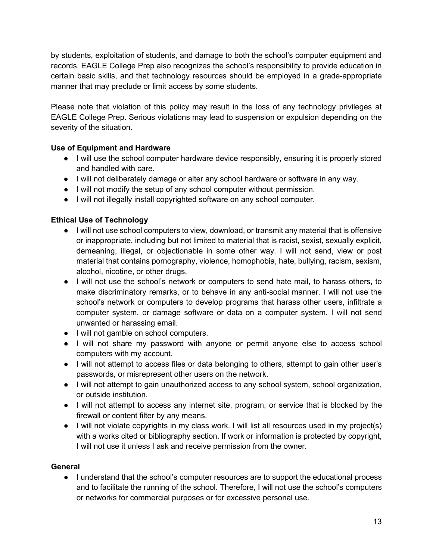by students, exploitation of students, and damage to both the school's computer equipment and records. EAGLE College Prep also recognizes the school's responsibility to provide education in certain basic skills, and that technology resources should be employed in a grade-appropriate manner that may preclude or limit access by some students.

Please note that violation of this policy may result in the loss of any technology privileges at EAGLE College Prep. Serious violations may lead to suspension or expulsion depending on the severity of the situation.

#### <span id="page-13-0"></span>**Use of Equipment and Hardware**

- I will use the school computer hardware device responsibly, ensuring it is properly stored and handled with care.
- I will not deliberately damage or alter any school hardware or software in any way.
- I will not modify the setup of any school computer without permission.
- I will not illegally install copyrighted software on any school computer.

#### <span id="page-13-1"></span>**Ethical Use of Technology**

- I will not use school computers to view, download, or transmit any material that is offensive or inappropriate, including but not limited to material that is racist, sexist, sexually explicit, demeaning, illegal, or objectionable in some other way. I will not send, view or post material that contains pornography, violence, homophobia, hate, bullying, racism, sexism, alcohol, nicotine, or other drugs.
- I will not use the school's network or computers to send hate mail, to harass others, to make discriminatory remarks, or to behave in any anti-social manner. I will not use the school's network or computers to develop programs that harass other users, infiltrate a computer system, or damage software or data on a computer system. I will not send unwanted or harassing email.
- I will not gamble on school computers.
- I will not share my password with anyone or permit anyone else to access school computers with my account.
- I will not attempt to access files or data belonging to others, attempt to gain other user's passwords, or misrepresent other users on the network.
- I will not attempt to gain unauthorized access to any school system, school organization, or outside institution.
- I will not attempt to access any internet site, program, or service that is blocked by the firewall or content filter by any means.
- I will not violate copyrights in my class work. I will list all resources used in my project(s) with a works cited or bibliography section. If work or information is protected by copyright, I will not use it unless I ask and receive permission from the owner.

#### <span id="page-13-2"></span>**General**

● I understand that the school's computer resources are to support the educational process and to facilitate the running of the school. Therefore, I will not use the school's computers or networks for commercial purposes or for excessive personal use.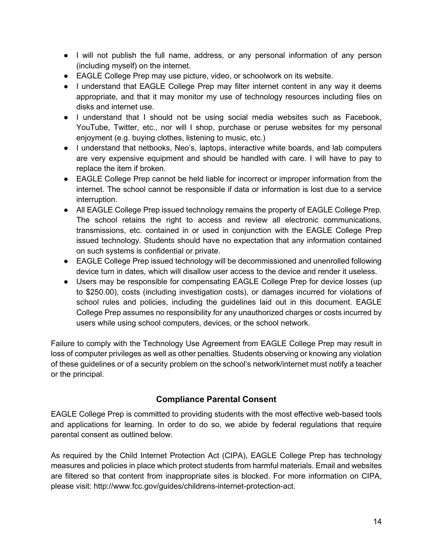- I will not publish the full name, address, or any personal information of any person (including myself) on the internet.
- EAGLE College Prep may use picture, video, or schoolwork on its website.
- I understand that EAGLE College Prep may filter internet content in any way it deems appropriate, and that it may monitor my use of technology resources including files on disks and internet use.
- I understand that I should not be using social media websites such as Facebook, YouTube, Twitter, etc., nor will I shop, purchase or peruse websites for my personal enjoyment (e.g. buying clothes, listening to music, etc.)
- I understand that netbooks, Neo's, laptops, interactive white boards, and lab computers are very expensive equipment and should be handled with care. I will have to pay to replace the item if broken.
- EAGLE College Prep cannot be held liable for incorrect or improper information from the internet. The school cannot be responsible if data or information is lost due to a service interruption.
- All EAGLE College Prep issued technology remains the property of EAGLE College Prep. The school retains the right to access and review all electronic communications, transmissions, etc. contained in or used in conjunction with the EAGLE College Prep issued technology. Students should have no expectation that any information contained on such systems is confidential or private.
- EAGLE College Prep issued technology will be decommissioned and unenrolled following device turn in dates, which will disallow user access to the device and render it useless.
- Users may be responsible for compensating EAGLE College Prep for device losses (up to \$250.00), costs (including investigation costs), or damages incurred for violations of school rules and policies, including the guidelines laid out in this document. EAGLE College Prep assumes no responsibility for any unauthorized charges or costs incurred by users while using school computers, devices, or the school network.

Failure to comply with the Technology Use Agreement from EAGLE College Prep may result in loss of computer privileges as well as other penalties. Students observing or knowing any violation of these guidelines or of a security problem on the school's network/internet must notify a teacher or the principal.

#### **Compliance Parental Consent**

<span id="page-14-0"></span>EAGLE College Prep is committed to providing students with the most effective web-based tools and applications for learning. In order to do so, we abide by federal regulations that require parental consent as outlined below.

As required by the Child Internet Protection Act (CIPA), EAGLE College Prep has technology measures and policies in place which protect students from harmful materials. Email and websites are filtered so that content from inappropriate sites is blocked. For more information on CIPA, please visit: http://www.fcc.gov/guides/childrens-internet-protection-act.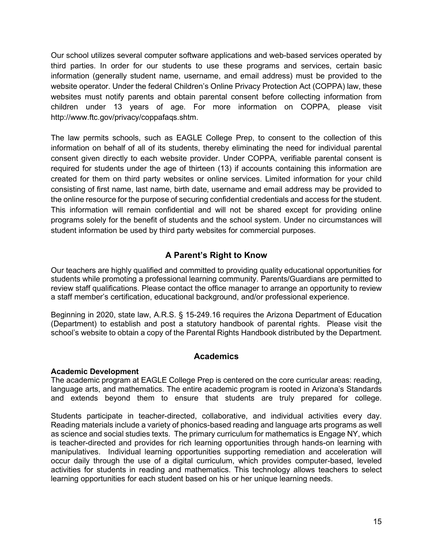Our school utilizes several computer software applications and web-based services operated by third parties. In order for our students to use these programs and services, certain basic information (generally student name, username, and email address) must be provided to the website operator. Under the federal Children's Online Privacy Protection Act (COPPA) law, these websites must notify parents and obtain parental consent before collecting information from children under 13 years of age. For more information on COPPA, please visit http://www.ftc.gov/privacy/coppafaqs.shtm.

The law permits schools, such as EAGLE College Prep, to consent to the collection of this information on behalf of all of its students, thereby eliminating the need for individual parental consent given directly to each website provider. Under COPPA, verifiable parental consent is required for students under the age of thirteen (13) if accounts containing this information are created for them on third party websites or online services. Limited information for your child consisting of first name, last name, birth date, username and email address may be provided to the online resource for the purpose of securing confidential credentials and access for the student. This information will remain confidential and will not be shared except for providing online programs solely for the benefit of students and the school system. Under no circumstances will student information be used by third party websites for commercial purposes.

#### **A Parent's Right to Know**

<span id="page-15-0"></span>Our teachers are highly qualified and committed to providing quality educational opportunities for students while promoting a professional learning community. Parents/Guardians are permitted to review staff qualifications. Please contact the office manager to arrange an opportunity to review a staff member's certification, educational background, and/or professional experience.

<span id="page-15-1"></span>Beginning in 2020, state law, A.R.S. § 15-249.16 requires the Arizona Department of Education (Department) to establish and post a statutory handbook of parental rights. Please visit the school's website to obtain a copy of the Parental Rights Handbook distributed by the Department.

#### **Academics**

#### <span id="page-15-2"></span>**Academic Development**

The academic program at EAGLE College Prep is centered on the core curricular areas: reading, language arts, and mathematics. The entire academic program is rooted in Arizona's Standards and extends beyond them to ensure that students are truly prepared for college.

Students participate in teacher-directed, collaborative, and individual activities every day. Reading materials include a variety of phonics-based reading and language arts programs as well as science and social studies texts. The primary curriculum for mathematics is Engage NY, which is teacher-directed and provides for rich learning opportunities through hands-on learning with manipulatives. Individual learning opportunities supporting remediation and acceleration will occur daily through the use of a digital curriculum, which provides computer-based, leveled activities for students in reading and mathematics. This technology allows teachers to select learning opportunities for each student based on his or her unique learning needs.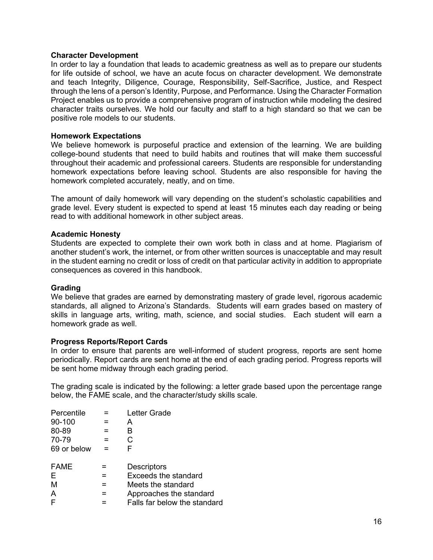#### <span id="page-16-0"></span>**Character Development**

In order to lay a foundation that leads to academic greatness as well as to prepare our students for life outside of school, we have an acute focus on character development. We demonstrate and teach Integrity, Diligence, Courage, Responsibility, Self-Sacrifice, Justice, and Respect through the lens of a person's Identity, Purpose, and Performance. Using the Character Formation Project enables us to provide a comprehensive program of instruction while modeling the desired character traits ourselves. We hold our faculty and staff to a high standard so that we can be positive role models to our students.

#### <span id="page-16-1"></span>**Homework Expectations**

We believe homework is purposeful practice and extension of the learning. We are building college-bound students that need to build habits and routines that will make them successful throughout their academic and professional careers. Students are responsible for understanding homework expectations before leaving school. Students are also responsible for having the homework completed accurately, neatly, and on time.

The amount of daily homework will vary depending on the student's scholastic capabilities and grade level. Every student is expected to spend at least 15 minutes each day reading or being read to with additional homework in other subject areas.

#### <span id="page-16-2"></span>**Academic Honesty**

Students are expected to complete their own work both in class and at home. Plagiarism of another student's work, the internet, or from other written sources is unacceptable and may result in the student earning no credit or loss of credit on that particular activity in addition to appropriate consequences as covered in this handbook.

#### <span id="page-16-3"></span>**Grading**

We believe that grades are earned by demonstrating mastery of grade level, rigorous academic standards, all aligned to Arizona's Standards. Students will earn grades based on mastery of skills in language arts, writing, math, science, and social studies. Each student will earn a homework grade as well.

#### <span id="page-16-4"></span>**Progress Reports/Report Cards**

In order to ensure that parents are well-informed of student progress, reports are sent home periodically. Report cards are sent home at the end of each grading period. Progress reports will be sent home midway through each grading period.

The grading scale is indicated by the following: a letter grade based upon the percentage range below, the FAME scale, and the character/study skills scale.

| Percentile  |     | Letter Grade                 |
|-------------|-----|------------------------------|
| 90-100      |     | A                            |
| 80-89       |     | B                            |
| 70-79       |     | С                            |
| 69 or below | $=$ | F                            |
|             |     |                              |
| <b>FAME</b> |     | <b>Descriptors</b>           |
| Е           |     | Exceeds the standard         |
| М           | =   | Meets the standard           |
| A           | =   | Approaches the standard      |
| F           |     | Falls far below the standard |
|             |     |                              |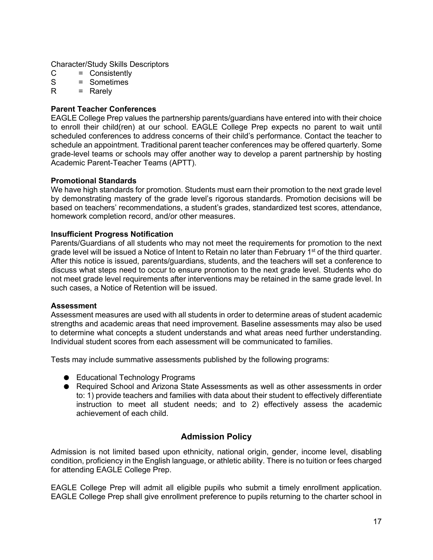Character/Study Skills Descriptors

- C = Consistently<br>S = Sometimes
- S = Sometimes<br>R = Rarely
- $=$  Rarely

#### <span id="page-17-0"></span>**Parent Teacher Conferences**

EAGLE College Prep values the partnership parents/guardians have entered into with their choice to enroll their child(ren) at our school. EAGLE College Prep expects no parent to wait until scheduled conferences to address concerns of their child's performance. Contact the teacher to schedule an appointment. Traditional parent teacher conferences may be offered quarterly. Some grade-level teams or schools may offer another way to develop a parent partnership by hosting Academic Parent-Teacher Teams (APTT).

#### <span id="page-17-1"></span>**Promotional Standards**

We have high standards for promotion. Students must earn their promotion to the next grade level by demonstrating mastery of the grade level's rigorous standards. Promotion decisions will be based on teachers' recommendations, a student's grades, standardized test scores, attendance, homework completion record, and/or other measures.

#### <span id="page-17-2"></span>**Insufficient Progress Notification**

Parents/Guardians of all students who may not meet the requirements for promotion to the next grade level will be issued a Notice of Intent to Retain no later than February  $1<sup>st</sup>$  of the third quarter. After this notice is issued, parents/guardians, students, and the teachers will set a conference to discuss what steps need to occur to ensure promotion to the next grade level. Students who do not meet grade level requirements after interventions may be retained in the same grade level. In such cases, a Notice of Retention will be issued.

#### <span id="page-17-3"></span>**Assessment**

Assessment measures are used with all students in order to determine areas of student academic strengths and academic areas that need improvement. Baseline assessments may also be used to determine what concepts a student understands and what areas need further understanding. Individual student scores from each assessment will be communicated to families.

Tests may include summative assessments published by the following programs:

- Educational Technology Programs
- Required School and Arizona State Assessments as well as other assessments in order to: 1) provide teachers and families with data about their student to effectively differentiate instruction to meet all student needs; and to 2) effectively assess the academic achievement of each child.

#### **Admission Policy**

<span id="page-17-4"></span>Admission is not limited based upon ethnicity, national origin, gender, income level, disabling condition, proficiency in the English language, or athletic ability. There is no tuition or fees charged for attending EAGLE College Prep.

EAGLE College Prep will admit all eligible pupils who submit a timely enrollment application. EAGLE College Prep shall give enrollment preference to pupils returning to the charter school in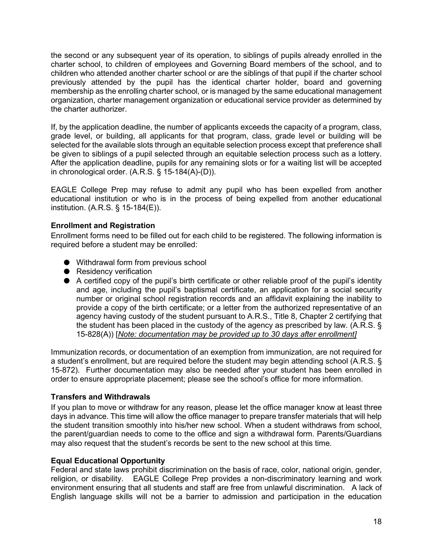the second or any subsequent year of its operation, to siblings of pupils already enrolled in the charter school, to children of employees and Governing Board members of the school, and to children who attended another charter school or are the siblings of that pupil if the charter school previously attended by the pupil has the identical charter holder, board and governing membership as the enrolling charter school, or is managed by the same educational management organization, charter management organization or educational service provider as determined by the charter authorizer.

If, by the application deadline, the number of applicants exceeds the capacity of a program, class, grade level, or building, all applicants for that program, class, grade level or building will be selected for the available slots through an equitable selection process except that preference shall be given to siblings of a pupil selected through an equitable selection process such as a lottery. After the application deadline, pupils for any remaining slots or for a waiting list will be accepted in chronological order. (A.R.S. § 15-184(A)-(D)).

EAGLE College Prep may refuse to admit any pupil who has been expelled from another educational institution or who is in the process of being expelled from another educational institution. (A.R.S. § 15-184(E)).

#### <span id="page-18-0"></span>**Enrollment and Registration**

Enrollment forms need to be filled out for each child to be registered. The following information is required before a student may be enrolled:

- Withdrawal form from previous school
- Residency verification
- A certified copy of the pupil's birth certificate or other reliable proof of the pupil's identity and age, including the pupil's baptismal certificate, an application for a social security number or original school registration records and an affidavit explaining the inability to provide a copy of the birth certificate; or a letter from the authorized representative of an agency having custody of the student pursuant to A.R.S., Title 8, Chapter 2 certifying that the student has been placed in the custody of the agency as prescribed by law. (A.R.S. § 15-828(A)) [*Note: documentation may be provided up to 30 days after enrollment]*

Immunization records, or documentation of an exemption from immunization, are not required for a student's enrollment, but are required before the student may begin attending school (A.R.S. § 15-872). Further documentation may also be needed after your student has been enrolled in order to ensure appropriate placement; please see the school's office for more information.

#### <span id="page-18-1"></span>**Transfers and Withdrawals**

If you plan to move or withdraw for any reason, please let the office manager know at least three days in advance. This time will allow the office manager to prepare transfer materials that will help the student transition smoothly into his/her new school. When a student withdraws from school, the parent/guardian needs to come to the office and sign a withdrawal form. Parents/Guardians may also request that the student's records be sent to the new school at this time.

#### <span id="page-18-2"></span>**Equal Educational Opportunity**

Federal and state laws prohibit discrimination on the basis of race, color, national origin, gender, religion, or disability. EAGLE College Prep provides a non-discriminatory learning and work environment ensuring that all students and staff are free from unlawful discrimination. A lack of English language skills will not be a barrier to admission and participation in the education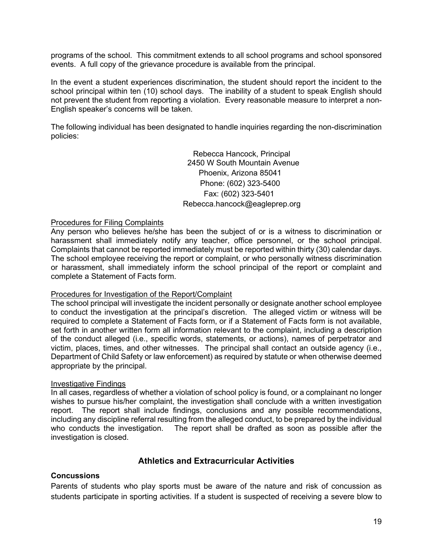programs of the school. This commitment extends to all school programs and school sponsored events. A full copy of the grievance procedure is available from the principal.

In the event a student experiences discrimination, the student should report the incident to the school principal within ten (10) school days. The inability of a student to speak English should not prevent the student from reporting a violation. Every reasonable measure to interpret a non-English speaker's concerns will be taken.

The following individual has been designated to handle inquiries regarding the non-discrimination policies:

> Rebecca Hancock, Principal 2450 W South Mountain Avenue Phoenix, Arizona 85041 Phone: (602) 323-5400 Fax: (602) 323-5401 Rebecca.hancock@eagleprep.org

#### <span id="page-19-0"></span>Procedures for Filing Complaints

Any person who believes he/she has been the subject of or is a witness to discrimination or harassment shall immediately notify any teacher, office personnel, or the school principal. Complaints that cannot be reported immediately must be reported within thirty (30) calendar days. The school employee receiving the report or complaint, or who personally witness discrimination or harassment, shall immediately inform the school principal of the report or complaint and complete a Statement of Facts form.

#### <span id="page-19-1"></span>Procedures for Investigation of the Report/Complaint

The school principal will investigate the incident personally or designate another school employee to conduct the investigation at the principal's discretion. The alleged victim or witness will be required to complete a Statement of Facts form, or if a Statement of Facts form is not available, set forth in another written form all information relevant to the complaint, including a description of the conduct alleged (i.e., specific words, statements, or actions), names of perpetrator and victim, places, times, and other witnesses. The principal shall contact an outside agency (i.e., Department of Child Safety or law enforcement) as required by statute or when otherwise deemed appropriate by the principal.

#### <span id="page-19-2"></span>Investigative Findings

In all cases, regardless of whether a violation of school policy is found, or a complainant no longer wishes to pursue his/her complaint, the investigation shall conclude with a written investigation report. The report shall include findings, conclusions and any possible recommendations, including any discipline referral resulting from the alleged conduct, to be prepared by the individual The report shall be drafted as soon as possible after the investigation is closed.

#### **Athletics and Extracurricular Activities**

#### <span id="page-19-4"></span><span id="page-19-3"></span>**Concussions**

Parents of students who play sports must be aware of the nature and risk of concussion as students participate in sporting activities. If a student is suspected of receiving a severe blow to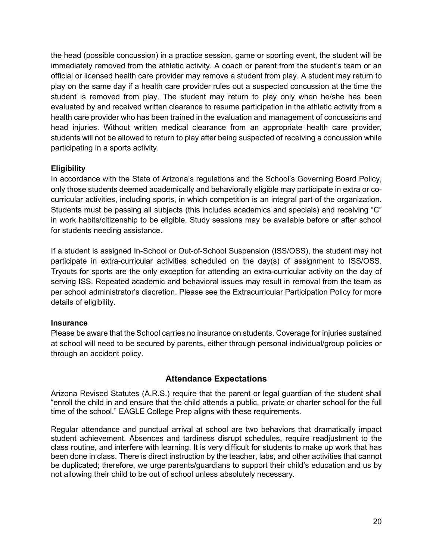the head (possible concussion) in a practice session, game or sporting event, the student will be immediately removed from the athletic activity. A coach or parent from the student's team or an official or licensed health care provider may remove a student from play. A student may return to play on the same day if a health care provider rules out a suspected concussion at the time the student is removed from play. The student may return to play only when he/she has been evaluated by and received written clearance to resume participation in the athletic activity from a health care provider who has been trained in the evaluation and management of concussions and head injuries. Without written medical clearance from an appropriate health care provider, students will not be allowed to return to play after being suspected of receiving a concussion while participating in a sports activity.

#### <span id="page-20-0"></span>**Eligibility**

In accordance with the State of Arizona's regulations and the School's Governing Board Policy, only those students deemed academically and behaviorally eligible may participate in extra or cocurricular activities, including sports, in which competition is an integral part of the organization. Students must be passing all subjects (this includes academics and specials) and receiving "C" in work habits/citizenship to be eligible. Study sessions may be available before or after school for students needing assistance.

If a student is assigned In-School or Out-of-School Suspension (ISS/OSS), the student may not participate in extra-curricular activities scheduled on the day(s) of assignment to ISS/OSS. Tryouts for sports are the only exception for attending an extra-curricular activity on the day of serving ISS. Repeated academic and behavioral issues may result in removal from the team as per school administrator's discretion. Please see the Extracurricular Participation Policy for more details of eligibility.

#### <span id="page-20-1"></span>**Insurance**

<span id="page-20-2"></span>Please be aware that the School carries no insurance on students. Coverage for injuries sustained at school will need to be secured by parents, either through personal individual/group policies or through an accident policy.

#### **Attendance Expectations**

Arizona Revised Statutes (A.R.S.) require that the parent or legal guardian of the student shall "enroll the child in and ensure that the child attends a public, private or charter school for the full time of the school." EAGLE College Prep aligns with these requirements.

Regular attendance and punctual arrival at school are two behaviors that dramatically impact student achievement. Absences and tardiness disrupt schedules, require readjustment to the class routine, and interfere with learning. It is very difficult for students to make up work that has been done in class. There is direct instruction by the teacher, labs, and other activities that cannot be duplicated; therefore, we urge parents/guardians to support their child's education and us by not allowing their child to be out of school unless absolutely necessary.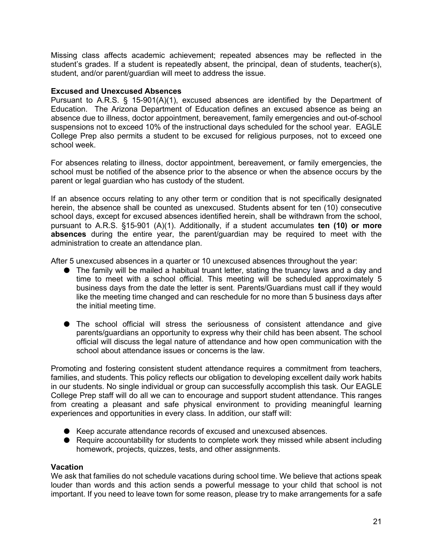Missing class affects academic achievement; repeated absences may be reflected in the student's grades. If a student is repeatedly absent, the principal, dean of students, teacher(s), student, and/or parent/guardian will meet to address the issue.

#### <span id="page-21-0"></span>**Excused and Unexcused Absences**

Pursuant to A.R.S. § 15-901(A)(1), excused absences are identified by the Department of Education. The Arizona Department of Education defines an excused absence as being an absence due to illness, doctor appointment, bereavement, family emergencies and out-of-school suspensions not to exceed 10% of the instructional days scheduled for the school year. EAGLE College Prep also permits a student to be excused for religious purposes, not to exceed one school week.

For absences relating to illness, doctor appointment, bereavement, or family emergencies, the school must be notified of the absence prior to the absence or when the absence occurs by the parent or legal guardian who has custody of the student.

If an absence occurs relating to any other term or condition that is not specifically designated herein, the absence shall be counted as unexcused. Students absent for ten (10) consecutive school days, except for excused absences identified herein, shall be withdrawn from the school, pursuant to A.R.S. §15-901 (A)(1). Additionally, if a student accumulates **ten (10) or more absences** during the entire year, the parent/guardian may be required to meet with the administration to create an attendance plan.

After 5 unexcused absences in a quarter or 10 unexcused absences throughout the year:

- The family will be mailed a habitual truant letter, stating the truancy laws and a day and time to meet with a school official. This meeting will be scheduled approximately 5 business days from the date the letter is sent. Parents/Guardians must call if they would like the meeting time changed and can reschedule for no more than 5 business days after the initial meeting time.
- The school official will stress the seriousness of consistent attendance and give parents/guardians an opportunity to express why their child has been absent. The school official will discuss the legal nature of attendance and how open communication with the school about attendance issues or concerns is the law.

Promoting and fostering consistent student attendance requires a commitment from teachers, families, and students. This policy reflects our obligation to developing excellent daily work habits in our students. No single individual or group can successfully accomplish this task. Our EAGLE College Prep staff will do all we can to encourage and support student attendance. This ranges from creating a pleasant and safe physical environment to providing meaningful learning experiences and opportunities in every class. In addition, our staff will:

- Keep accurate attendance records of excused and unexcused absences.
- Require accountability for students to complete work they missed while absent including homework, projects, quizzes, tests, and other assignments.

#### <span id="page-21-1"></span>**Vacation**

We ask that families do not schedule vacations during school time. We believe that actions speak louder than words and this action sends a powerful message to your child that school is not important. If you need to leave town for some reason, please try to make arrangements for a safe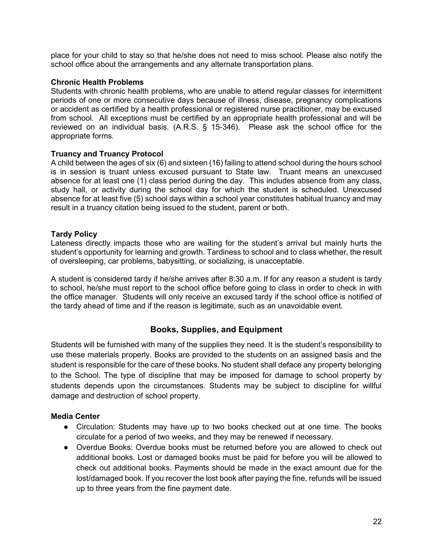place for your child to stay so that he/she does not need to miss school. Please also notify the school office about the arrangements and any alternate transportation plans.

#### <span id="page-22-0"></span>**Chronic Health Problems**

Students with chronic health problems, who are unable to attend regular classes for intermittent periods of one or more consecutive days because of illness, disease, pregnancy complications or accident as certified by a health professional or registered nurse practitioner, may be excused from school. All exceptions must be certified by an appropriate health professional and will be reviewed on an individual basis. (A.R.S. § 15-346). Please ask the school office for the appropriate forms.

#### <span id="page-22-1"></span>**Truancy and Truancy Protocol**

A child between the ages of six (6) and sixteen (16) failing to attend school during the hours school is in session is truant unless excused pursuant to State law. Truant means an unexcused absence for at least one (1) class period during the day. This includes absence from any class, study hall, or activity during the school day for which the student is scheduled. Unexcused absence for at least five (5) school days within a school year constitutes habitual truancy and may result in a truancy citation being issued to the student, parent or both.

#### <span id="page-22-2"></span>**Tardy Policy**

Lateness directly impacts those who are waiting for the student's arrival but mainly hurts the student's opportunity for learning and growth. Tardiness to school and to class whether, the result of oversleeping, car problems, babysitting, or socializing, is unacceptable.

A student is considered tardy if he/she arrives after 8:30 a.m. If for any reason a student is tardy to school, he/she must report to the school office before going to class in order to check in with the office manager. Students will only receive an excused tardy if the school office is notified of the tardy ahead of time and if the reason is legitimate, such as an unavoidable event.

#### **Books, Supplies, and Equipment**

<span id="page-22-3"></span>Students will be furnished with many of the supplies they need. It is the student's responsibility to use these materials properly. Books are provided to the students on an assigned basis and the student is responsible for the care of these books. No student shall deface any property belonging to the School. The type of discipline that may be imposed for damage to school property by students depends upon the circumstances. Students may be subject to discipline for willful damage and destruction of school property.

#### <span id="page-22-4"></span>**Media Center**

- Circulation: Students may have up to two books checked out at one time. The books circulate for a period of two weeks, and they may be renewed if necessary.
- Overdue Books: Overdue books must be returned before you are allowed to check out additional books. Lost or damaged books must be paid for before you will be allowed to check out additional books. Payments should be made in the exact amount due for the lost/damaged book. If you recover the lost book after paying the fine, refunds will be issued up to three years from the fine payment date.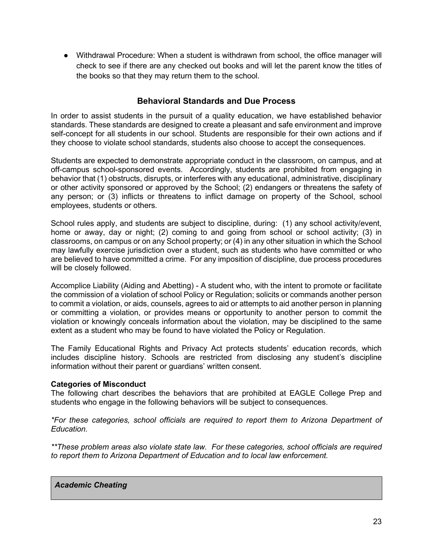● Withdrawal Procedure: When a student is withdrawn from school, the office manager will check to see if there are any checked out books and will let the parent know the titles of the books so that they may return them to the school.

#### **Behavioral Standards and Due Process**

<span id="page-23-0"></span>In order to assist students in the pursuit of a quality education, we have established behavior standards. These standards are designed to create a pleasant and safe environment and improve self-concept for all students in our school. Students are responsible for their own actions and if they choose to violate school standards, students also choose to accept the consequences.

Students are expected to demonstrate appropriate conduct in the classroom, on campus, and at off-campus school-sponsored events. Accordingly, students are prohibited from engaging in behavior that (1) obstructs, disrupts, or interferes with any educational, administrative, disciplinary or other activity sponsored or approved by the School; (2) endangers or threatens the safety of any person; or (3) inflicts or threatens to inflict damage on property of the School, school employees, students or others.

School rules apply, and students are subject to discipline, during: (1) any school activity/event, home or away, day or night; (2) coming to and going from school or school activity; (3) in classrooms, on campus or on any School property; or (4) in any other situation in which the School may lawfully exercise jurisdiction over a student, such as students who have committed or who are believed to have committed a crime. For any imposition of discipline, due process procedures will be closely followed.

Accomplice Liability (Aiding and Abetting) - A student who, with the intent to promote or facilitate the commission of a violation of school Policy or Regulation; solicits or commands another person to commit a violation, or aids, counsels, agrees to aid or attempts to aid another person in planning or committing a violation, or provides means or opportunity to another person to commit the violation or knowingly conceals information about the violation, may be disciplined to the same extent as a student who may be found to have violated the Policy or Regulation.

The Family Educational Rights and Privacy Act protects students' education records, which includes discipline history. Schools are restricted from disclosing any student's discipline information without their parent or guardians' written consent.

#### <span id="page-23-1"></span>**Categories of Misconduct**

The following chart describes the behaviors that are prohibited at EAGLE College Prep and students who engage in the following behaviors will be subject to consequences.

*\*For these categories, school officials are required to report them to Arizona Department of Education.* 

*\*\*These problem areas also violate state law. For these categories, school officials are required to report them to Arizona Department of Education and to local law enforcement.*

#### *Academic Cheating*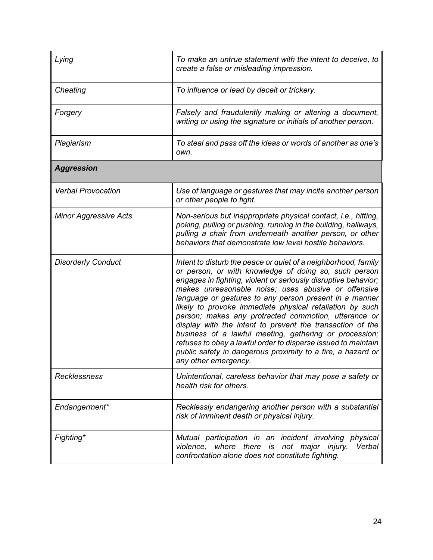| Lying                        | To make an untrue statement with the intent to deceive, to<br>create a false or misleading impression.                                                                                                                                                                                                                                                                                                                                                                                                                                                                                                                                                                                                        |
|------------------------------|---------------------------------------------------------------------------------------------------------------------------------------------------------------------------------------------------------------------------------------------------------------------------------------------------------------------------------------------------------------------------------------------------------------------------------------------------------------------------------------------------------------------------------------------------------------------------------------------------------------------------------------------------------------------------------------------------------------|
| Cheating                     | To influence or lead by deceit or trickery.                                                                                                                                                                                                                                                                                                                                                                                                                                                                                                                                                                                                                                                                   |
| Forgery                      | Falsely and fraudulently making or altering a document,<br>writing or using the signature or initials of another person.                                                                                                                                                                                                                                                                                                                                                                                                                                                                                                                                                                                      |
| Plagiarism                   | To steal and pass off the ideas or words of another as one's<br>own.                                                                                                                                                                                                                                                                                                                                                                                                                                                                                                                                                                                                                                          |
| <b>Aggression</b>            |                                                                                                                                                                                                                                                                                                                                                                                                                                                                                                                                                                                                                                                                                                               |
| <b>Verbal Provocation</b>    | Use of language or gestures that may incite another person<br>or other people to fight.                                                                                                                                                                                                                                                                                                                                                                                                                                                                                                                                                                                                                       |
| <b>Minor Aggressive Acts</b> | Non-serious but inappropriate physical contact, i.e., hitting,<br>poking, pulling or pushing, running in the building, hallways,<br>pulling a chair from underneath another person, or other<br>behaviors that demonstrate low level hostile behaviors.                                                                                                                                                                                                                                                                                                                                                                                                                                                       |
| <b>Disorderly Conduct</b>    | Intent to disturb the peace or quiet of a neighborhood, family<br>or person, or with knowledge of doing so, such person<br>engages in fighting, violent or seriously disruptive behavior;<br>makes unreasonable noise; uses abusive or offensive<br>language or gestures to any person present in a manner<br>likely to provoke immediate physical retaliation by such<br>person; makes any protracted commotion, utterance or<br>display with the intent to prevent the transaction of the<br>business of a lawful meeting, gathering or procession;<br>refuses to obey a lawful order to disperse issued to maintain<br>public safety in dangerous proximity to a fire, a hazard or<br>any other emergency. |
| <b>Recklessness</b>          | Unintentional, careless behavior that may pose a safety or<br>health risk for others.                                                                                                                                                                                                                                                                                                                                                                                                                                                                                                                                                                                                                         |
| Endangerment*                | Recklessly endangering another person with a substantial<br>risk of imminent death or physical injury.                                                                                                                                                                                                                                                                                                                                                                                                                                                                                                                                                                                                        |
| Fighting*                    | Mutual participation in an incident involving physical<br>violence, where there is not major injury.<br>Verbal<br>confrontation alone does not constitute fighting.                                                                                                                                                                                                                                                                                                                                                                                                                                                                                                                                           |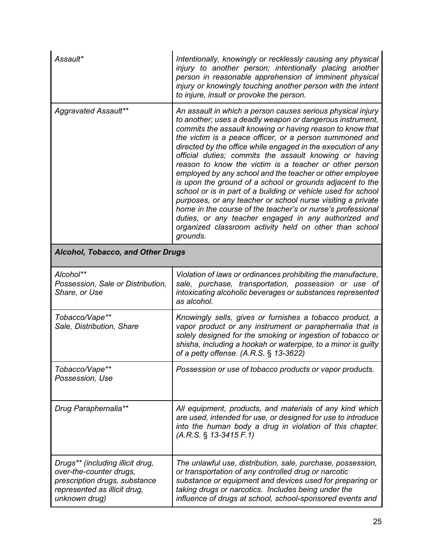| Assault*                                                                                                                                      | Intentionally, knowingly or recklessly causing any physical<br>injury to another person; intentionally placing another<br>person in reasonable apprehension of imminent physical<br>injury or knowingly touching another person with the intent<br>to injure, insult or provoke the person.                                                                                                                                                                                                                                                                                                                                                                                                                                                                                                                                                                                                |
|-----------------------------------------------------------------------------------------------------------------------------------------------|--------------------------------------------------------------------------------------------------------------------------------------------------------------------------------------------------------------------------------------------------------------------------------------------------------------------------------------------------------------------------------------------------------------------------------------------------------------------------------------------------------------------------------------------------------------------------------------------------------------------------------------------------------------------------------------------------------------------------------------------------------------------------------------------------------------------------------------------------------------------------------------------|
| Aggravated Assault**                                                                                                                          | An assault in which a person causes serious physical injury<br>to another; uses a deadly weapon or dangerous instrument,<br>commits the assault knowing or having reason to know that<br>the victim is a peace officer, or a person summoned and<br>directed by the office while engaged in the execution of any<br>official duties; commits the assault knowing or having<br>reason to know the victim is a teacher or other person<br>employed by any school and the teacher or other employee<br>is upon the ground of a school or grounds adjacent to the<br>school or is in part of a building or vehicle used for school<br>purposes, or any teacher or school nurse visiting a private<br>home in the course of the teacher's or nurse's professional<br>duties, or any teacher engaged in any authorized and<br>organized classroom activity held on other than school<br>grounds. |
| <b>Alcohol, Tobacco, and Other Drugs</b>                                                                                                      |                                                                                                                                                                                                                                                                                                                                                                                                                                                                                                                                                                                                                                                                                                                                                                                                                                                                                            |
| Alcohol**<br>Possession, Sale or Distribution,<br>Share, or Use                                                                               | Violation of laws or ordinances prohibiting the manufacture,<br>sale, purchase, transportation, possession or use of<br>intoxicating alcoholic beverages or substances represented<br>as alcohol.                                                                                                                                                                                                                                                                                                                                                                                                                                                                                                                                                                                                                                                                                          |
| Tobacco/Vape**<br>Sale, Distribution, Share                                                                                                   | Knowingly sells, gives or furnishes a tobacco product, a<br>vapor product or any instrument or paraphernalia that is<br>solely designed for the smoking or ingestion of tobacco or<br>shisha, including a hookah or waterpipe, to a minor is guilty<br>of a petty offense. $(A.R.S. \S 13-3622)$                                                                                                                                                                                                                                                                                                                                                                                                                                                                                                                                                                                           |
| Tobacco/Vape**<br>Possession, Use                                                                                                             | Possession or use of tobacco products or vapor products.                                                                                                                                                                                                                                                                                                                                                                                                                                                                                                                                                                                                                                                                                                                                                                                                                                   |
| Drug Paraphernalia**                                                                                                                          | All equipment, products, and materials of any kind which<br>are used, intended for use, or designed for use to introduce<br>into the human body a drug in violation of this chapter.<br>$(A.R.S. \S 13-3415 F.1)$                                                                                                                                                                                                                                                                                                                                                                                                                                                                                                                                                                                                                                                                          |
| Drugs** (including illicit drug,<br>over-the-counter drugs,<br>prescription drugs, substance<br>represented as illicit drug,<br>unknown drug) | The unlawful use, distribution, sale, purchase, possession,<br>or transportation of any controlled drug or narcotic<br>substance or equipment and devices used for preparing or<br>taking drugs or narcotics. Includes being under the<br>influence of drugs at school, school-sponsored events and                                                                                                                                                                                                                                                                                                                                                                                                                                                                                                                                                                                        |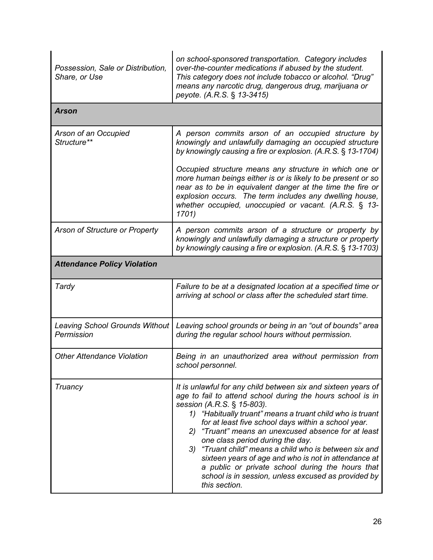| Possession, Sale or Distribution,<br>Share, or Use  | on school-sponsored transportation. Category includes<br>over-the-counter medications if abused by the student.<br>This category does not include tobacco or alcohol. "Drug"<br>means any narcotic drug, dangerous drug, marijuana or<br>peyote. (A.R.S. § 13-3415)                                                                                                                                                                                                                                                                                                                                                          |  |
|-----------------------------------------------------|------------------------------------------------------------------------------------------------------------------------------------------------------------------------------------------------------------------------------------------------------------------------------------------------------------------------------------------------------------------------------------------------------------------------------------------------------------------------------------------------------------------------------------------------------------------------------------------------------------------------------|--|
| <b>Arson</b>                                        |                                                                                                                                                                                                                                                                                                                                                                                                                                                                                                                                                                                                                              |  |
| Arson of an Occupied<br>Structure**                 | A person commits arson of an occupied structure by<br>knowingly and unlawfully damaging an occupied structure<br>by knowingly causing a fire or explosion. (A.R.S. § 13-1704)                                                                                                                                                                                                                                                                                                                                                                                                                                                |  |
|                                                     | Occupied structure means any structure in which one or<br>more human beings either is or is likely to be present or so<br>near as to be in equivalent danger at the time the fire or<br>explosion occurs. The term includes any dwelling house,<br>whether occupied, unoccupied or vacant. (A.R.S. § 13-<br>1701)                                                                                                                                                                                                                                                                                                            |  |
| Arson of Structure or Property                      | A person commits arson of a structure or property by<br>knowingly and unlawfully damaging a structure or property<br>by knowingly causing a fire or explosion. (A.R.S. § 13-1703)                                                                                                                                                                                                                                                                                                                                                                                                                                            |  |
| <b>Attendance Policy Violation</b>                  |                                                                                                                                                                                                                                                                                                                                                                                                                                                                                                                                                                                                                              |  |
| Tardy                                               | Failure to be at a designated location at a specified time or<br>arriving at school or class after the scheduled start time.                                                                                                                                                                                                                                                                                                                                                                                                                                                                                                 |  |
| <b>Leaving School Grounds Without</b><br>Permission | Leaving school grounds or being in an "out of bounds" area<br>during the regular school hours without permission.                                                                                                                                                                                                                                                                                                                                                                                                                                                                                                            |  |
| <b>Other Attendance Violation</b>                   | Being in an unauthorized area without permission from<br>school personnel.                                                                                                                                                                                                                                                                                                                                                                                                                                                                                                                                                   |  |
| Truancy                                             | It is unlawful for any child between six and sixteen years of<br>age to fail to attend school during the hours school is in<br>session (A.R.S. § 15-803).<br>1) "Habitually truant" means a truant child who is truant<br>for at least five school days within a school year.<br>"Truant" means an unexcused absence for at least<br>2)<br>one class period during the day.<br>"Truant child" means a child who is between six and<br>3)<br>sixteen years of age and who is not in attendance at<br>a public or private school during the hours that<br>school is in session, unless excused as provided by<br>this section. |  |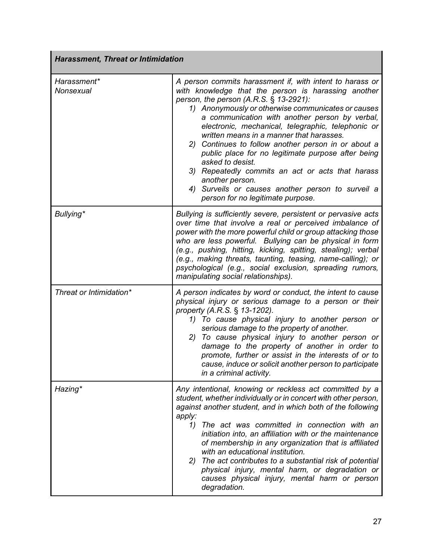| <b>Harassment, Threat or Intimidation</b> |                                                                                                                                                                                                                                                                                                                                                                                                                                                                                                                                                                                                                                                                           |  |
|-------------------------------------------|---------------------------------------------------------------------------------------------------------------------------------------------------------------------------------------------------------------------------------------------------------------------------------------------------------------------------------------------------------------------------------------------------------------------------------------------------------------------------------------------------------------------------------------------------------------------------------------------------------------------------------------------------------------------------|--|
| Harassment*<br>Nonsexual                  | A person commits harassment if, with intent to harass or<br>with knowledge that the person is harassing another<br>person, the person $(A.R.S. \S 13-2921)$ :<br>1) Anonymously or otherwise communicates or causes<br>a communication with another person by verbal,<br>electronic, mechanical, telegraphic, telephonic or<br>written means in a manner that harasses.<br>2) Continues to follow another person in or about a<br>public place for no legitimate purpose after being<br>asked to desist.<br>3) Repeatedly commits an act or acts that harass<br>another person.<br>4) Surveils or causes another person to surveil a<br>person for no legitimate purpose. |  |
| Bullying*                                 | Bullying is sufficiently severe, persistent or pervasive acts<br>over time that involve a real or perceived imbalance of<br>power with the more powerful child or group attacking those<br>who are less powerful. Bullying can be physical in form<br>(e.g., pushing, hitting, kicking, spitting, stealing); verbal<br>(e.g., making threats, taunting, teasing, name-calling); or<br>psychological (e.g., social exclusion, spreading rumors,<br>manipulating social relationships).                                                                                                                                                                                     |  |
| Threat or Intimidation*                   | A person indicates by word or conduct, the intent to cause<br>physical injury or serious damage to a person or their<br>property (A.R.S. § 13-1202).<br>1) To cause physical injury to another person or<br>serious damage to the property of another.<br>2) To cause physical injury to another person or<br>damage to the property of another in order to<br>promote, further or assist in the interests of or to<br>cause, induce or solicit another person to participate<br>in a criminal activity.                                                                                                                                                                  |  |
| Hazing*                                   | Any intentional, knowing or reckless act committed by a<br>student, whether individually or in concert with other person,<br>against another student, and in which both of the following<br>apply:<br>The act was committed in connection with an<br>1)<br>initiation into, an affiliation with or the maintenance<br>of membership in any organization that is affiliated<br>with an educational institution.<br>2) The act contributes to a substantial risk of potential<br>physical injury, mental harm, or degradation or<br>causes physical injury, mental harm or person<br>degradation.                                                                           |  |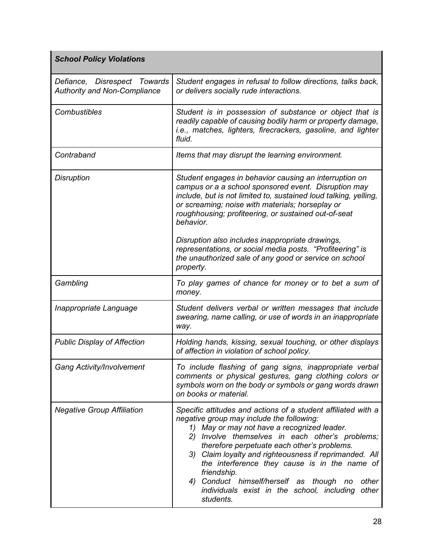| <b>School Policy Violations</b>                                     |                                                                                                                                                                                                                                                                                                                                                                                                                                                                                                                  |
|---------------------------------------------------------------------|------------------------------------------------------------------------------------------------------------------------------------------------------------------------------------------------------------------------------------------------------------------------------------------------------------------------------------------------------------------------------------------------------------------------------------------------------------------------------------------------------------------|
| Defiance, Disrespect Towards<br><b>Authority and Non-Compliance</b> | Student engages in refusal to follow directions, talks back,<br>or delivers socially rude interactions.                                                                                                                                                                                                                                                                                                                                                                                                          |
| <b>Combustibles</b>                                                 | Student is in possession of substance or object that is<br>readily capable of causing bodily harm or property damage,<br>i.e., matches, lighters, firecrackers, gasoline, and lighter<br>fluid.                                                                                                                                                                                                                                                                                                                  |
| Contraband                                                          | Items that may disrupt the learning environment.                                                                                                                                                                                                                                                                                                                                                                                                                                                                 |
| <b>Disruption</b>                                                   | Student engages in behavior causing an interruption on<br>campus or a a school sponsored event. Disruption may<br>include, but is not limited to, sustained loud talking, yelling,<br>or screaming; noise with materials; horseplay or<br>roughhousing; profiteering, or sustained out-of-seat<br>behavior.<br>Disruption also includes inappropriate drawings,                                                                                                                                                  |
|                                                                     | representations, or social media posts. "Profiteering" is<br>the unauthorized sale of any good or service on school<br>property.                                                                                                                                                                                                                                                                                                                                                                                 |
| Gambling                                                            | To play games of chance for money or to bet a sum of<br>money.                                                                                                                                                                                                                                                                                                                                                                                                                                                   |
| Inappropriate Language                                              | Student delivers verbal or written messages that include<br>swearing, name calling, or use of words in an inappropriate<br>way.                                                                                                                                                                                                                                                                                                                                                                                  |
| <b>Public Display of Affection</b>                                  | Holding hands, kissing, sexual touching, or other displays<br>of affection in violation of school policy.                                                                                                                                                                                                                                                                                                                                                                                                        |
| <b>Gang Activity/Involvement</b>                                    | To include flashing of gang signs, inappropriate verbal<br>comments or physical gestures, gang clothing colors or<br>symbols worn on the body or symbols or gang words drawn<br>on books or material.                                                                                                                                                                                                                                                                                                            |
| <b>Negative Group Affiliation</b>                                   | Specific attitudes and actions of a student affiliated with a<br>negative group may include the following:<br>1) May or may not have a recognized leader.<br>2) Involve themselves in each other's problems;<br>therefore perpetuate each other's problems.<br>3) Claim loyalty and righteousness if reprimanded. All<br>the interference they cause is in the name of<br>friendship.<br>4) Conduct himself/herself as though<br>other<br>no<br>individuals exist in the school, including<br>other<br>students. |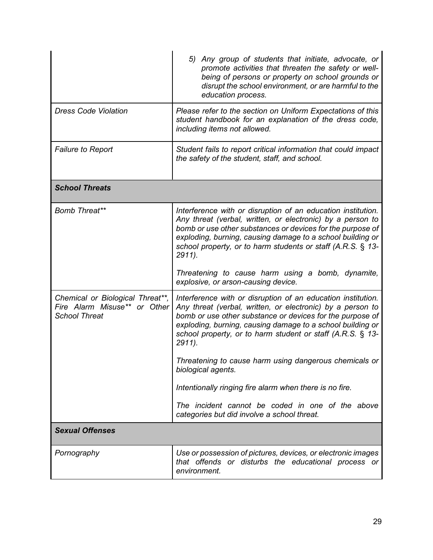|                                                                                          | 5) Any group of students that initiate, advocate, or<br>promote activities that threaten the safety or well-<br>being of persons or property on school grounds or<br>disrupt the school environment, or are harmful to the<br>education process.                                                                                   |  |
|------------------------------------------------------------------------------------------|------------------------------------------------------------------------------------------------------------------------------------------------------------------------------------------------------------------------------------------------------------------------------------------------------------------------------------|--|
| <b>Dress Code Violation</b>                                                              | Please refer to the section on Uniform Expectations of this<br>student handbook for an explanation of the dress code,<br>including items not allowed.                                                                                                                                                                              |  |
| <b>Failure to Report</b>                                                                 | Student fails to report critical information that could impact<br>the safety of the student, staff, and school.                                                                                                                                                                                                                    |  |
| <b>School Threats</b>                                                                    |                                                                                                                                                                                                                                                                                                                                    |  |
| Bomb Threat**                                                                            | Interference with or disruption of an education institution.<br>Any threat (verbal, written, or electronic) by a person to<br>bomb or use other substances or devices for the purpose of<br>exploding, burning, causing damage to a school building or<br>school property, or to harm students or staff (A.R.S. § 13-<br>$2911$ ). |  |
|                                                                                          | Threatening to cause harm using a bomb, dynamite,<br>explosive, or arson-causing device.                                                                                                                                                                                                                                           |  |
| Chemical or Biological Threat**,<br>Fire Alarm Misuse** or Other<br><b>School Threat</b> | Interference with or disruption of an education institution.<br>Any threat (verbal, written, or electronic) by a person to<br>bomb or use other substance or devices for the purpose of<br>exploding, burning, causing damage to a school building or<br>school property, or to harm student or staff (A.R.S. § 13-<br>$2911$ ).   |  |
|                                                                                          | Threatening to cause harm using dangerous chemicals or<br>biological agents.                                                                                                                                                                                                                                                       |  |
|                                                                                          | Intentionally ringing fire alarm when there is no fire.                                                                                                                                                                                                                                                                            |  |
|                                                                                          | The incident cannot be coded in one of the above<br>categories but did involve a school threat.                                                                                                                                                                                                                                    |  |
| <b>Sexual Offenses</b>                                                                   |                                                                                                                                                                                                                                                                                                                                    |  |
| Pornography                                                                              | Use or possession of pictures, devices, or electronic images<br>that offends or disturbs the educational process or<br>environment.                                                                                                                                                                                                |  |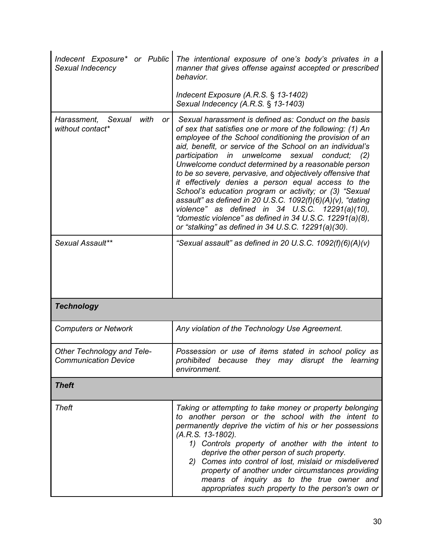| Indecent Exposure* or Public<br>Sexual Indecency          | The intentional exposure of one's body's privates in a<br>manner that gives offense against accepted or prescribed<br>behavior.                                                                                                                                                                                                                                                                                                                                                                                                                                                                                                                                                                                                                                                  |  |  |
|-----------------------------------------------------------|----------------------------------------------------------------------------------------------------------------------------------------------------------------------------------------------------------------------------------------------------------------------------------------------------------------------------------------------------------------------------------------------------------------------------------------------------------------------------------------------------------------------------------------------------------------------------------------------------------------------------------------------------------------------------------------------------------------------------------------------------------------------------------|--|--|
|                                                           | Indecent Exposure $(A.R.S. \S 13-1402)$<br>Sexual Indecency (A.R.S. § 13-1403)                                                                                                                                                                                                                                                                                                                                                                                                                                                                                                                                                                                                                                                                                                   |  |  |
| Sexual<br>with<br>Harassment,<br>or<br>without contact*   | Sexual harassment is defined as: Conduct on the basis<br>of sex that satisfies one or more of the following: (1) An<br>employee of the School conditioning the provision of an<br>aid, benefit, or service of the School on an individual's<br>participation in unwelcome sexual conduct;<br>(2)<br>Unwelcome conduct determined by a reasonable person<br>to be so severe, pervasive, and objectively offensive that<br>it effectively denies a person equal access to the<br>School's education program or activity; or (3) "Sexual<br>assault" as defined in 20 U.S.C. 1092(f)(6)(A)(v), "dating<br>violence" as defined in $34$ U.S.C. $12291(a)(10)$ ,<br>"domestic violence" as defined in 34 U.S.C. 12291(a)(8),<br>or "stalking" as defined in $34$ U.S.C. 12291(a)(30). |  |  |
| Sexual Assault**                                          | "Sexual assault" as defined in 20 U.S.C. $1092(f)(6)(A)(v)$                                                                                                                                                                                                                                                                                                                                                                                                                                                                                                                                                                                                                                                                                                                      |  |  |
| <b>Technology</b>                                         |                                                                                                                                                                                                                                                                                                                                                                                                                                                                                                                                                                                                                                                                                                                                                                                  |  |  |
| <b>Computers or Network</b>                               | Any violation of the Technology Use Agreement.                                                                                                                                                                                                                                                                                                                                                                                                                                                                                                                                                                                                                                                                                                                                   |  |  |
| Other Technology and Tele-<br><b>Communication Device</b> | Possession or use of items stated in school policy as<br>prohibited because they may disrupt the learning<br>environment.                                                                                                                                                                                                                                                                                                                                                                                                                                                                                                                                                                                                                                                        |  |  |
| <b>Theft</b>                                              |                                                                                                                                                                                                                                                                                                                                                                                                                                                                                                                                                                                                                                                                                                                                                                                  |  |  |
| <b>Theft</b>                                              | Taking or attempting to take money or property belonging<br>to another person or the school with the intent to<br>permanently deprive the victim of his or her possessions<br>(A.R.S. 13-1802).<br>1) Controls property of another with the intent to<br>deprive the other person of such property.<br>2) Comes into control of lost, mislaid or misdelivered<br>property of another under circumstances providing<br>means of inquiry as to the true owner and<br>appropriates such property to the person's own or                                                                                                                                                                                                                                                             |  |  |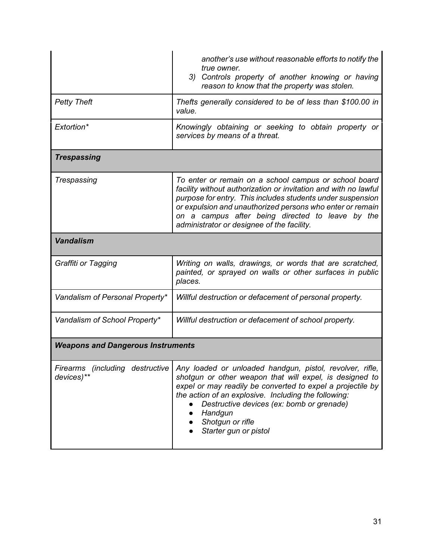|                                          | another's use without reasonable efforts to notify the<br>true owner.<br>Controls property of another knowing or having<br>3)<br>reason to know that the property was stolen.                                                                                                                                                                                                  |  |  |
|------------------------------------------|--------------------------------------------------------------------------------------------------------------------------------------------------------------------------------------------------------------------------------------------------------------------------------------------------------------------------------------------------------------------------------|--|--|
| <b>Petty Theft</b>                       | Thefts generally considered to be of less than \$100.00 in<br>value.                                                                                                                                                                                                                                                                                                           |  |  |
| Extortion*                               | Knowingly obtaining or seeking to obtain property or<br>services by means of a threat.                                                                                                                                                                                                                                                                                         |  |  |
| <b>Trespassing</b>                       |                                                                                                                                                                                                                                                                                                                                                                                |  |  |
| Trespassing                              | To enter or remain on a school campus or school board<br>facility without authorization or invitation and with no lawful<br>purpose for entry. This includes students under suspension<br>or expulsion and unauthorized persons who enter or remain<br>on a campus after being directed to leave by the<br>administrator or designee of the facility.                          |  |  |
| <b>Vandalism</b>                         |                                                                                                                                                                                                                                                                                                                                                                                |  |  |
| Graffiti or Tagging                      | Writing on walls, drawings, or words that are scratched,<br>painted, or sprayed on walls or other surfaces in public<br>places.                                                                                                                                                                                                                                                |  |  |
| Vandalism of Personal Property*          | Willful destruction or defacement of personal property.                                                                                                                                                                                                                                                                                                                        |  |  |
| Vandalism of School Property*            | Willful destruction or defacement of school property.                                                                                                                                                                                                                                                                                                                          |  |  |
| <b>Weapons and Dangerous Instruments</b> |                                                                                                                                                                                                                                                                                                                                                                                |  |  |
| devices)**                               | Firearms (including destructive Any loaded or unloaded handgun, pistol, revolver, rifle,<br>shotgun or other weapon that will expel, is designed to<br>expel or may readily be converted to expel a projectile by<br>the action of an explosive. Including the following:<br>Destructive devices (ex: bomb or grenade)<br>Handgun<br>Shotgun or rifle<br>Starter gun or pistol |  |  |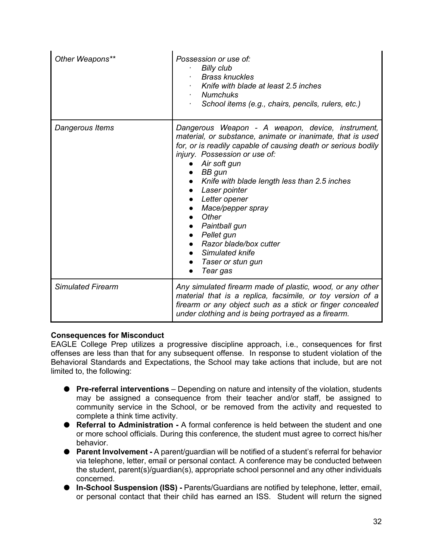| Other Weapons**          | Possession or use of:<br><b>Billy club</b><br><b>Brass knuckles</b><br>Knife with blade at least 2.5 inches<br><b>Numchuks</b><br>$\bullet$<br>School items (e.g., chairs, pencils, rulers, etc.)                                                                                                                                                                                                                                                                                 |
|--------------------------|-----------------------------------------------------------------------------------------------------------------------------------------------------------------------------------------------------------------------------------------------------------------------------------------------------------------------------------------------------------------------------------------------------------------------------------------------------------------------------------|
| Dangerous Items          | Dangerous Weapon - A weapon, device, instrument,<br>material, or substance, animate or inanimate, that is used<br>for, or is readily capable of causing death or serious bodily<br>injury. Possession or use of:<br>Air soft gun<br>$\bullet$ BB gun<br>Knife with blade length less than 2.5 inches<br>Laser pointer<br>Letter opener<br>Mace/pepper spray<br>Other<br>Paintball gun<br>Pellet gun<br>Razor blade/box cutter<br>Simulated knife<br>Taser or stun gun<br>Tear gas |
| <b>Simulated Firearm</b> | Any simulated firearm made of plastic, wood, or any other<br>material that is a replica, facsimile, or toy version of a<br>firearm or any object such as a stick or finger concealed<br>under clothing and is being portrayed as a firearm.                                                                                                                                                                                                                                       |

#### <span id="page-32-0"></span>**Consequences for Misconduct**

EAGLE College Prep utilizes a progressive discipline approach, i.e., consequences for first offenses are less than that for any subsequent offense. In response to student violation of the Behavioral Standards and Expectations, the School may take actions that include, but are not limited to, the following:

- **Pre-referral interventions** Depending on nature and intensity of the violation, students may be assigned a consequence from their teacher and/or staff, be assigned to community service in the School, or be removed from the activity and requested to complete a think time activity.
- **Referral to Administration -** A formal conference is held between the student and one or more school officials. During this conference, the student must agree to correct his/her behavior.
- **Parent Involvement -** A parent/guardian will be notified of a student's referral for behavior via telephone, letter, email or personal contact. A conference may be conducted between the student, parent(s)/guardian(s), appropriate school personnel and any other individuals concerned.
- **In-School Suspension (ISS) -** Parents/Guardians are notified by telephone, letter, email, or personal contact that their child has earned an ISS. Student will return the signed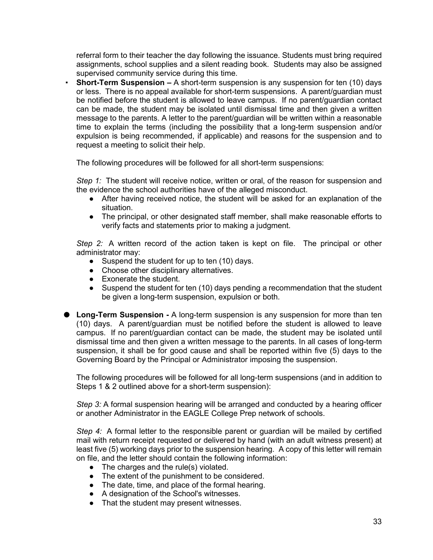referral form to their teacher the day following the issuance. Students must bring required assignments, school supplies and a silent reading book. Students may also be assigned supervised community service during this time.

**Short-Term Suspension –** A short-term suspension is any suspension for ten (10) days or less. There is no appeal available for short-term suspensions. A parent/guardian must be notified before the student is allowed to leave campus. If no parent/guardian contact can be made, the student may be isolated until dismissal time and then given a written message to the parents. A letter to the parent/guardian will be written within a reasonable time to explain the terms (including the possibility that a long-term suspension and/or expulsion is being recommended, if applicable) and reasons for the suspension and to request a meeting to solicit their help.

The following procedures will be followed for all short-term suspensions:

*Step 1:* The student will receive notice, written or oral, of the reason for suspension and the evidence the school authorities have of the alleged misconduct.

- After having received notice, the student will be asked for an explanation of the situation.
- The principal, or other designated staff member, shall make reasonable efforts to verify facts and statements prior to making a judgment.

*Step 2:* A written record of the action taken is kept on file. The principal or other administrator may:

- Suspend the student for up to ten (10) days.
- Choose other disciplinary alternatives.
- Exonerate the student.
- Suspend the student for ten (10) days pending a recommendation that the student be given a long-term suspension, expulsion or both.
- Long-Term Suspension A long-term suspension is any suspension for more than ten (10) days. A parent/guardian must be notified before the student is allowed to leave campus. If no parent/guardian contact can be made, the student may be isolated until dismissal time and then given a written message to the parents. In all cases of long-term suspension, it shall be for good cause and shall be reported within five (5) days to the Governing Board by the Principal or Administrator imposing the suspension.

The following procedures will be followed for all long-term suspensions (and in addition to Steps 1 & 2 outlined above for a short-term suspension):

*Step 3:* A formal suspension hearing will be arranged and conducted by a hearing officer or another Administrator in the EAGLE College Prep network of schools.

*Step 4:* A formal letter to the responsible parent or guardian will be mailed by certified mail with return receipt requested or delivered by hand (with an adult witness present) at least five (5) working days prior to the suspension hearing. A copy of this letter will remain on file, and the letter should contain the following information:

- The charges and the rule(s) violated.
- The extent of the punishment to be considered.
- The date, time, and place of the formal hearing.
- A designation of the School's witnesses.
- That the student may present witnesses.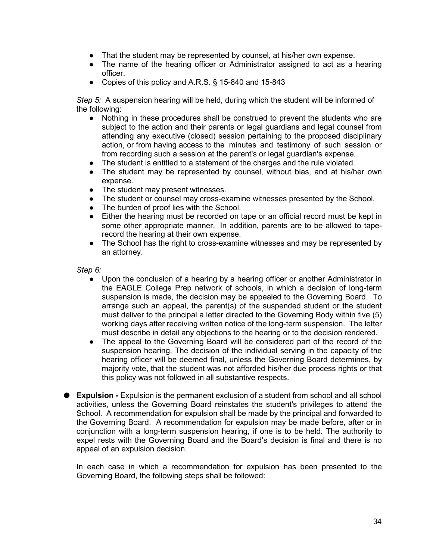- That the student may be represented by counsel, at his/her own expense.
- The name of the hearing officer or Administrator assigned to act as a hearing officer.
- Copies of this policy and A.R.S. § 15-840 and 15-843

*Step 5:* A suspension hearing will be held, during which the student will be informed of the following:

- Nothing in these procedures shall be construed to prevent the students who are subject to the action and their parents or legal guardians and legal counsel from attending any executive (closed) session pertaining to the proposed disciplinary action, or from having access to the minutes and testimony of such session or from recording such a session at the parent's or legal guardian's expense.
- The student is entitled to a statement of the charges and the rule violated.
- The student may be represented by counsel, without bias, and at his/her own expense.
- The student may present witnesses.
- The student or counsel may cross-examine witnesses presented by the School.
- The burden of proof lies with the School.
- Either the hearing must be recorded on tape or an official record must be kept in some other appropriate manner. In addition, parents are to be allowed to taperecord the hearing at their own expense.
- The School has the right to cross-examine witnesses and may be represented by an attorney.

*Step 6:*

- Upon the conclusion of a hearing by a hearing officer or another Administrator in the EAGLE College Prep network of schools, in which a decision of long-term suspension is made, the decision may be appealed to the Governing Board. To arrange such an appeal, the parent(s) of the suspended student or the student must deliver to the principal a letter directed to the Governing Body within five (5) working days after receiving written notice of the long-term suspension. The letter must describe in detail any objections to the hearing or to the decision rendered.
- The appeal to the Governing Board will be considered part of the record of the suspension hearing. The decision of the individual serving in the capacity of the hearing officer will be deemed final, unless the Governing Board determines, by majority vote, that the student was not afforded his/her due process rights or that this policy was not followed in all substantive respects.
- **Expulsion** Expulsion is the permanent exclusion of a student from school and all school activities, unless the Governing Board reinstates the student's privileges to attend the School. A recommendation for expulsion shall be made by the principal and forwarded to the Governing Board. A recommendation for expulsion may be made before, after or in conjunction with a long-term suspension hearing, if one is to be held. The authority to expel rests with the Governing Board and the Board's decision is final and there is no appeal of an expulsion decision.

In each case in which a recommendation for expulsion has been presented to the Governing Board, the following steps shall be followed: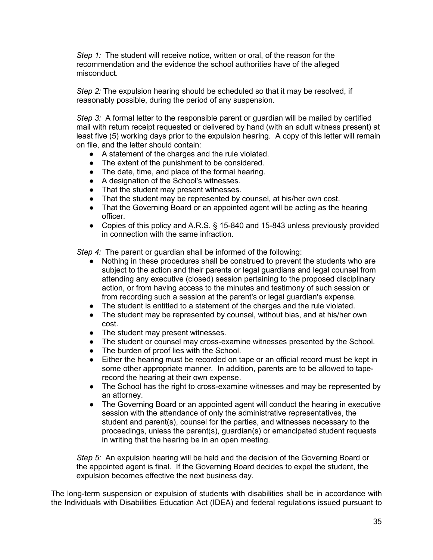*Step 1:* The student will receive notice, written or oral, of the reason for the recommendation and the evidence the school authorities have of the alleged misconduct.

*Step 2:* The expulsion hearing should be scheduled so that it may be resolved, if reasonably possible, during the period of any suspension.

*Step 3:* A formal letter to the responsible parent or guardian will be mailed by certified mail with return receipt requested or delivered by hand (with an adult witness present) at least five (5) working days prior to the expulsion hearing. A copy of this letter will remain on file, and the letter should contain:

- A statement of the charges and the rule violated.
- The extent of the punishment to be considered.
- The date, time, and place of the formal hearing.
- A designation of the School's witnesses.
- That the student may present witnesses.
- That the student may be represented by counsel, at his/her own cost.
- That the Governing Board or an appointed agent will be acting as the hearing officer.
- Copies of this policy and A.R.S. § 15-840 and 15-843 unless previously provided in connection with the same infraction.

*Step 4:* The parent or guardian shall be informed of the following:

- Nothing in these procedures shall be construed to prevent the students who are subject to the action and their parents or legal guardians and legal counsel from attending any executive (closed) session pertaining to the proposed disciplinary action, or from having access to the minutes and testimony of such session or from recording such a session at the parent's or legal guardian's expense.
- The student is entitled to a statement of the charges and the rule violated.
- The student may be represented by counsel, without bias, and at his/her own cost.
- The student may present witnesses.
- The student or counsel may cross-examine witnesses presented by the School.
- The burden of proof lies with the School.
- Either the hearing must be recorded on tape or an official record must be kept in some other appropriate manner. In addition, parents are to be allowed to taperecord the hearing at their own expense.
- The School has the right to cross-examine witnesses and may be represented by an attorney.
- The Governing Board or an appointed agent will conduct the hearing in executive session with the attendance of only the administrative representatives, the student and parent(s), counsel for the parties, and witnesses necessary to the proceedings, unless the parent(s), guardian(s) or emancipated student requests in writing that the hearing be in an open meeting.

*Step 5:* An expulsion hearing will be held and the decision of the Governing Board or the appointed agent is final. If the Governing Board decides to expel the student, the expulsion becomes effective the next business day.

The long-term suspension or expulsion of students with disabilities shall be in accordance with the Individuals with Disabilities Education Act (IDEA) and federal regulations issued pursuant to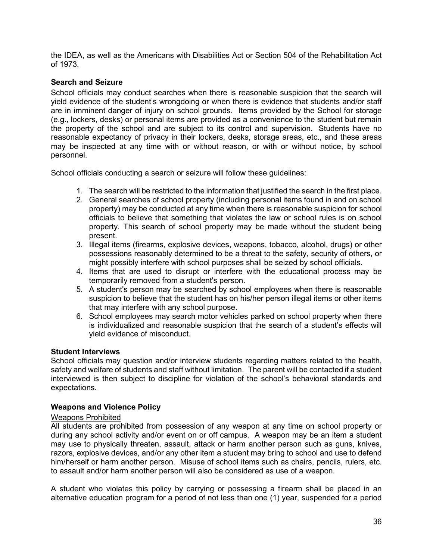the IDEA, as well as the Americans with Disabilities Act or Section 504 of the Rehabilitation Act of 1973.

#### <span id="page-36-0"></span>**Search and Seizure**

School officials may conduct searches when there is reasonable suspicion that the search will yield evidence of the student's wrongdoing or when there is evidence that students and/or staff are in imminent danger of injury on school grounds. Items provided by the School for storage (e.g., lockers, desks) or personal items are provided as a convenience to the student but remain the property of the school and are subject to its control and supervision. Students have no reasonable expectancy of privacy in their lockers, desks, storage areas, etc., and these areas may be inspected at any time with or without reason, or with or without notice, by school personnel.

School officials conducting a search or seizure will follow these guidelines:

- 1. The search will be restricted to the information that justified the search in the first place.
- 2. General searches of school property (including personal items found in and on school property) may be conducted at any time when there is reasonable suspicion for school officials to believe that something that violates the law or school rules is on school property. This search of school property may be made without the student being present.
- 3. Illegal items (firearms, explosive devices, weapons, tobacco, alcohol, drugs) or other possessions reasonably determined to be a threat to the safety, security of others, or might possibly interfere with school purposes shall be seized by school officials.
- 4. Items that are used to disrupt or interfere with the educational process may be temporarily removed from a student's person.
- 5. A student's person may be searched by school employees when there is reasonable suspicion to believe that the student has on his/her person illegal items or other items that may interfere with any school purpose.
- 6. School employees may search motor vehicles parked on school property when there is individualized and reasonable suspicion that the search of a student's effects will yield evidence of misconduct.

#### <span id="page-36-1"></span>**Student Interviews**

School officials may question and/or interview students regarding matters related to the health, safety and welfare of students and staff without limitation. The parent will be contacted if a student interviewed is then subject to discipline for violation of the school's behavioral standards and expectations.

#### <span id="page-36-2"></span>**Weapons and Violence Policy**

#### <span id="page-36-3"></span>Weapons Prohibited

All students are prohibited from possession of any weapon at any time on school property or during any school activity and/or event on or off campus. A weapon may be an item a student may use to physically threaten, assault, attack or harm another person such as guns, knives, razors, explosive devices, and/or any other item a student may bring to school and use to defend him/herself or harm another person. Misuse of school items such as chairs, pencils, rulers, etc. to assault and/or harm another person will also be considered as use of a weapon.

A student who violates this policy by carrying or possessing a firearm shall be placed in an alternative education program for a period of not less than one (1) year, suspended for a period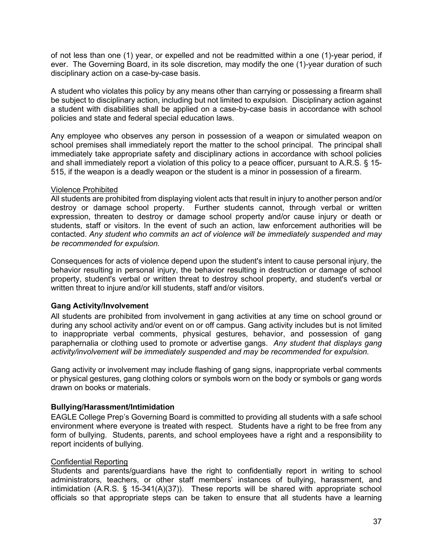of not less than one (1) year, or expelled and not be readmitted within a one (1)-year period, if ever. The Governing Board, in its sole discretion, may modify the one (1)-year duration of such disciplinary action on a case-by-case basis.

A student who violates this policy by any means other than carrying or possessing a firearm shall be subject to disciplinary action, including but not limited to expulsion. Disciplinary action against a student with disabilities shall be applied on a case-by-case basis in accordance with school policies and state and federal special education laws.

Any employee who observes any person in possession of a weapon or simulated weapon on school premises shall immediately report the matter to the school principal. The principal shall immediately take appropriate safety and disciplinary actions in accordance with school policies and shall immediately report a violation of this policy to a peace officer, pursuant to A.R.S. § [15-](http://policy.ctspublish.com/asba/public/lpext.dll?f=FifLink&t=document-frame.htm&l=jump&iid=Title15.nfo&d=15-515&sid=75602d43.61f9087d.0.0#JD_15-515) [515,](http://policy.ctspublish.com/asba/public/lpext.dll?f=FifLink&t=document-frame.htm&l=jump&iid=Title15.nfo&d=15-515&sid=75602d43.61f9087d.0.0#JD_15-515) if the weapon is a deadly weapon or the student is a minor in possession of a firearm.

#### <span id="page-37-0"></span>Violence Prohibited

All students are prohibited from displaying violent acts that result in injury to another person and/or destroy or damage school property. Further students cannot, through verbal or written expression, threaten to destroy or damage school property and/or cause injury or death or students, staff or visitors. In the event of such an action, law enforcement authorities will be contacted. *Any student who commits an act of violence will be immediately suspended and may be recommended for expulsion.*

Consequences for acts of violence depend upon the student's intent to cause personal injury, the behavior resulting in personal injury, the behavior resulting in destruction or damage of school property, student's verbal or written threat to destroy school property, and student's verbal or written threat to injure and/or kill students, staff and/or visitors.

#### <span id="page-37-1"></span>**Gang Activity/Involvement**

All students are prohibited from involvement in gang activities at any time on school ground or during any school activity and/or event on or off campus. Gang activity includes but is not limited to inappropriate verbal comments, physical gestures, behavior, and possession of gang paraphernalia or clothing used to promote or advertise gangs. *Any student that displays gang activity/involvement will be immediately suspended and may be recommended for expulsion.* 

Gang activity or involvement may include flashing of gang signs, inappropriate verbal comments or physical gestures, gang clothing colors or symbols worn on the body or symbols or gang words drawn on books or materials.

#### <span id="page-37-2"></span>**Bullying/Harassment/Intimidation**

EAGLE College Prep's Governing Board is committed to providing all students with a safe school environment where everyone is treated with respect. Students have a right to be free from any form of bullying. Students, parents, and school employees have a right and a responsibility to report incidents of bullying.

#### <span id="page-37-3"></span>Confidential Reporting

Students and parents/guardians have the right to confidentially report in writing to school administrators, teachers, or other staff members' instances of bullying, harassment, and intimidation (A.R.S. § 15-341(A)(37)). These reports will be shared with appropriate school officials so that appropriate steps can be taken to ensure that all students have a learning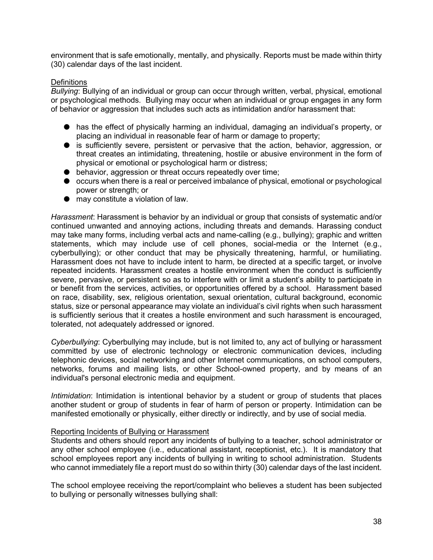environment that is safe emotionally, mentally, and physically. Reports must be made within thirty (30) calendar days of the last incident.

#### <span id="page-38-0"></span>**Definitions**

*Bullying*: Bullying of an individual or group can occur through written, verbal, physical, emotional or psychological methods. Bullying may occur when an individual or group engages in any form of behavior or aggression that includes such acts as intimidation and/or harassment that:

- has the effect of physically harming an individual, damaging an individual's property, or placing an individual in reasonable fear of harm or damage to property;
- is sufficiently severe, persistent or pervasive that the action, behavior, aggression, or threat creates an intimidating, threatening, hostile or abusive environment in the form of physical or emotional or psychological harm or distress;
- behavior, aggression or threat occurs repeatedly over time;
- occurs when there is a real or perceived imbalance of physical, emotional or psychological power or strength; or
- may constitute a violation of law.

*Harassment*: Harassment is behavior by an individual or group that consists of systematic and/or continued unwanted and annoying actions, including threats and demands. Harassing conduct may take many forms, including verbal acts and name-calling (e.g., bullying); graphic and written statements, which may include use of cell phones, social-media or the Internet (e.g., cyberbullying); or other conduct that may be physically threatening, harmful, or humiliating. Harassment does not have to include intent to harm, be directed at a specific target, or involve repeated incidents. Harassment creates a hostile environment when the conduct is sufficiently severe, pervasive, or persistent so as to interfere with or limit a student's ability to participate in or benefit from the services, activities, or opportunities offered by a school. Harassment based on race, disability, sex, religious orientation, sexual orientation, cultural background, economic status, size or personal appearance may violate an individual's civil rights when such harassment is sufficiently serious that it creates a hostile environment and such harassment is encouraged, tolerated, not adequately addressed or ignored.

*Cyberbullying*: Cyberbullying may include, but is not limited to, any act of bullying or harassment committed by use of electronic technology or electronic communication devices, including telephonic devices, social networking and other Internet communications, on school computers, networks, forums and mailing lists, or other School-owned property, and by means of an individual's personal electronic media and equipment.

*Intimidation*: Intimidation is intentional behavior by a student or group of students that places another student or group of students in fear of harm of person or property. Intimidation can be manifested emotionally or physically, either directly or indirectly, and by use of social media.

#### <span id="page-38-1"></span>Reporting Incidents of Bullying or Harassment

Students and others should report any incidents of bullying to a teacher, school administrator or any other school employee (i.e., educational assistant, receptionist, etc.). It is mandatory that school employees report any incidents of bullying in writing to school administration. Students who cannot immediately file a report must do so within thirty (30) calendar days of the last incident.

The school employee receiving the report/complaint who believes a student has been subjected to bullying or personally witnesses bullying shall: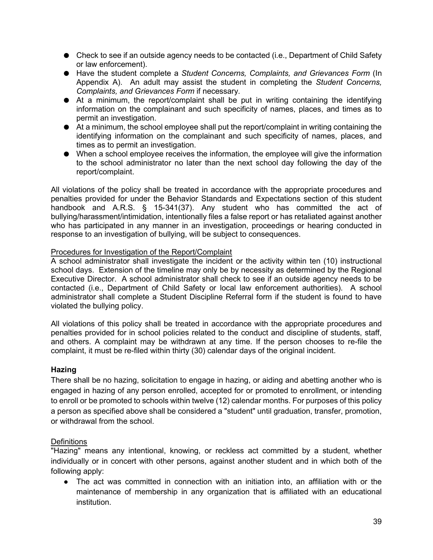- Check to see if an outside agency needs to be contacted (i.e., Department of Child Safety or law enforcement).
- Have the student complete a *Student Concerns, Complaints, and Grievances Form* (In Appendix A). An adult may assist the student in completing the *Student Concerns, Complaints, and Grievances Form* if necessary.
- At a minimum, the report/complaint shall be put in writing containing the identifying information on the complainant and such specificity of names, places, and times as to permit an investigation.
- At a minimum, the school employee shall put the report/complaint in writing containing the identifying information on the complainant and such specificity of names, places, and times as to permit an investigation.
- When a school employee receives the information, the employee will give the information to the school administrator no later than the next school day following the day of the report/complaint.

All violations of the policy shall be treated in accordance with the appropriate procedures and penalties provided for under the Behavior Standards and Expectations section of this student handbook and A.R.S. § 15-341(37). Any student who has committed the act of bullying/harassment/intimidation, intentionally files a false report or has retaliated against another who has participated in any manner in an investigation, proceedings or hearing conducted in response to an investigation of bullying, will be subject to consequences.

#### <span id="page-39-0"></span>Procedures for Investigation of the Report/Complaint

A school administrator shall investigate the incident or the activity within ten (10) instructional school days. Extension of the timeline may only be by necessity as determined by the Regional Executive Director. A school administrator shall check to see if an outside agency needs to be contacted (i.e., Department of Child Safety or local law enforcement authorities). A school administrator shall complete a Student Discipline Referral form if the student is found to have violated the bullying policy.

All violations of this policy shall be treated in accordance with the appropriate procedures and penalties provided for in school policies related to the conduct and discipline of students, staff, and others. A complaint may be withdrawn at any time. If the person chooses to re-file the complaint, it must be re-filed within thirty (30) calendar days of the original incident.

#### <span id="page-39-1"></span>**Hazing**

There shall be no hazing, solicitation to engage in hazing, or aiding and abetting another who is engaged in hazing of any person enrolled, accepted for or promoted to enrollment, or intending to enroll or be promoted to schools within twelve (12) calendar months. For purposes of this policy a person as specified above shall be considered a "student" until graduation, transfer, promotion, or withdrawal from the school.

#### <span id="page-39-2"></span>**Definitions**

"Hazing" means any intentional, knowing, or reckless act committed by a student, whether individually or in concert with other persons, against another student and in which both of the following apply:

● The act was committed in connection with an initiation into, an affiliation with or the maintenance of membership in any organization that is affiliated with an educational institution.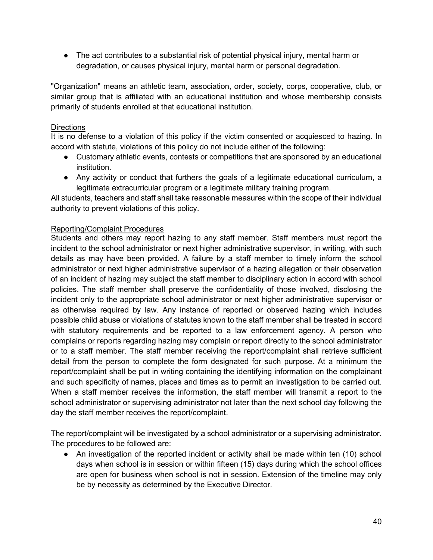● The act contributes to a substantial risk of potential physical injury, mental harm or degradation, or causes physical injury, mental harm or personal degradation.

"Organization" means an athletic team, association, order, society, corps, cooperative, club, or similar group that is affiliated with an educational institution and whose membership consists primarily of students enrolled at that educational institution.

#### <span id="page-40-0"></span>**Directions**

It is no defense to a violation of this policy if the victim consented or acquiesced to hazing. In accord with statute, violations of this policy do not include either of the following:

- Customary athletic events, contests or competitions that are sponsored by an educational institution.
- Any activity or conduct that furthers the goals of a legitimate educational curriculum, a legitimate extracurricular program or a legitimate military training program.

All students, teachers and staff shall take reasonable measures within the scope of their individual authority to prevent violations of this policy.

#### <span id="page-40-1"></span>Reporting/Complaint Procedures

Students and others may report hazing to any staff member. Staff members must report the incident to the school administrator or next higher administrative supervisor, in writing, with such details as may have been provided. A failure by a staff member to timely inform the school administrator or next higher administrative supervisor of a hazing allegation or their observation of an incident of hazing may subject the staff member to disciplinary action in accord with school policies. The staff member shall preserve the confidentiality of those involved, disclosing the incident only to the appropriate school administrator or next higher administrative supervisor or as otherwise required by law. Any instance of reported or observed hazing which includes possible child abuse or violations of statutes known to the staff member shall be treated in accord with statutory requirements and be reported to a law enforcement agency. A person who complains or reports regarding hazing may complain or report directly to the school administrator or to a staff member. The staff member receiving the report/complaint shall retrieve sufficient detail from the person to complete the form designated for such purpose. At a minimum the report/complaint shall be put in writing containing the identifying information on the complainant and such specificity of names, places and times as to permit an investigation to be carried out. When a staff member receives the information, the staff member will transmit a report to the school administrator or supervising administrator not later than the next school day following the day the staff member receives the report/complaint.

The report/complaint will be investigated by a school administrator or a supervising administrator. The procedures to be followed are:

• An investigation of the reported incident or activity shall be made within ten (10) school days when school is in session or within fifteen (15) days during which the school offices are open for business when school is not in session. Extension of the timeline may only be by necessity as determined by the Executive Director.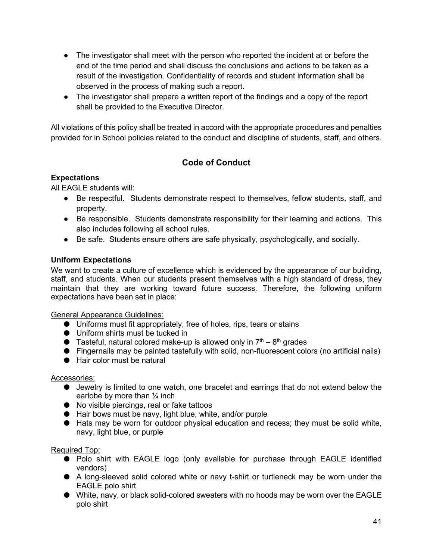- The investigator shall meet with the person who reported the incident at or before the end of the time period and shall discuss the conclusions and actions to be taken as a result of the investigation. Confidentiality of records and student information shall be observed in the process of making such a report.
- The investigator shall prepare a written report of the findings and a copy of the report shall be provided to the Executive Director.

<span id="page-41-0"></span>All violations of this policy shall be treated in accord with the appropriate procedures and penalties provided for in School policies related to the conduct and discipline of students, staff, and others.

### **Code of Conduct**

#### <span id="page-41-1"></span>**Expectations**

All EAGLE students will:

- Be respectful. Students demonstrate respect to themselves, fellow students, staff, and property.
- Be responsible. Students demonstrate responsibility for their learning and actions. This also includes following all school rules.
- Be safe. Students ensure others are safe physically, psychologically, and socially.

#### <span id="page-41-2"></span>**Uniform Expectations**

We want to create a culture of excellence which is evidenced by the appearance of our building, staff, and students. When our students present themselves with a high standard of dress, they maintain that they are working toward future success. Therefore, the following uniform expectations have been set in place:

General Appearance Guidelines:

- Uniforms must fit appropriately, free of holes, rips, tears or stains
- Uniform shirts must be tucked in
- **•** Tasteful, natural colored make-up is allowed only in  $7<sup>th</sup> 8<sup>th</sup>$  grades
- Fingernails may be painted tastefully with solid, non-fluorescent colors (no artificial nails)
- Hair color must be natural

#### Accessories:

- Jewelry is limited to one watch, one bracelet and earrings that do not extend below the earlobe by more than  $\frac{1}{4}$  inch
- No visible piercings, real or fake tattoos
- Hair bows must be navy, light blue, white, and/or purple
- Hats may be worn for outdoor physical education and recess; they must be solid white, navy, light blue, or purple

#### Required Top:

- Polo shirt with EAGLE logo (only available for purchase through EAGLE identified vendors)
- A long-sleeved solid colored white or navy t-shirt or turtleneck may be worn under the EAGLE polo shirt
- White, navy, or black solid-colored sweaters with no hoods may be worn over the EAGLE polo shirt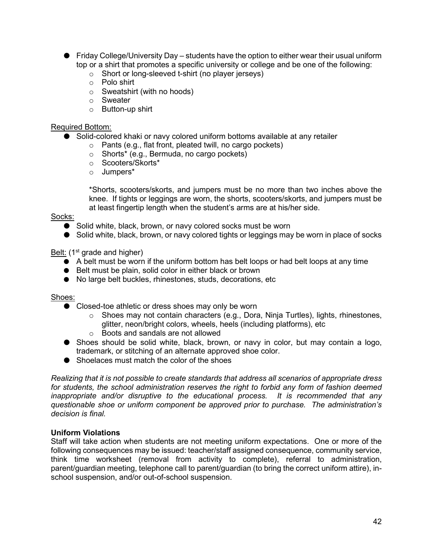- $\bullet$  Friday College/University Day students have the option to either wear their usual uniform top or a shirt that promotes a specific university or college and be one of the following:
	- o Short or long-sleeved t-shirt (no player jerseys)
	- o Polo shirt
	- o Sweatshirt (with no hoods)
	- o Sweater
	- o Button-up shirt

#### Required Bottom:

- Solid-colored khaki or navy colored uniform bottoms available at any retailer
	- o Pants (e.g., flat front, pleated twill, no cargo pockets)
	- o Shorts\* (e.g., Bermuda, no cargo pockets)
	- o Scooters/Skorts\*
	- o Jumpers\*

\*Shorts, scooters/skorts, and jumpers must be no more than two inches above the knee. If tights or leggings are worn, the shorts, scooters/skorts, and jumpers must be at least fingertip length when the student's arms are at his/her side.

#### Socks:

- Solid white, black, brown, or navy colored socks must be worn
- Solid white, black, brown, or navy colored tights or leggings may be worn in place of socks

#### Belt:  $(1<sup>st</sup>$  grade and higher)

- $\bullet$  A belt must be worn if the uniform bottom has belt loops or had belt loops at any time
- Belt must be plain, solid color in either black or brown
- No large belt buckles, rhinestones, studs, decorations, etc

Shoes:

- Closed-toe athletic or dress shoes may only be worn
	- $\circ$  Shoes may not contain characters (e.g., Dora, Ninja Turtles), lights, rhinestones, glitter, neon/bright colors, wheels, heels (including platforms), etc
	- o Boots and sandals are not allowed
- Shoes should be solid white, black, brown, or navy in color, but may contain a logo, trademark, or stitching of an alternate approved shoe color.
- Shoelaces must match the color of the shoes

*Realizing that it is not possible to create standards that address all scenarios of appropriate dress for students, the school administration reserves the right to forbid any form of fashion deemed inappropriate and/or disruptive to the educational process. It is recommended that any questionable shoe or uniform component be approved prior to purchase. The administration's decision is final.*

#### <span id="page-42-0"></span>**Uniform Violations**

Staff will take action when students are not meeting uniform expectations. One or more of the following consequences may be issued: teacher/staff assigned consequence, community service, think time worksheet (removal from activity to complete), referral to administration, parent/guardian meeting, telephone call to parent/guardian (to bring the correct uniform attire), inschool suspension, and/or out-of-school suspension.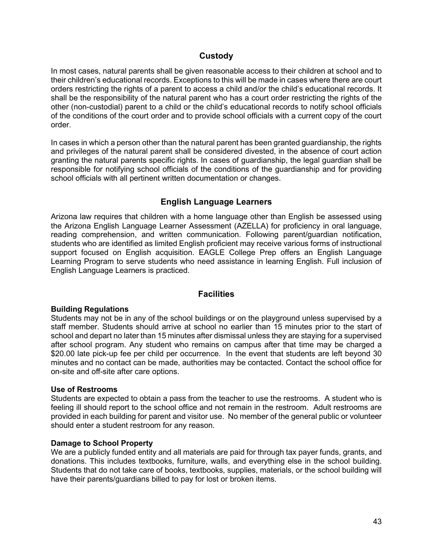#### **Custody**

<span id="page-43-0"></span>In most cases, natural parents shall be given reasonable access to their children at school and to their children's educational records. Exceptions to this will be made in cases where there are court orders restricting the rights of a parent to access a child and/or the child's educational records. It shall be the responsibility of the natural parent who has a court order restricting the rights of the other (non-custodial) parent to a child or the child's educational records to notify school officials of the conditions of the court order and to provide school officials with a current copy of the court order.

In cases in which a person other than the natural parent has been granted guardianship, the rights and privileges of the natural parent shall be considered divested, in the absence of court action granting the natural parents specific rights. In cases of guardianship, the legal guardian shall be responsible for notifying school officials of the conditions of the guardianship and for providing school officials with all pertinent written documentation or changes.

#### **English Language Learners**

<span id="page-43-1"></span>Arizona law requires that children with a home language other than English be assessed using the Arizona English Language Learner Assessment (AZELLA) for proficiency in oral language, reading comprehension, and written communication. Following parent/guardian notification, students who are identified as limited English proficient may receive various forms of instructional support focused on English acquisition. EAGLE College Prep offers an English Language Learning Program to serve students who need assistance in learning English. Full inclusion of English Language Learners is practiced.

#### **Facilities**

#### <span id="page-43-3"></span><span id="page-43-2"></span>**Building Regulations**

Students may not be in any of the school buildings or on the playground unless supervised by a staff member. Students should arrive at school no earlier than 15 minutes prior to the start of school and depart no later than 15 minutes after dismissal unless they are staying for a supervised after school program. Any student who remains on campus after that time may be charged a \$20.00 late pick-up fee per child per occurrence. In the event that students are left beyond 30 minutes and no contact can be made, authorities may be contacted. Contact the school office for on-site and off-site after care options.

#### <span id="page-43-4"></span>**Use of Restrooms**

Students are expected to obtain a pass from the teacher to use the restrooms. A student who is feeling ill should report to the school office and not remain in the restroom. Adult restrooms are provided in each building for parent and visitor use. No member of the general public or volunteer should enter a student restroom for any reason.

#### <span id="page-43-5"></span>**Damage to School Property**

We are a publicly funded entity and all materials are paid for through tax payer funds, grants, and donations. This includes textbooks, furniture, walls, and everything else in the school building. Students that do not take care of books, textbooks, supplies, materials, or the school building will have their parents/guardians billed to pay for lost or broken items.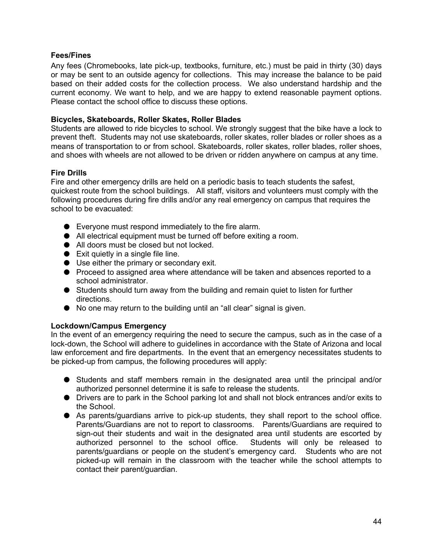#### <span id="page-44-0"></span>**Fees/Fines**

Any fees (Chromebooks, late pick-up, textbooks, furniture, etc.) must be paid in thirty (30) days or may be sent to an outside agency for collections. This may increase the balance to be paid based on their added costs for the collection process. We also understand hardship and the current economy. We want to help, and we are happy to extend reasonable payment options. Please contact the school office to discuss these options.

#### <span id="page-44-1"></span>**Bicycles, Skateboards, Roller Skates, Roller Blades**

Students are allowed to ride bicycles to school. We strongly suggest that the bike have a lock to prevent theft. Students may not use skateboards, roller skates, roller blades or roller shoes as a means of transportation to or from school. Skateboards, roller skates, roller blades, roller shoes, and shoes with wheels are not allowed to be driven or ridden anywhere on campus at any time.

#### <span id="page-44-2"></span>**Fire Drills**

Fire and other emergency drills are held on a periodic basis to teach students the safest, quickest route from the school buildings. All staff, visitors and volunteers must comply with the following procedures during fire drills and/or any real emergency on campus that requires the school to be evacuated:

- Everyone must respond immediately to the fire alarm.
- All electrical equipment must be turned off before exiting a room.
- All doors must be closed but not locked.
- Exit quietly in a single file line.
- Use either the primary or secondary exit.
- Proceed to assigned area where attendance will be taken and absences reported to a school administrator.
- Students should turn away from the building and remain quiet to listen for further directions.
- No one may return to the building until an "all clear" signal is given.

#### <span id="page-44-3"></span>**Lockdown/Campus Emergency**

In the event of an emergency requiring the need to secure the campus, such as in the case of a lock-down, the School will adhere to guidelines in accordance with the State of Arizona and local law enforcement and fire departments. In the event that an emergency necessitates students to be picked-up from campus, the following procedures will apply:

- Students and staff members remain in the designated area until the principal and/or authorized personnel determine it is safe to release the students.
- Drivers are to park in the School parking lot and shall not block entrances and/or exits to the School.
- As parents/guardians arrive to pick-up students, they shall report to the school office. Parents/Guardians are not to report to classrooms. Parents/Guardians are required to sign-out their students and wait in the designated area until students are escorted by authorized personnel to the school office. Students will only be released to parents/guardians or people on the student's emergency card. Students who are not picked-up will remain in the classroom with the teacher while the school attempts to contact their parent/guardian.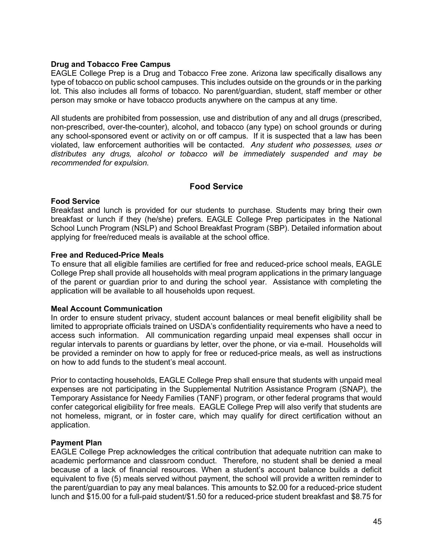#### <span id="page-45-0"></span>**Drug and Tobacco Free Campus**

EAGLE College Prep is a Drug and Tobacco Free zone. Arizona law specifically disallows any type of tobacco on public school campuses. This includes outside on the grounds or in the parking lot. This also includes all forms of tobacco. No parent/guardian, student, staff member or other person may smoke or have tobacco products anywhere on the campus at any time.

All students are prohibited from possession, use and distribution of any and all drugs (prescribed, non-prescribed, over-the-counter), alcohol, and tobacco (any type) on school grounds or during any school-sponsored event or activity on or off campus. If it is suspected that a law has been violated, law enforcement authorities will be contacted. *Any student who possesses, uses or distributes any drugs, alcohol or tobacco will be immediately suspended and may be recommended for expulsion.* 

#### **Food Service**

#### <span id="page-45-2"></span><span id="page-45-1"></span>**Food Service**

Breakfast and lunch is provided for our students to purchase. Students may bring their own breakfast or lunch if they (he/she) prefers. EAGLE College Prep participates in the National School Lunch Program (NSLP) and School Breakfast Program (SBP). Detailed information about applying for free/reduced meals is available at the school office.

#### <span id="page-45-3"></span>**Free and Reduced-Price Meals**

To ensure that all eligible families are certified for free and reduced-price school meals, EAGLE College Prep shall provide all households with meal program applications in the primary language of the parent or guardian prior to and during the school year. Assistance with completing the application will be available to all households upon request.

#### <span id="page-45-4"></span>**Meal Account Communication**

In order to ensure student privacy, student account balances or meal benefit eligibility shall be limited to appropriate officials trained on USDA's confidentiality requirements who have a need to access such information. All communication regarding unpaid meal expenses shall occur in regular intervals to parents or guardians by letter, over the phone, or via e-mail. Households will be provided a reminder on how to apply for free or reduced-price meals, as well as instructions on how to add funds to the student's meal account.

Prior to contacting households, EAGLE College Prep shall ensure that students with unpaid meal expenses are not participating in the Supplemental Nutrition Assistance Program (SNAP), the Temporary Assistance for Needy Families (TANF) program, or other federal programs that would confer categorical eligibility for free meals. EAGLE College Prep will also verify that students are not homeless, migrant, or in foster care, which may qualify for direct certification without an application.

#### <span id="page-45-5"></span>**Payment Plan**

EAGLE College Prep acknowledges the critical contribution that adequate nutrition can make to academic performance and classroom conduct. Therefore, no student shall be denied a meal because of a lack of financial resources. When a student's account balance builds a deficit equivalent to five (5) meals served without payment, the school will provide a written reminder to the parent/guardian to pay any meal balances. This amounts to \$2.00 for a reduced-price student lunch and \$15.00 for a full-paid student/\$1.50 for a reduced-price student breakfast and \$8.75 for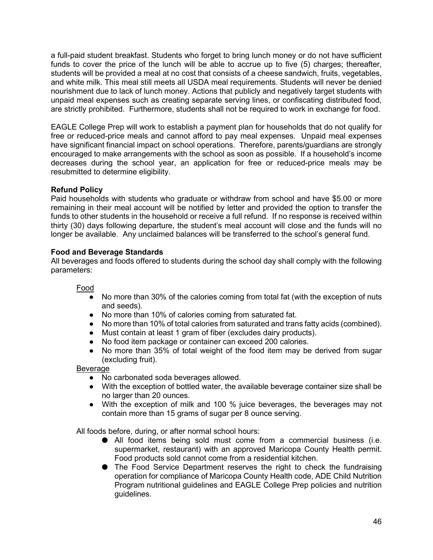a full-paid student breakfast. Students who forget to bring lunch money or do not have sufficient funds to cover the price of the lunch will be able to accrue up to five (5) charges; thereafter, students will be provided a meal at no cost that consists of a cheese sandwich, fruits, vegetables, and white milk. This meal still meets all USDA meal requirements. Students will never be denied nourishment due to lack of lunch money. Actions that publicly and negatively target students with unpaid meal expenses such as creating separate serving lines, or confiscating distributed food, are strictly prohibited. Furthermore, students shall not be required to work in exchange for food.

EAGLE College Prep will work to establish a payment plan for households that do not qualify for free or reduced-price meals and cannot afford to pay meal expenses. Unpaid meal expenses have significant financial impact on school operations. Therefore, parents/guardians are strongly encouraged to make arrangements with the school as soon as possible. If a household's income decreases during the school year, an application for free or reduced-price meals may be resubmitted to determine eligibility.

#### <span id="page-46-0"></span>**Refund Policy**

Paid households with students who graduate or withdraw from school and have \$5.00 or more remaining in their meal account will be notified by letter and provided the option to transfer the funds to other students in the household or receive a full refund. If no response is received within thirty (30) days following departure, the student's meal account will close and the funds will no longer be available. Any unclaimed balances will be transferred to the school's general fund.

#### <span id="page-46-1"></span>**Food and Beverage Standards**

All beverages and foods offered to students during the school day shall comply with the following parameters:

#### Food

- No more than 30% of the calories coming from total fat (with the exception of nuts and seeds).
- No more than 10% of calories coming from saturated fat.
- No more than 10% of total calories from saturated and trans fatty acids (combined).
- Must contain at least 1 gram of fiber (excludes dairy products).
- No food item package or container can exceed 200 calories.
- No more than 35% of total weight of the food item may be derived from sugar (excluding fruit).

#### **Beverage**

- No carbonated soda beverages allowed.
- With the exception of bottled water, the available beverage container size shall be no larger than 20 ounces.
- With the exception of milk and 100 % juice beverages, the beverages may not contain more than 15 grams of sugar per 8 ounce serving.

All foods before, during, or after normal school hours:

- All food items being sold must come from a commercial business (i.e. supermarket, restaurant) with an approved Maricopa County Health permit. Food products sold cannot come from a residential kitchen.
- The Food Service Department reserves the right to check the fundraising operation for compliance of Maricopa County Health code, ADE Child Nutrition Program nutritional guidelines and EAGLE College Prep policies and nutrition guidelines.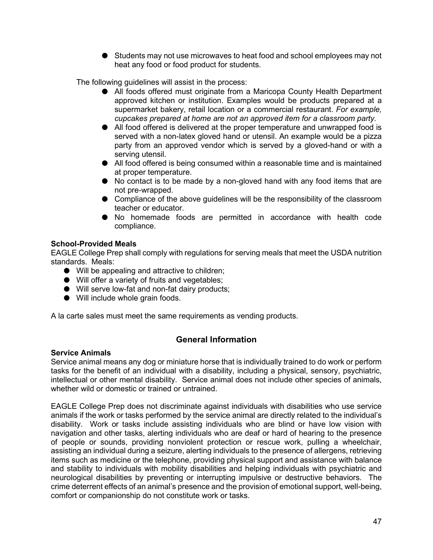● Students may not use microwaves to heat food and school employees may not heat any food or food product for students.

The following guidelines will assist in the process:

- All foods offered must originate from a Maricopa County Health Department approved kitchen or institution. Examples would be products prepared at a supermarket bakery, retail location or a commercial restaurant. *For example, cupcakes prepared at home are not an approved item for a classroom party.*
- All food offered is delivered at the proper temperature and unwrapped food is served with a non-latex gloved hand or utensil. An example would be a pizza party from an approved vendor which is served by a gloved-hand or with a serving utensil.
- All food offered is being consumed within a reasonable time and is maintained at proper temperature.
- No contact is to be made by a non-gloved hand with any food items that are not pre-wrapped.
- Compliance of the above guidelines will be the responsibility of the classroom teacher or educator.
- No homemade foods are permitted in accordance with health code compliance.

#### <span id="page-47-0"></span>**School-Provided Meals**

EAGLE College Prep shall comply with regulations for serving meals that meet the USDA nutrition standards. Meals:

- Will be appealing and attractive to children;
- Will offer a variety of fruits and vegetables;
- Will serve low-fat and non-fat dairy products;
- Will include whole grain foods.

<span id="page-47-1"></span>A la carte sales must meet the same requirements as vending products.

#### **General Information**

#### <span id="page-47-2"></span>**Service Animals**

Service animal means any dog or miniature horse that is individually trained to do work or perform tasks for the benefit of an individual with a disability, including a physical, sensory, psychiatric, intellectual or other mental disability. Service animal does not include other species of animals, whether wild or domestic or trained or untrained.

EAGLE College Prep does not discriminate against individuals with disabilities who use service animals if the work or tasks performed by the service animal are directly related to the individual's disability. Work or tasks include assisting individuals who are blind or have low vision with navigation and other tasks, alerting individuals who are deaf or hard of hearing to the presence of people or sounds, providing nonviolent protection or rescue work, pulling a wheelchair, assisting an individual during a seizure, alerting individuals to the presence of allergens, retrieving items such as medicine or the telephone, providing physical support and assistance with balance and stability to individuals with mobility disabilities and helping individuals with psychiatric and neurological disabilities by preventing or interrupting impulsive or destructive behaviors. The crime deterrent effects of an animal's presence and the provision of emotional support, well-being, comfort or companionship do not constitute work or tasks.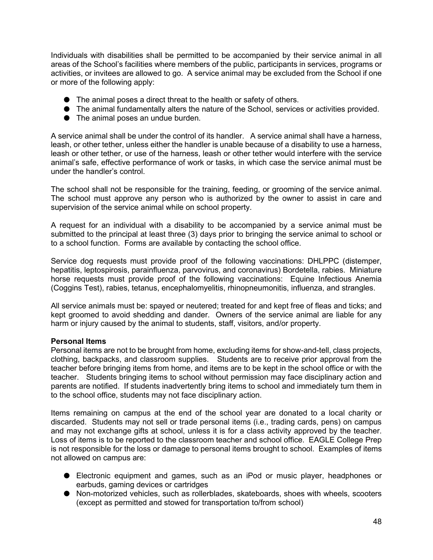Individuals with disabilities shall be permitted to be accompanied by their service animal in all areas of the School's facilities where members of the public, participants in services, programs or activities, or invitees are allowed to go. A service animal may be excluded from the School if one or more of the following apply:

- The animal poses a direct threat to the health or safety of others.
- The animal fundamentally alters the nature of the School, services or activities provided.
- The animal poses an undue burden.

A service animal shall be under the control of its handler. A service animal shall have a harness, leash, or other tether, unless either the handler is unable because of a disability to use a harness, leash or other tether, or use of the harness, leash or other tether would interfere with the service animal's safe, effective performance of work or tasks, in which case the service animal must be under the handler's control.

The school shall not be responsible for the training, feeding, or grooming of the service animal. The school must approve any person who is authorized by the owner to assist in care and supervision of the service animal while on school property.

A request for an individual with a disability to be accompanied by a service animal must be submitted to the principal at least three (3) days prior to bringing the service animal to school or to a school function. Forms are available by contacting the school office.

Service dog requests must provide proof of the following vaccinations: DHLPPC (distemper, hepatitis, leptospirosis, parainfluenza, parvovirus, and coronavirus) Bordetella, rabies. Miniature horse requests must provide proof of the following vaccinations: Equine Infectious Anemia (Coggins Test), rabies, tetanus, encephalomyelitis, rhinopneumonitis, influenza, and strangles.

All service animals must be: spayed or neutered; treated for and kept free of fleas and ticks; and kept groomed to avoid shedding and dander. Owners of the service animal are liable for any harm or injury caused by the animal to students, staff, visitors, and/or property.

#### <span id="page-48-0"></span>**Personal Items**

Personal items are not to be brought from home, excluding items for show-and-tell, class projects, clothing, backpacks, and classroom supplies. Students are to receive prior approval from the teacher before bringing items from home, and items are to be kept in the school office or with the teacher. Students bringing items to school without permission may face disciplinary action and parents are notified. If students inadvertently bring items to school and immediately turn them in to the school office, students may not face disciplinary action.

Items remaining on campus at the end of the school year are donated to a local charity or discarded. Students may not sell or trade personal items (i.e., trading cards, pens) on campus and may not exchange gifts at school, unless it is for a class activity approved by the teacher. Loss of items is to be reported to the classroom teacher and school office. EAGLE College Prep is not responsible for the loss or damage to personal items brought to school. Examples of items not allowed on campus are:

- Electronic equipment and games, such as an iPod or music player, headphones or earbuds, gaming devices or cartridges
- Non-motorized vehicles, such as rollerblades, skateboards, shoes with wheels, scooters (except as permitted and stowed for transportation to/from school)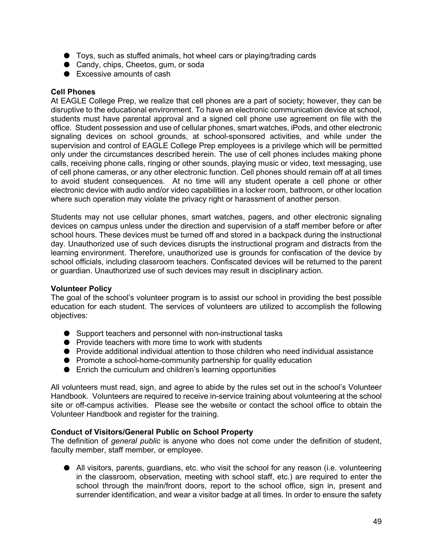- Toys, such as stuffed animals, hot wheel cars or playing/trading cards
- Candy, chips, Cheetos, gum, or soda
- Excessive amounts of cash

#### <span id="page-49-0"></span>**Cell Phones**

At EAGLE College Prep, we realize that cell phones are a part of society; however, they can be disruptive to the educational environment. To have an electronic communication device at school, students must have parental approval and a signed cell phone use agreement on file with the office. Student possession and use of cellular phones, smart watches, iPods, and other electronic signaling devices on school grounds, at school-sponsored activities, and while under the supervision and control of EAGLE College Prep employees is a privilege which will be permitted only under the circumstances described herein. The use of cell phones includes making phone calls, receiving phone calls, ringing or other sounds, playing music or video, text messaging, use of cell phone cameras, or any other electronic function. Cell phones should remain off at all times to avoid student consequences. At no time will any student operate a cell phone or other electronic device with audio and/or video capabilities in a locker room, bathroom, or other location where such operation may violate the privacy right or harassment of another person.

Students may not use cellular phones, smart watches, pagers, and other electronic signaling devices on campus unless under the direction and supervision of a staff member before or after school hours. These devices must be turned off and stored in a backpack during the instructional day. Unauthorized use of such devices disrupts the instructional program and distracts from the learning environment. Therefore, unauthorized use is grounds for confiscation of the device by school officials, including classroom teachers. Confiscated devices will be returned to the parent or guardian. Unauthorized use of such devices may result in disciplinary action.

#### <span id="page-49-1"></span>**Volunteer Policy**

The goal of the school's volunteer program is to assist our school in providing the best possible education for each student. The services of volunteers are utilized to accomplish the following objectives:

- Support teachers and personnel with non-instructional tasks
- Provide teachers with more time to work with students
- Provide additional individual attention to those children who need individual assistance
- Promote a school-home-community partnership for quality education
- Enrich the curriculum and children's learning opportunities

All volunteers must read, sign, and agree to abide by the rules set out in the school's Volunteer Handbook. Volunteers are required to receive in-service training about volunteering at the school site or off-campus activities. Please see the website or contact the school office to obtain the Volunteer Handbook and register for the training.

#### <span id="page-49-2"></span>**Conduct of Visitors/General Public on School Property**

The definition of *general public* is anyone who does not come under the definition of student, faculty member, staff member, or employee.

● All visitors, parents, guardians, etc. who visit the school for any reason (i.e. volunteering in the classroom, observation, meeting with school staff, etc.) are required to enter the school through the main/front doors, report to the school office, sign in, present and surrender identification, and wear a visitor badge at all times. In order to ensure the safety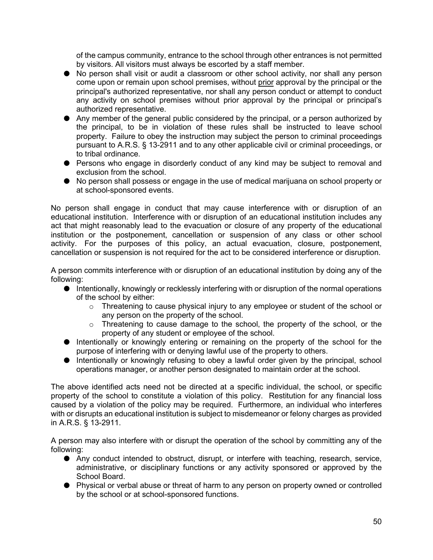of the campus community, entrance to the school through other entrances is not permitted by visitors. All visitors must always be escorted by a staff member.

- No person shall visit or audit a classroom or other school activity, nor shall any person come upon or remain upon school premises, without prior approval by the principal or the principal's authorized representative, nor shall any person conduct or attempt to conduct any activity on school premises without prior approval by the principal or principal's authorized representative.
- Any member of the general public considered by the principal, or a person authorized by the principal, to be in violation of these rules shall be instructed to leave school property. Failure to obey the instruction may subject the person to criminal proceedings pursuant to A.R.S. § 13-2911 and to any other applicable civil or criminal proceedings, or to tribal ordinance.
- Persons who engage in disorderly conduct of any kind may be subject to removal and exclusion from the school.
- No person shall possess or engage in the use of medical marijuana on school property or at school-sponsored events.

No person shall engage in conduct that may cause interference with or disruption of an educational institution. Interference with or disruption of an educational institution includes any act that might reasonably lead to the evacuation or closure of any property of the educational institution or the postponement, cancellation or suspension of any class or other school activity. For the purposes of this policy, an actual evacuation, closure, postponement, cancellation or suspension is not required for the act to be considered interference or disruption.

A person commits interference with or disruption of an educational institution by doing any of the following:

- Intentionally, knowingly or recklessly interfering with or disruption of the normal operations of the school by either:
	- o Threatening to cause physical injury to any employee or student of the school or any person on the property of the school.
	- o Threatening to cause damage to the school, the property of the school, or the property of any student or employee of the school.
- Intentionally or knowingly entering or remaining on the property of the school for the purpose of interfering with or denying lawful use of the property to others.
- Intentionally or knowingly refusing to obey a lawful order given by the principal, school operations manager, or another person designated to maintain order at the school.

The above identified acts need not be directed at a specific individual, the school, or specific property of the school to constitute a violation of this policy. Restitution for any financial loss caused by a violation of the policy may be required. Furthermore, an individual who interferes with or disrupts an educational institution is subject to misdemeanor or felony charges as provided in A.R.S. § 13-2911.

A person may also interfere with or disrupt the operation of the school by committing any of the following:

- Any conduct intended to obstruct, disrupt, or interfere with teaching, research, service, administrative, or disciplinary functions or any activity sponsored or approved by the School Board.
- Physical or verbal abuse or threat of harm to any person on property owned or controlled by the school or at school-sponsored functions.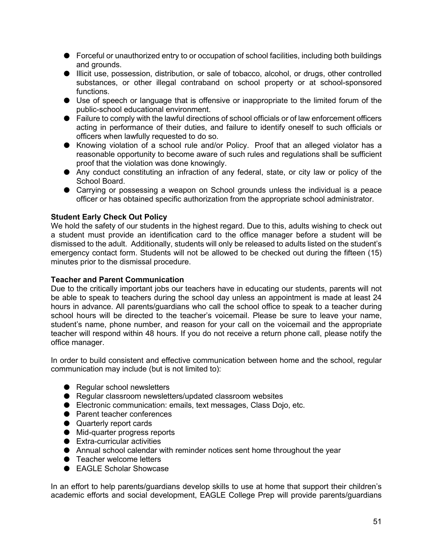- Forceful or unauthorized entry to or occupation of school facilities, including both buildings and grounds.
- Illicit use, possession, distribution, or sale of tobacco, alcohol, or drugs, other controlled substances, or other illegal contraband on school property or at school-sponsored functions.
- Use of speech or language that is offensive or inappropriate to the limited forum of the public-school educational environment.
- Failure to comply with the lawful directions of school officials or of law enforcement officers acting in performance of their duties, and failure to identify oneself to such officials or officers when lawfully requested to do so.
- Knowing violation of a school rule and/or Policy. Proof that an alleged violator has a reasonable opportunity to become aware of such rules and regulations shall be sufficient proof that the violation was done knowingly.
- Any conduct constituting an infraction of any federal, state, or city law or policy of the School Board.
- Carrying or possessing a weapon on School grounds unless the individual is a peace officer or has obtained specific authorization from the appropriate school administrator.

#### <span id="page-51-0"></span>**Student Early Check Out Policy**

We hold the safety of our students in the highest regard. Due to this, adults wishing to check out a student must provide an identification card to the office manager before a student will be dismissed to the adult. Additionally, students will only be released to adults listed on the student's emergency contact form. Students will not be allowed to be checked out during the fifteen (15) minutes prior to the dismissal procedure.

#### <span id="page-51-1"></span>**Teacher and Parent Communication**

Due to the critically important jobs our teachers have in educating our students, parents will not be able to speak to teachers during the school day unless an appointment is made at least 24 hours in advance. All parents/guardians who call the school office to speak to a teacher during school hours will be directed to the teacher's voicemail. Please be sure to leave your name, student's name, phone number, and reason for your call on the voicemail and the appropriate teacher will respond within 48 hours. If you do not receive a return phone call, please notify the office manager.

In order to build consistent and effective communication between home and the school, regular communication may include (but is not limited to):

- Regular school newsletters
- Regular classroom newsletters/updated classroom websites
- Electronic communication: emails, text messages, Class Dojo, etc.
- Parent teacher conferences
- Quarterly report cards
- Mid-quarter progress reports
- Extra-curricular activities
- Annual school calendar with reminder notices sent home throughout the year
- Teacher welcome letters
- EAGLE Scholar Showcase

In an effort to help parents/guardians develop skills to use at home that support their children's academic efforts and social development, EAGLE College Prep will provide parents/guardians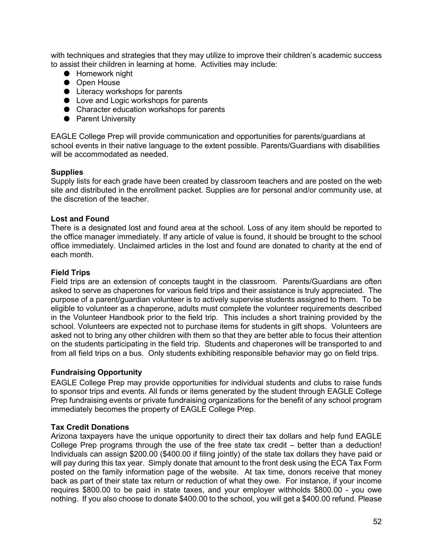with techniques and strategies that they may utilize to improve their children's academic success to assist their children in learning at home. Activities may include:

- Homework night
- Open House
- Literacy workshops for parents
- Love and Logic workshops for parents
- Character education workshops for parents
- Parent University

EAGLE College Prep will provide communication and opportunities for parents/guardians at school events in their native language to the extent possible. Parents/Guardians with disabilities will be accommodated as needed.

#### <span id="page-52-0"></span>**Supplies**

Supply lists for each grade have been created by classroom teachers and are posted on the web site and distributed in the enrollment packet. Supplies are for personal and/or community use, at the discretion of the teacher.

#### <span id="page-52-1"></span>**Lost and Found**

There is a designated lost and found area at the school. Loss of any item should be reported to the office manager immediately. If any article of value is found, it should be brought to the school office immediately. Unclaimed articles in the lost and found are donated to charity at the end of each month.

#### <span id="page-52-2"></span>**Field Trips**

Field trips are an extension of concepts taught in the classroom. Parents/Guardians are often asked to serve as chaperones for various field trips and their assistance is truly appreciated. The purpose of a parent/guardian volunteer is to actively supervise students assigned to them. To be eligible to volunteer as a chaperone, adults must complete the volunteer requirements described in the Volunteer Handbook prior to the field trip. This includes a short training provided by the school. Volunteers are expected not to purchase items for students in gift shops. Volunteers are asked not to bring any other children with them so that they are better able to focus their attention on the students participating in the field trip. Students and chaperones will be transported to and from all field trips on a bus. Only students exhibiting responsible behavior may go on field trips.

#### <span id="page-52-3"></span>**Fundraising Opportunity**

EAGLE College Prep may provide opportunities for individual students and clubs to raise funds to sponsor trips and events. All funds or items generated by the student through EAGLE College Prep fundraising events or private fundraising organizations for the benefit of any school program immediately becomes the property of EAGLE College Prep.

#### <span id="page-52-4"></span>**Tax Credit Donations**

Arizona taxpayers have the unique opportunity to direct their tax dollars and help fund EAGLE College Prep programs through the use of the free state tax credit – better than a deduction! Individuals can assign \$200.00 (\$400.00 if filing jointly) of the state tax dollars they have paid or will pay during this tax year. Simply donate that amount to the front desk using the ECA Tax Form posted on the family information page of the website. At tax time, donors receive that money back as part of their state tax return or reduction of what they owe. For instance, if your income requires \$800.00 to be paid in state taxes, and your employer withholds \$800.00 - you owe nothing. If you also choose to donate \$400.00 to the school, you will get a \$400.00 refund. Please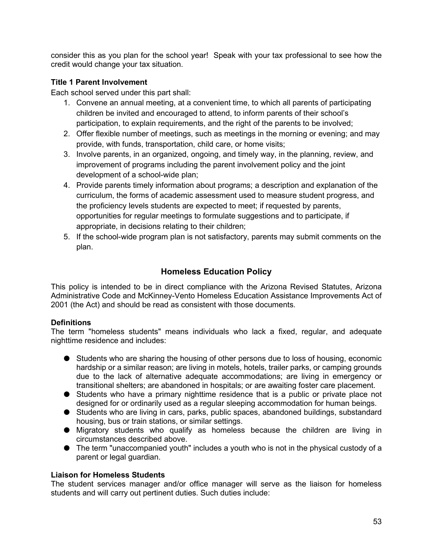consider this as you plan for the school year! Speak with your tax professional to see how the credit would change your tax situation.

#### <span id="page-53-0"></span>**Title 1 Parent Involvement**

Each school served under this part shall:

- 1. Convene an annual meeting, at a convenient time, to which all parents of participating children be invited and encouraged to attend, to inform parents of their school's participation, to explain requirements, and the right of the parents to be involved;
- 2. Offer flexible number of meetings, such as meetings in the morning or evening; and may provide, with funds, transportation, child care, or home visits;
- 3. Involve parents, in an organized, ongoing, and timely way, in the planning, review, and improvement of programs including the parent involvement policy and the joint development of a school-wide plan;
- 4. Provide parents timely information about programs; a description and explanation of the curriculum, the forms of academic assessment used to measure student progress, and the proficiency levels students are expected to meet; if requested by parents, opportunities for regular meetings to formulate suggestions and to participate, if appropriate, in decisions relating to their children;
- <span id="page-53-1"></span>5. If the school-wide program plan is not satisfactory, parents may submit comments on the plan.

#### **Homeless Education Policy**

This policy is intended to be in direct compliance with the Arizona Revised Statutes, Arizona Administrative Code and McKinney-Vento Homeless Education Assistance Improvements Act of 2001 (the Act) and should be read as consistent with those documents.

#### <span id="page-53-2"></span>**Definitions**

The term "homeless students" means individuals who lack a fixed, regular, and adequate nighttime residence and includes:

- Students who are sharing the housing of other persons due to loss of housing, economic hardship or a similar reason; are living in motels, hotels, trailer parks, or camping grounds due to the lack of alternative adequate accommodations; are living in emergency or transitional shelters; are abandoned in hospitals; or are awaiting foster care placement.
- Students who have a primary nighttime residence that is a public or private place not designed for or ordinarily used as a regular sleeping accommodation for human beings.
- Students who are living in cars, parks, public spaces, abandoned buildings, substandard housing, bus or train stations, or similar settings.
- Migratory students who qualify as homeless because the children are living in circumstances described above.
- The term "unaccompanied youth" includes a youth who is not in the physical custody of a parent or legal guardian.

#### <span id="page-53-3"></span>**Liaison for Homeless Students**

The student services manager and/or office manager will serve as the liaison for homeless students and will carry out pertinent duties. Such duties include: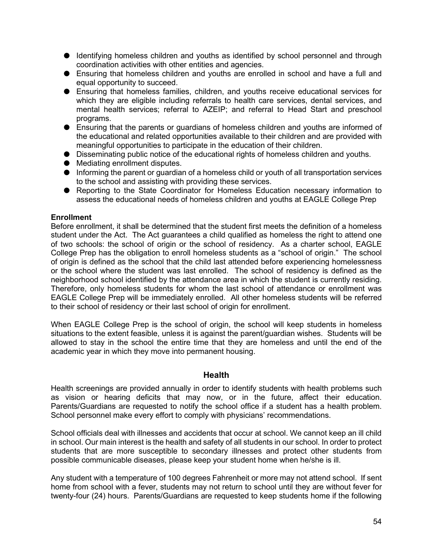- Identifying homeless children and youths as identified by school personnel and through coordination activities with other entities and agencies.
- Ensuring that homeless children and youths are enrolled in school and have a full and equal opportunity to succeed.
- Ensuring that homeless families, children, and youths receive educational services for which they are eligible including referrals to health care services, dental services, and mental health services; referral to AZEIP; and referral to Head Start and preschool programs.
- Ensuring that the parents or guardians of homeless children and youths are informed of the educational and related opportunities available to their children and are provided with meaningful opportunities to participate in the education of their children.
- Disseminating public notice of the educational rights of homeless children and youths.
- Mediating enrollment disputes.
- Informing the parent or guardian of a homeless child or youth of all transportation services to the school and assisting with providing these services.
- Reporting to the State Coordinator for Homeless Education necessary information to assess the educational needs of homeless children and youths at EAGLE College Prep

#### <span id="page-54-0"></span>**Enrollment**

Before enrollment, it shall be determined that the student first meets the definition of a homeless student under the Act. The Act guarantees a child qualified as homeless the right to attend one of two schools: the school of origin or the school of residency. As a charter school, EAGLE College Prep has the obligation to enroll homeless students as a "school of origin." The school of origin is defined as the school that the child last attended before experiencing homelessness or the school where the student was last enrolled. The school of residency is defined as the neighborhood school identified by the attendance area in which the student is currently residing. Therefore, only homeless students for whom the last school of attendance or enrollment was EAGLE College Prep will be immediately enrolled. All other homeless students will be referred to their school of residency or their last school of origin for enrollment.

When EAGLE College Prep is the school of origin, the school will keep students in homeless situations to the extent feasible, unless it is against the parent/guardian wishes. Students will be allowed to stay in the school the entire time that they are homeless and until the end of the academic year in which they move into permanent housing.

#### **Health**

<span id="page-54-1"></span>Health screenings are provided annually in order to identify students with health problems such as vision or hearing deficits that may now, or in the future, affect their education. Parents/Guardians are requested to notify the school office if a student has a health problem. School personnel make every effort to comply with physicians' recommendations.

School officials deal with illnesses and accidents that occur at school. We cannot keep an ill child in school. Our main interest is the health and safety of all students in our school. In order to protect students that are more susceptible to secondary illnesses and protect other students from possible communicable diseases, please keep your student home when he/she is ill.

Any student with a temperature of 100 degrees Fahrenheit or more may not attend school. If sent home from school with a fever, students may not return to school until they are without fever for twenty-four (24) hours. Parents/Guardians are requested to keep students home if the following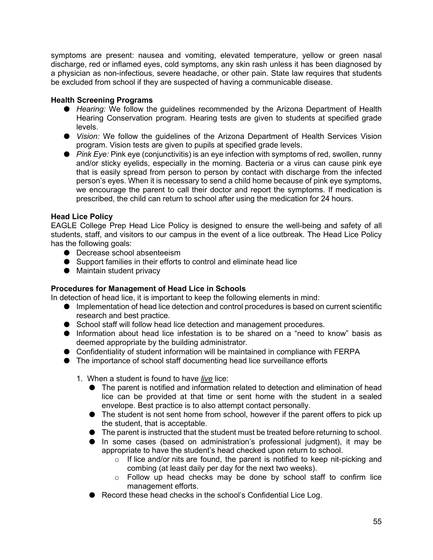symptoms are present: nausea and vomiting, elevated temperature, yellow or green nasal discharge, red or inflamed eyes, cold symptoms, any skin rash unless it has been diagnosed by a physician as non-infectious, severe headache, or other pain. State law requires that students be excluded from school if they are suspected of having a communicable disease.

#### <span id="page-55-0"></span>**Health Screening Programs**

- *Hearing:* We follow the guidelines recommended by the Arizona Department of Health Hearing Conservation program. Hearing tests are given to students at specified grade levels.
- *Vision:* We follow the guidelines of the Arizona Department of Health Services Vision program. Vision tests are given to pupils at specified grade levels.
- *Pink Eye:* Pink eye (conjunctivitis) is an eye infection with symptoms of red, swollen, runny and/or sticky eyelids, especially in the morning. Bacteria or a virus can cause pink eye that is easily spread from person to person by contact with discharge from the infected person's eyes. When it is necessary to send a child home because of pink eye symptoms, we encourage the parent to call their doctor and report the symptoms. If medication is prescribed, the child can return to school after using the medication for 24 hours.

#### <span id="page-55-1"></span>**Head Lice Policy**

EAGLE College Prep Head Lice Policy is designed to ensure the well-being and safety of all students, staff, and visitors to our campus in the event of a lice outbreak. The Head Lice Policy has the following goals:

- Decrease school absenteeism
- Support families in their efforts to control and eliminate head lice
- Maintain student privacy

#### <span id="page-55-2"></span>**Procedures for Management of Head Lice in Schools**

In detection of head lice, it is important to keep the following elements in mind:

- Implementation of head lice detection and control procedures is based on current scientific research and best practice.
- School staff will follow head lice detection and management procedures.
- Information about head lice infestation is to be shared on a "need to know" basis as deemed appropriate by the building administrator.
- Confidentiality of student information will be maintained in compliance with FERPA
- The importance of school staff documenting head lice surveillance efforts
	- 1. When a student is found to have *live* lice:
		- The parent is notified and information related to detection and elimination of head lice can be provided at that time or sent home with the student in a sealed envelope. Best practice is to also attempt contact personally.
		- The student is not sent home from school, however if the parent offers to pick up the student, that is acceptable.
		- The parent is instructed that the student must be treated before returning to school.
		- In some cases (based on administration's professional judgment), it may be appropriate to have the student's head checked upon return to school.
			- o If lice and/or nits are found, the parent is notified to keep nit-picking and combing (at least daily per day for the next two weeks).
			- $\circ$  Follow up head checks may be done by school staff to confirm lice management efforts.
		- Record these head checks in the school's Confidential Lice Log.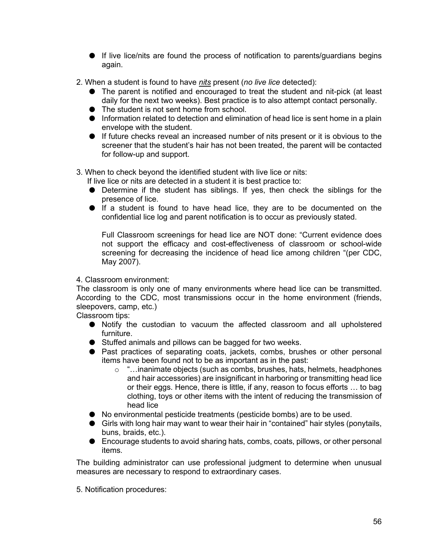- If live lice/nits are found the process of notification to parents/guardians begins again.
- 2. When a student is found to have *nits* present (*no live lice* detected):
	- The parent is notified and encouraged to treat the student and nit-pick (at least daily for the next two weeks). Best practice is to also attempt contact personally.
	- The student is not sent home from school.
	- Information related to detection and elimination of head lice is sent home in a plain envelope with the student.
	- If future checks reveal an increased number of nits present or it is obvious to the screener that the student's hair has not been treated, the parent will be contacted for follow-up and support.
- 3. When to check beyond the identified student with live lice or nits:

If live lice or nits are detected in a student it is best practice to:

- Determine if the student has siblings. If yes, then check the siblings for the presence of lice.
- If a student is found to have head lice, they are to be documented on the confidential lice log and parent notification is to occur as previously stated.

Full Classroom screenings for head lice are NOT done: "Current evidence does not support the efficacy and cost-effectiveness of classroom or school-wide screening for decreasing the incidence of head lice among children "(per CDC, May 2007).

#### 4. Classroom environment:

The classroom is only one of many environments where head lice can be transmitted. According to the CDC, most transmissions occur in the home environment (friends, sleepovers, camp, etc.)

Classroom tips:

- Notify the custodian to vacuum the affected classroom and all upholstered furniture.
- Stuffed animals and pillows can be bagged for two weeks.
- Past practices of separating coats, jackets, combs, brushes or other personal items have been found not to be as important as in the past:
	- o "…inanimate objects (such as combs, brushes, hats, helmets, headphones and hair accessories) are insignificant in harboring or transmitting head lice or their eggs. Hence, there is little, if any, reason to focus efforts … to bag clothing, toys or other items with the intent of reducing the transmission of head lice
- No environmental pesticide treatments (pesticide bombs) are to be used.
- Girls with long hair may want to wear their hair in "contained" hair styles (ponytails, buns, braids, etc.).
- Encourage students to avoid sharing hats, combs, coats, pillows, or other personal items.

The building administrator can use professional judgment to determine when unusual measures are necessary to respond to extraordinary cases.

5. Notification procedures: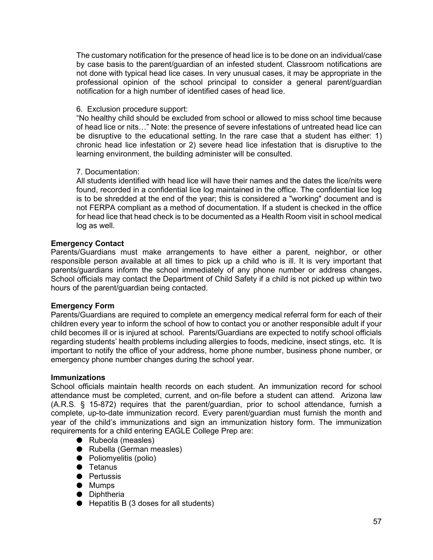The customary notification for the presence of head lice is to be done on an individual/case by case basis to the parent/guardian of an infested student. Classroom notifications are not done with typical head lice cases. In very unusual cases, it may be appropriate in the professional opinion of the school principal to consider a general parent/guardian notification for a high number of identified cases of head lice.

#### 6. Exclusion procedure support:

"No healthy child should be excluded from school or allowed to miss school time because of head lice or nits…" Note: the presence of severe infestations of untreated head lice can be disruptive to the educational setting. In the rare case that a student has either: 1) chronic head lice infestation or 2) severe head lice infestation that is disruptive to the learning environment, the building administer will be consulted.

#### 7. Documentation:

All students identified with head lice will have their names and the dates the lice/nits were found, recorded in a confidential lice log maintained in the office. The confidential lice log is to be shredded at the end of the year; this is considered a "working" document and is not FERPA compliant as a method of documentation. If a student is checked in the office for head lice that head check is to be documented as a Health Room visit in school medical log as well.

#### <span id="page-57-0"></span>**Emergency Contact**

Parents/Guardians must make arrangements to have either a parent, neighbor, or other responsible person available at all times to pick up a child who is ill. It is very important that parents/guardians inform the school immediately of any phone number or address changes**.**  School officials may contact the Department of Child Safety if a child is not picked up within two hours of the parent/guardian being contacted.

#### <span id="page-57-1"></span>**Emergency Form**

Parents/Guardians are required to complete an emergency medical referral form for each of their children every year to inform the school of how to contact you or another responsible adult if your child becomes ill or is injured at school. Parents/Guardians are expected to notify school officials regarding students' health problems including allergies to foods, medicine, insect stings, etc. It is important to notify the office of your address, home phone number, business phone number, or emergency phone number changes during the school year.

#### <span id="page-57-2"></span>**Immunizations**

School officials maintain health records on each student. An immunization record for school attendance must be completed, current, and on-file before a student can attend. Arizona law (A.R.S. § 15-872) requires that the parent/guardian, prior to school attendance, furnish a complete, up-to-date immunization record. Every parent/guardian must furnish the month and year of the child's immunizations and sign an immunization history form. The immunization requirements for a child entering EAGLE College Prep are:

- Rubeola (measles)
- Rubella (German measles)
- Poliomyelitis (polio)
- Tetanus
- Pertussis
- Mumps
- Diphtheria
- $\bullet$  Hepatitis B (3 doses for all students)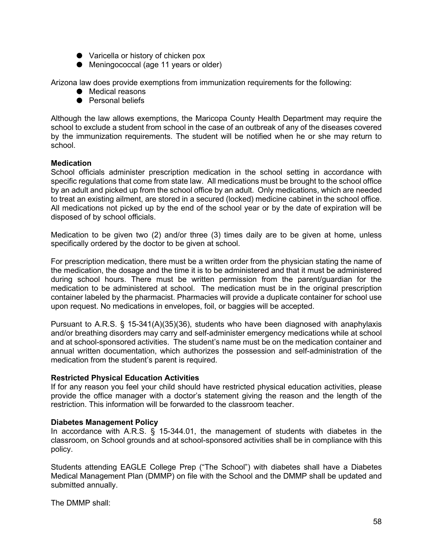- Varicella or history of chicken pox
- Meningococcal (age 11 years or older)

Arizona law does provide exemptions from immunization requirements for the following:

- Medical reasons
- Personal beliefs

Although the law allows exemptions, the Maricopa County Health Department may require the school to exclude a student from school in the case of an outbreak of any of the diseases covered by the immunization requirements. The student will be notified when he or she may return to school.

#### <span id="page-58-0"></span>**Medication**

School officials administer prescription medication in the school setting in accordance with specific regulations that come from state law. All medications must be brought to the school office by an adult and picked up from the school office by an adult. Only medications, which are needed to treat an existing ailment, are stored in a secured (locked) medicine cabinet in the school office. All medications not picked up by the end of the school year or by the date of expiration will be disposed of by school officials.

Medication to be given two (2) and/or three (3) times daily are to be given at home, unless specifically ordered by the doctor to be given at school.

For prescription medication, there must be a written order from the physician stating the name of the medication, the dosage and the time it is to be administered and that it must be administered during school hours. There must be written permission from the parent/guardian for the medication to be administered at school. The medication must be in the original prescription container labeled by the pharmacist. Pharmacies will provide a duplicate container for school use upon request. No medications in envelopes, foil, or baggies will be accepted.

Pursuant to A.R.S. § 15-341(A)(35)(36), students who have been diagnosed with anaphylaxis and/or breathing disorders may carry and self-administer emergency medications while at school and at school-sponsored activities. The student's name must be on the medication container and annual written documentation, which authorizes the possession and self-administration of the medication from the student's parent is required.

#### <span id="page-58-1"></span>**Restricted Physical Education Activities**

If for any reason you feel your child should have restricted physical education activities, please provide the office manager with a doctor's statement giving the reason and the length of the restriction. This information will be forwarded to the classroom teacher.

#### <span id="page-58-2"></span>**Diabetes Management Policy**

In accordance with A.R.S. § 15-344.01, the management of students with diabetes in the classroom, on School grounds and at school-sponsored activities shall be in compliance with this policy.

Students attending EAGLE College Prep ("The School") with diabetes shall have a Diabetes Medical Management Plan (DMMP) on file with the School and the DMMP shall be updated and submitted annually.

The DMMP shall: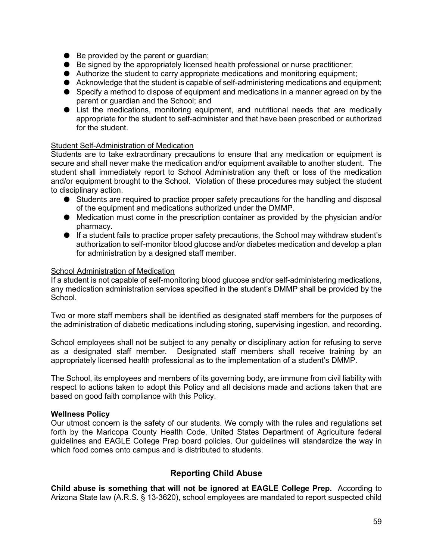- $\bullet$  Be provided by the parent or guardian;
- Be signed by the appropriately licensed health professional or nurse practitioner;
- Authorize the student to carry appropriate medications and monitoring equipment;
- Acknowledge that the student is capable of self-administering medications and equipment;
- Specify a method to dispose of equipment and medications in a manner agreed on by the parent or guardian and the School; and
- List the medications, monitoring equipment, and nutritional needs that are medically appropriate for the student to self-administer and that have been prescribed or authorized for the student.

#### <span id="page-59-0"></span>Student Self-Administration of Medication

Students are to take extraordinary precautions to ensure that any medication or equipment is secure and shall never make the medication and/or equipment available to another student. The student shall immediately report to School Administration any theft or loss of the medication and/or equipment brought to the School. Violation of these procedures may subject the student to disciplinary action.

- Students are required to practice proper safety precautions for the handling and disposal of the equipment and medications authorized under the DMMP.
- Medication must come in the prescription container as provided by the physician and/or pharmacy.
- If a student fails to practice proper safety precautions, the School may withdraw student's authorization to self-monitor blood glucose and/or diabetes medication and develop a plan for administration by a designed staff member.

#### <span id="page-59-1"></span>School Administration of Medication

If a student is not capable of self-monitoring blood glucose and/or self-administering medications, any medication administration services specified in the student's DMMP shall be provided by the School.

Two or more staff members shall be identified as designated staff members for the purposes of the administration of diabetic medications including storing, supervising ingestion, and recording.

School employees shall not be subject to any penalty or disciplinary action for refusing to serve as a designated staff member. Designated staff members shall receive training by an appropriately licensed health professional as to the implementation of a student's DMMP.

The School, its employees and members of its governing body, are immune from civil liability with respect to actions taken to adopt this Policy and all decisions made and actions taken that are based on good faith compliance with this Policy.

#### <span id="page-59-2"></span>**Wellness Policy**

Our utmost concern is the safety of our students. We comply with the rules and regulations set forth by the Maricopa County Health Code, United States Department of Agriculture federal guidelines and EAGLE College Prep board policies. Our guidelines will standardize the way in which food comes onto campus and is distributed to students.

#### **Reporting Child Abuse**

<span id="page-59-3"></span>**Child abuse is something that will not be ignored at EAGLE College Prep.** According to Arizona State law (A.R.S. § 13-3620), school employees are mandated to report suspected child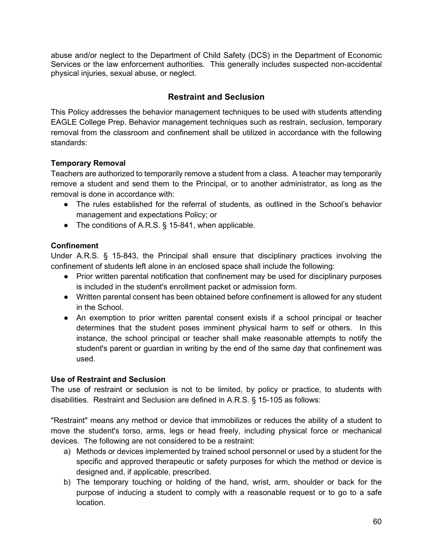<span id="page-60-0"></span>abuse and/or neglect to the Department of Child Safety (DCS) in the Department of Economic Services or the law enforcement authorities. This generally includes suspected non-accidental physical injuries, sexual abuse, or neglect.

#### **Restraint and Seclusion**

This Policy addresses the behavior management techniques to be used with students attending EAGLE College Prep. Behavior management techniques such as restrain, seclusion, temporary removal from the classroom and confinement shall be utilized in accordance with the following standards:

#### <span id="page-60-1"></span>**Temporary Removal**

Teachers are authorized to temporarily remove a student from a class. A teacher may temporarily remove a student and send them to the Principal, or to another administrator, as long as the removal is done in accordance with:

- The rules established for the referral of students, as outlined in the School's behavior management and expectations Policy; or
- The conditions of A.R.S. § 15-841, when applicable.

#### <span id="page-60-2"></span>**Confinement**

Under A.R.S. § 15-843, the Principal shall ensure that disciplinary practices involving the confinement of students left alone in an enclosed space shall include the following:

- Prior written parental notification that confinement may be used for disciplinary purposes is included in the student's enrollment packet or admission form.
- Written parental consent has been obtained before confinement is allowed for any student in the School.
- An exemption to prior written parental consent exists if a school principal or teacher determines that the student poses imminent physical harm to self or others. In this instance, the school principal or teacher shall make reasonable attempts to notify the student's parent or guardian in writing by the end of the same day that confinement was used.

#### <span id="page-60-3"></span>**Use of Restraint and Seclusion**

The use of restraint or seclusion is not to be limited, by policy or practice, to students with disabilities. Restraint and Seclusion are defined in A.R.S. § 15-105 as follows:

"Restraint" means any method or device that immobilizes or reduces the ability of a student to move the student's torso, arms, legs or head freely, including physical force or mechanical devices. The following are not considered to be a restraint:

- a) Methods or devices implemented by trained school personnel or used by a student for the specific and approved therapeutic or safety purposes for which the method or device is designed and, if applicable, prescribed.
- b) The temporary touching or holding of the hand, wrist, arm, shoulder or back for the purpose of inducing a student to comply with a reasonable request or to go to a safe location.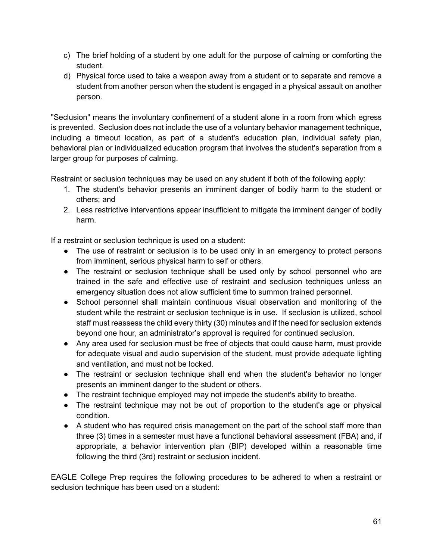- c) The brief holding of a student by one adult for the purpose of calming or comforting the student.
- d) Physical force used to take a weapon away from a student or to separate and remove a student from another person when the student is engaged in a physical assault on another person.

"Seclusion" means the involuntary confinement of a student alone in a room from which egress is prevented. Seclusion does not include the use of a voluntary behavior management technique, including a timeout location, as part of a student's education plan, individual safety plan, behavioral plan or individualized education program that involves the student's separation from a larger group for purposes of calming.

Restraint or seclusion techniques may be used on any student if both of the following apply:

- 1. The student's behavior presents an imminent danger of bodily harm to the student or others; and
- 2. Less restrictive interventions appear insufficient to mitigate the imminent danger of bodily harm.

If a restraint or seclusion technique is used on a student:

- The use of restraint or seclusion is to be used only in an emergency to protect persons from imminent, serious physical harm to self or others.
- The restraint or seclusion technique shall be used only by school personnel who are trained in the safe and effective use of restraint and seclusion techniques unless an emergency situation does not allow sufficient time to summon trained personnel.
- School personnel shall maintain continuous visual observation and monitoring of the student while the restraint or seclusion technique is in use. If seclusion is utilized, school staff must reassess the child every thirty (30) minutes and if the need for seclusion extends beyond one hour, an administrator's approval is required for continued seclusion.
- Any area used for seclusion must be free of objects that could cause harm, must provide for adequate visual and audio supervision of the student, must provide adequate lighting and ventilation, and must not be locked.
- The restraint or seclusion technique shall end when the student's behavior no longer presents an imminent danger to the student or others.
- The restraint technique employed may not impede the student's ability to breathe.
- The restraint technique may not be out of proportion to the student's age or physical condition.
- A student who has required crisis management on the part of the school staff more than three (3) times in a semester must have a functional behavioral assessment (FBA) and, if appropriate, a behavior intervention plan (BIP) developed within a reasonable time following the third (3rd) restraint or seclusion incident.

EAGLE College Prep requires the following procedures to be adhered to when a restraint or seclusion technique has been used on a student: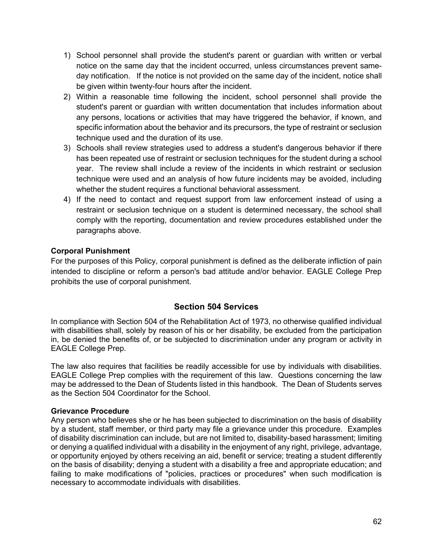- 1) School personnel shall provide the student's parent or guardian with written or verbal notice on the same day that the incident occurred, unless circumstances prevent sameday notification. If the notice is not provided on the same day of the incident, notice shall be given within twenty-four hours after the incident.
- 2) Within a reasonable time following the incident, school personnel shall provide the student's parent or guardian with written documentation that includes information about any persons, locations or activities that may have triggered the behavior, if known, and specific information about the behavior and its precursors, the type of restraint or seclusion technique used and the duration of its use.
- 3) Schools shall review strategies used to address a student's dangerous behavior if there has been repeated use of restraint or seclusion techniques for the student during a school year. The review shall include a review of the incidents in which restraint or seclusion technique were used and an analysis of how future incidents may be avoided, including whether the student requires a functional behavioral assessment.
- 4) If the need to contact and request support from law enforcement instead of using a restraint or seclusion technique on a student is determined necessary, the school shall comply with the reporting, documentation and review procedures established under the paragraphs above.

#### <span id="page-62-0"></span>**Corporal Punishment**

For the purposes of this Policy, corporal punishment is defined as the deliberate infliction of pain intended to discipline or reform a person's bad attitude and/or behavior. EAGLE College Prep prohibits the use of corporal punishment.

#### **Section 504 Services**

<span id="page-62-1"></span>In compliance with Section 504 of the Rehabilitation Act of 1973, no otherwise qualified individual with disabilities shall, solely by reason of his or her disability, be excluded from the participation in, be denied the benefits of, or be subjected to discrimination under any program or activity in EAGLE College Prep.

The law also requires that facilities be readily accessible for use by individuals with disabilities. EAGLE College Prep complies with the requirement of this law. Questions concerning the law may be addressed to the Dean of Students listed in this handbook. The Dean of Students serves as the Section 504 Coordinator for the School.

#### <span id="page-62-2"></span>**Grievance Procedure**

Any person who believes she or he has been subjected to discrimination on the basis of disability by a student, staff member, or third party may file a grievance under this procedure. Examples of disability discrimination can include, but are not limited to, disability-based harassment; limiting or denying a qualified individual with a disability in the enjoyment of any right, privilege, advantage, or opportunity enjoyed by others receiving an aid, benefit or service; treating a student differently on the basis of disability; denying a student with a disability a free and appropriate education; and failing to make modifications of "policies, practices or procedures" when such modification is necessary to accommodate individuals with disabilities.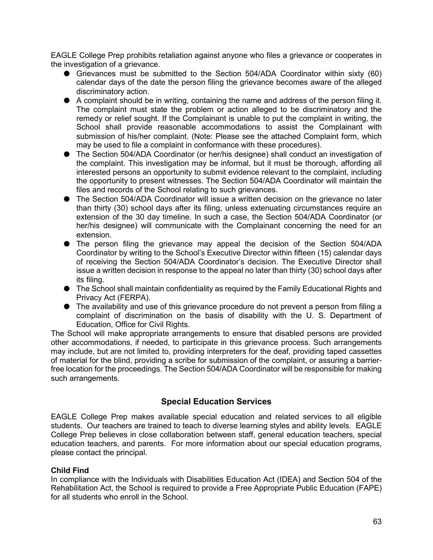EAGLE College Prep prohibits retaliation against anyone who files a grievance or cooperates in the investigation of a grievance.

- Grievances must be submitted to the Section 504/ADA Coordinator within sixty (60) calendar days of the date the person filing the grievance becomes aware of the alleged discriminatory action.
- A complaint should be in writing, containing the name and address of the person filing it. The complaint must state the problem or action alleged to be discriminatory and the remedy or relief sought. If the Complainant is unable to put the complaint in writing, the School shall provide reasonable accommodations to assist the Complainant with submission of his/her complaint. (Note: Please see the attached Complaint form, which may be used to file a complaint in conformance with these procedures).
- The Section 504/ADA Coordinator (or her/his designee) shall conduct an investigation of the complaint. This investigation may be informal, but it must be thorough, affording all interested persons an opportunity to submit evidence relevant to the complaint, including the opportunity to present witnesses. The Section 504/ADA Coordinator will maintain the files and records of the School relating to such grievances.
- The Section 504/ADA Coordinator will issue a written decision on the grievance no later than thirty (30) school days after its filing, unless extenuating circumstances require an extension of the 30 day timeline. In such a case, the Section 504/ADA Coordinator (or her/his designee) will communicate with the Complainant concerning the need for an extension.
- The person filing the grievance may appeal the decision of the Section 504/ADA Coordinator by writing to the School's Executive Director within fifteen (15) calendar days of receiving the Section 504/ADA Coordinator's decision. The Executive Director shall issue a written decision in response to the appeal no later than thirty (30) school days after its filing.
- The School shall maintain confidentiality as required by the Family Educational Rights and Privacy Act (FERPA).
- The availability and use of this grievance procedure do not prevent a person from filing a complaint of discrimination on the basis of disability with the U. S. Department of Education, Office for Civil Rights.

The School will make appropriate arrangements to ensure that disabled persons are provided other accommodations, if needed, to participate in this grievance process. Such arrangements may include, but are not limited to, providing interpreters for the deaf, providing taped cassettes of material for the blind, providing a scribe for submission of the complaint, or assuring a barrierfree location for the proceedings. The Section 504/ADA Coordinator will be responsible for making such arrangements.

#### **Special Education Services**

<span id="page-63-0"></span>EAGLE College Prep makes available special education and related services to all eligible students. Our teachers are trained to teach to diverse learning styles and ability levels. EAGLE College Prep believes in close collaboration between staff, general education teachers, special education teachers, and parents. For more information about our special education programs, please contact the principal.

#### <span id="page-63-1"></span>**Child Find**

In compliance with the Individuals with Disabilities Education Act (IDEA) and Section 504 of the Rehabilitation Act, the School is required to provide a Free Appropriate Public Education (FAPE) for all students who enroll in the School.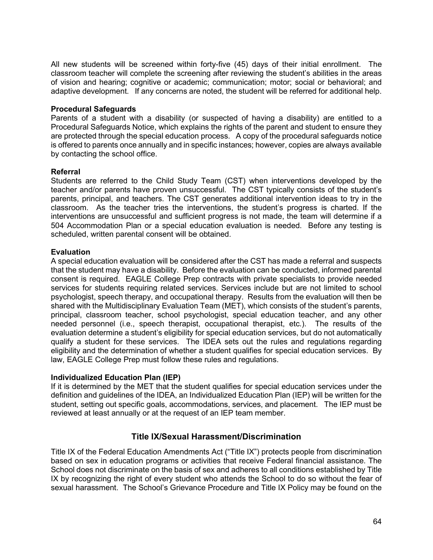All new students will be screened within forty-five (45) days of their initial enrollment. The classroom teacher will complete the screening after reviewing the student's abilities in the areas of vision and hearing; cognitive or academic; communication; motor; social or behavioral; and adaptive development. If any concerns are noted, the student will be referred for additional help.

#### <span id="page-64-0"></span>**Procedural Safeguards**

Parents of a student with a disability (or suspected of having a disability) are entitled to a Procedural Safeguards Notice, which explains the rights of the parent and student to ensure they are protected through the special education process. A copy of the procedural safeguards notice is offered to parents once annually and in specific instances; however, copies are always available by contacting the school office.

#### <span id="page-64-1"></span>**Referral**

Students are referred to the Child Study Team (CST) when interventions developed by the teacher and/or parents have proven unsuccessful. The CST typically consists of the student's parents, principal, and teachers. The CST generates additional intervention ideas to try in the classroom. As the teacher tries the interventions, the student's progress is charted. If the interventions are unsuccessful and sufficient progress is not made, the team will determine if a 504 Accommodation Plan or a special education evaluation is needed. Before any testing is scheduled, written parental consent will be obtained.

#### <span id="page-64-2"></span>**Evaluation**

A special education evaluation will be considered after the CST has made a referral and suspects that the student may have a disability. Before the evaluation can be conducted, informed parental consent is required. EAGLE College Prep contracts with private specialists to provide needed services for students requiring related services. Services include but are not limited to school psychologist, speech therapy, and occupational therapy. Results from the evaluation will then be shared with the Multidisciplinary Evaluation Team (MET), which consists of the student's parents, principal, classroom teacher, school psychologist, special education teacher, and any other needed personnel (i.e., speech therapist, occupational therapist, etc.). The results of the evaluation determine a student's eligibility for special education services, but do not automatically qualify a student for these services. The IDEA sets out the rules and regulations regarding eligibility and the determination of whether a student qualifies for special education services. By law, EAGLE College Prep must follow these rules and regulations.

#### <span id="page-64-3"></span>**Individualized Education Plan (IEP)**

If it is determined by the MET that the student qualifies for special education services under the definition and guidelines of the IDEA, an Individualized Education Plan (IEP) will be written for the student, setting out specific goals, accommodations, services, and placement. The IEP must be reviewed at least annually or at the request of an IEP team member.

#### **Title IX/Sexual Harassment/Discrimination**

<span id="page-64-4"></span>Title IX of the Federal Education Amendments Act ("Title IX") protects people from discrimination based on sex in education programs or activities that receive Federal financial assistance. The School does not discriminate on the basis of sex and adheres to all conditions established by Title IX by recognizing the right of every student who attends the School to do so without the fear of sexual harassment. The School's Grievance Procedure and Title IX Policy may be found on the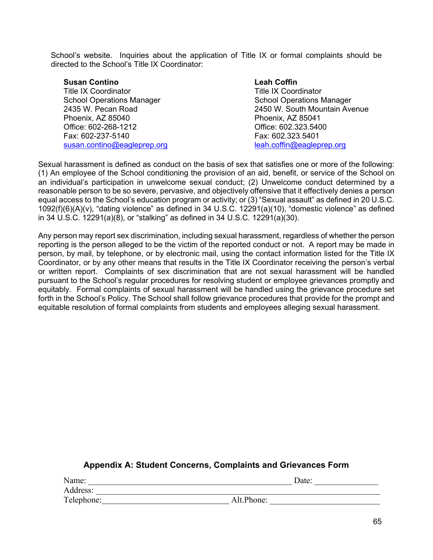School's website. Inquiries about the application of Title IX or formal complaints should be directed to the School's Title IX Coordinator:

| <b>Susan Contino</b>             | <b>Leah Coffin</b>               |
|----------------------------------|----------------------------------|
| <b>Title IX Coordinator</b>      | <b>Title IX Coordinator</b>      |
| <b>School Operations Manager</b> | <b>School Operations Manager</b> |
| 2435 W. Pecan Road               | 2450 W. South Mountain Avenue    |
| Phoenix, AZ 85040                | Phoenix, AZ 85041                |
| Office: 602-268-1212             | Office: 602.323.5400             |
| Fax: 602-237-5140                | Fax: 602.323.5401                |
| susan.contino@eagleprep.org      | leah.coffin@eagleprep.org        |

Sexual harassment is defined as conduct on the basis of sex that satisfies one or more of the following: (1) An employee of the School conditioning the provision of an aid, benefit, or service of the School on an individual's participation in unwelcome sexual conduct; (2) Unwelcome conduct determined by a reasonable person to be so severe, pervasive, and objectively offensive that it effectively denies a person equal access to the School's education program or activity; or (3) "Sexual assault" as defined in 20 U.S.C. 1092(f)(6)(A)(v), "dating violence" as defined in 34 U.S.C. 12291(a)(10), "domestic violence" as defined in 34 U.S.C. 12291(a)(8), or "stalking" as defined in 34 U.S.C. 12291(a)(30).

Any person may report sex discrimination, including sexual harassment, regardless of whether the person reporting is the person alleged to be the victim of the reported conduct or not. A report may be made in person, by mail, by telephone, or by electronic mail, using the contact information listed for the Title IX Coordinator, or by any other means that results in the Title IX Coordinator receiving the person's verbal or written report. Complaints of sex discrimination that are not sexual harassment will be handled pursuant to the School's regular procedures for resolving student or employee grievances promptly and equitably. Formal complaints of sexual harassment will be handled using the grievance procedure set forth in the School's Policy. The School shall follow grievance procedures that provide for the prompt and equitable resolution of formal complaints from students and employees alleging sexual harassment.

#### **Appendix A: Student Concerns, Complaints and Grievances Form**

<span id="page-65-0"></span>

| Name:      | Date:      |
|------------|------------|
| Address:   |            |
| Telephone: | Alt.Phone: |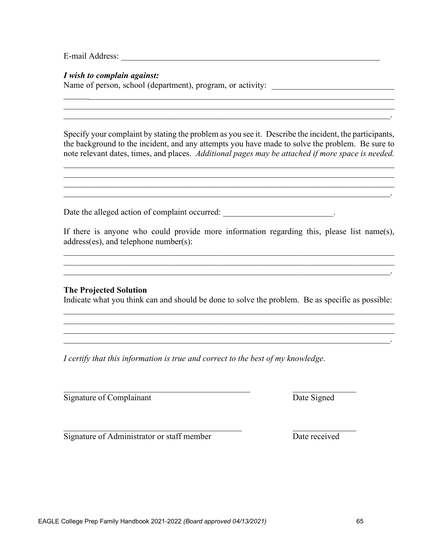E-mail Address:

*I wish to complain against:*

Name of person, school (department), program, or activity: \_\_\_\_\_\_\_\_\_\_\_\_\_\_\_\_\_\_\_\_\_\_

Specify your complaint by stating the problem as you see it. Describe the incident, the participants, the background to the incident, and any attempts you have made to solve the problem. Be sure to note relevant dates, times, and places. *Additional pages may be attached if more space is needed.*

 $\mathcal{L}_\mathcal{L} = \mathcal{L}_\mathcal{L} = \mathcal{L}_\mathcal{L} = \mathcal{L}_\mathcal{L} = \mathcal{L}_\mathcal{L} = \mathcal{L}_\mathcal{L} = \mathcal{L}_\mathcal{L} = \mathcal{L}_\mathcal{L} = \mathcal{L}_\mathcal{L} = \mathcal{L}_\mathcal{L} = \mathcal{L}_\mathcal{L} = \mathcal{L}_\mathcal{L} = \mathcal{L}_\mathcal{L} = \mathcal{L}_\mathcal{L} = \mathcal{L}_\mathcal{L} = \mathcal{L}_\mathcal{L} = \mathcal{L}_\mathcal{L}$ 

\_\_\_\_\_\_\_\_\_\_\_\_\_\_\_\_\_\_\_\_\_\_\_\_\_\_\_\_\_\_\_\_\_\_\_\_\_\_\_\_\_\_\_\_\_\_\_\_\_\_\_\_\_\_\_\_\_\_\_\_\_\_\_\_\_\_\_\_\_\_\_\_\_\_\_\_\_\_  $\mathcal{L}_\mathcal{L} = \{ \mathcal{L}_\mathcal{L} = \{ \mathcal{L}_\mathcal{L} = \{ \mathcal{L}_\mathcal{L} = \{ \mathcal{L}_\mathcal{L} = \{ \mathcal{L}_\mathcal{L} = \{ \mathcal{L}_\mathcal{L} = \{ \mathcal{L}_\mathcal{L} = \{ \mathcal{L}_\mathcal{L} = \{ \mathcal{L}_\mathcal{L} = \{ \mathcal{L}_\mathcal{L} = \{ \mathcal{L}_\mathcal{L} = \{ \mathcal{L}_\mathcal{L} = \{ \mathcal{L}_\mathcal{L} = \{ \mathcal{L}_\mathcal{$ 

\_\_\_\_\_\_\_\_\_\_\_\_\_\_\_\_\_\_\_\_\_\_\_\_\_\_\_\_\_\_\_\_\_\_\_\_\_\_\_\_\_\_\_\_\_\_\_\_\_\_\_\_\_\_\_\_\_\_\_\_\_\_\_\_\_\_\_\_\_\_\_\_\_\_\_\_\_\_  $\mathcal{L}_\mathcal{L} = \mathcal{L}_\mathcal{L} = \mathcal{L}_\mathcal{L} = \mathcal{L}_\mathcal{L} = \mathcal{L}_\mathcal{L} = \mathcal{L}_\mathcal{L} = \mathcal{L}_\mathcal{L} = \mathcal{L}_\mathcal{L} = \mathcal{L}_\mathcal{L} = \mathcal{L}_\mathcal{L} = \mathcal{L}_\mathcal{L} = \mathcal{L}_\mathcal{L} = \mathcal{L}_\mathcal{L} = \mathcal{L}_\mathcal{L} = \mathcal{L}_\mathcal{L} = \mathcal{L}_\mathcal{L} = \mathcal{L}_\mathcal{L}$ 

 $\mathcal{L} = \{ \mathcal{L} \mid \mathcal{L} \text{ and } \mathcal{L} \text{ and } \mathcal{L} \text{ and } \mathcal{L} \text{ and } \mathcal{L} \text{ and } \mathcal{L} \text{ and } \mathcal{L} \text{ and } \mathcal{L} \text{ and } \mathcal{L} \text{ and } \mathcal{L} \text{ and } \mathcal{L} \text{ and } \mathcal{L} \text{ and } \mathcal{L} \text{ and } \mathcal{L} \text{ and } \mathcal{L} \text{ and } \mathcal{L} \text{ and } \mathcal{L} \text{ and } \mathcal{L} \text{ and } \mathcal{L$ 

Date the alleged action of complaint occurred:  $\blacksquare$ 

If there is anyone who could provide more information regarding this, please list name(s), address(es), and telephone number(s):

 $\mathcal{L}_\mathcal{L} = \{ \mathcal{L}_\mathcal{L} = \{ \mathcal{L}_\mathcal{L} = \{ \mathcal{L}_\mathcal{L} = \{ \mathcal{L}_\mathcal{L} = \{ \mathcal{L}_\mathcal{L} = \{ \mathcal{L}_\mathcal{L} = \{ \mathcal{L}_\mathcal{L} = \{ \mathcal{L}_\mathcal{L} = \{ \mathcal{L}_\mathcal{L} = \{ \mathcal{L}_\mathcal{L} = \{ \mathcal{L}_\mathcal{L} = \{ \mathcal{L}_\mathcal{L} = \{ \mathcal{L}_\mathcal{L} = \{ \mathcal{L}_\mathcal{$  $\mathcal{L}_\mathcal{L} = \mathcal{L}_\mathcal{L} = \mathcal{L}_\mathcal{L} = \mathcal{L}_\mathcal{L} = \mathcal{L}_\mathcal{L} = \mathcal{L}_\mathcal{L} = \mathcal{L}_\mathcal{L} = \mathcal{L}_\mathcal{L} = \mathcal{L}_\mathcal{L} = \mathcal{L}_\mathcal{L} = \mathcal{L}_\mathcal{L} = \mathcal{L}_\mathcal{L} = \mathcal{L}_\mathcal{L} = \mathcal{L}_\mathcal{L} = \mathcal{L}_\mathcal{L} = \mathcal{L}_\mathcal{L} = \mathcal{L}_\mathcal{L}$  $\mathcal{L}_\mathcal{L} = \mathcal{L}_\mathcal{L} = \mathcal{L}_\mathcal{L} = \mathcal{L}_\mathcal{L} = \mathcal{L}_\mathcal{L} = \mathcal{L}_\mathcal{L} = \mathcal{L}_\mathcal{L} = \mathcal{L}_\mathcal{L} = \mathcal{L}_\mathcal{L} = \mathcal{L}_\mathcal{L} = \mathcal{L}_\mathcal{L} = \mathcal{L}_\mathcal{L} = \mathcal{L}_\mathcal{L} = \mathcal{L}_\mathcal{L} = \mathcal{L}_\mathcal{L} = \mathcal{L}_\mathcal{L} = \mathcal{L}_\mathcal{L}$ 

#### **The Projected Solution**

Indicate what you think can and should be done to solve the problem. Be as specific as possible:  $\mathcal{L}_\mathcal{L} = \mathcal{L}_\mathcal{L} = \mathcal{L}_\mathcal{L} = \mathcal{L}_\mathcal{L} = \mathcal{L}_\mathcal{L} = \mathcal{L}_\mathcal{L} = \mathcal{L}_\mathcal{L} = \mathcal{L}_\mathcal{L} = \mathcal{L}_\mathcal{L} = \mathcal{L}_\mathcal{L} = \mathcal{L}_\mathcal{L} = \mathcal{L}_\mathcal{L} = \mathcal{L}_\mathcal{L} = \mathcal{L}_\mathcal{L} = \mathcal{L}_\mathcal{L} = \mathcal{L}_\mathcal{L} = \mathcal{L}_\mathcal{L}$ 

 $\mathcal{L}_\mathcal{L} = \{ \mathcal{L}_\mathcal{L} = \{ \mathcal{L}_\mathcal{L} = \{ \mathcal{L}_\mathcal{L} = \{ \mathcal{L}_\mathcal{L} = \{ \mathcal{L}_\mathcal{L} = \{ \mathcal{L}_\mathcal{L} = \{ \mathcal{L}_\mathcal{L} = \{ \mathcal{L}_\mathcal{L} = \{ \mathcal{L}_\mathcal{L} = \{ \mathcal{L}_\mathcal{L} = \{ \mathcal{L}_\mathcal{L} = \{ \mathcal{L}_\mathcal{L} = \{ \mathcal{L}_\mathcal{L} = \{ \mathcal{L}_\mathcal{$ \_\_\_\_\_\_\_\_\_\_\_\_\_\_\_\_\_\_\_\_\_\_\_\_\_\_\_\_\_\_\_\_\_\_\_\_\_\_\_\_\_\_\_\_\_\_\_\_\_\_\_\_\_\_\_\_\_\_\_\_\_\_\_\_\_\_\_\_\_\_\_\_\_\_\_\_\_.

*I certify that this information is true and correct to the best of my knowledge*.

 $\frac{1}{2}$  ,  $\frac{1}{2}$  ,  $\frac{1}{2}$  ,  $\frac{1}{2}$  ,  $\frac{1}{2}$  ,  $\frac{1}{2}$  ,  $\frac{1}{2}$  ,  $\frac{1}{2}$  ,  $\frac{1}{2}$  ,  $\frac{1}{2}$  ,  $\frac{1}{2}$  ,  $\frac{1}{2}$  ,  $\frac{1}{2}$  ,  $\frac{1}{2}$  ,  $\frac{1}{2}$  ,  $\frac{1}{2}$  ,  $\frac{1}{2}$  ,  $\frac{1}{2}$  ,  $\frac{1$ 

Signature of Complainant Date Signed

 $\mathcal{L}_\text{max}$  , and the contract of the contract of the contract of the contract of the contract of the contract of the contract of the contract of the contract of the contract of the contract of the contract of the contr Signature of Administrator or staff member Date received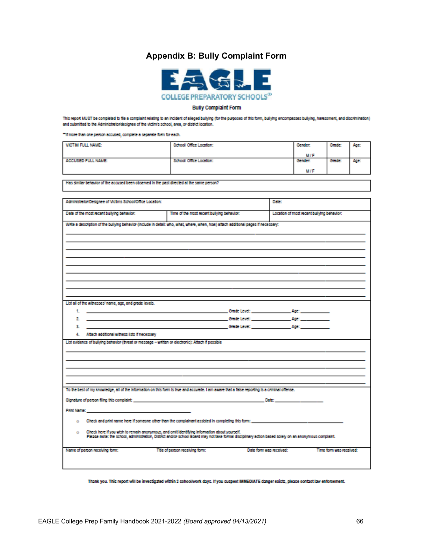#### **Appendix B: Bully Complaint Form**



#### **Bully Complaint Form**

<span id="page-67-0"></span>This report MUST be completed to file a complaint relating to an incident of alleged bullying (for the purposes of this form, bullying encompasses bullying, harassment, and discrimination) and submitted to the Administrator/designee of the victim's school, area, or district location.

"If more than one person accused, complete a separate form for each.

| VICTIM FULL NAME:  | School/ Office Location: | Gerder.    | Grade: | Age: |
|--------------------|--------------------------|------------|--------|------|
|                    |                          | <b>M/F</b> |        |      |
| ACCUSED FULL NAME: | School/ Office Location: | Gerder.    | Grade: | Age: |
|                    |                          | <b>M/F</b> |        |      |

Has similar behavior of the accused been observed in the past directed at the same person?

| Administrator/Designee of Victims School/Office Location:                                                                                                                                                                                                                                       |                                            | Date: |                                            |                         |
|-------------------------------------------------------------------------------------------------------------------------------------------------------------------------------------------------------------------------------------------------------------------------------------------------|--------------------------------------------|-------|--------------------------------------------|-------------------------|
| Date of the most recent bullying behavior:                                                                                                                                                                                                                                                      | Time of the most recent bullying behavior: |       | Location of most recent bullying behavior: |                         |
| Write a description of the bullying behavior (include in detail: who, what, where, when, how) attach additional pages if necessary:                                                                                                                                                             |                                            |       |                                            |                         |
|                                                                                                                                                                                                                                                                                                 |                                            |       |                                            |                         |
|                                                                                                                                                                                                                                                                                                 |                                            |       |                                            |                         |
|                                                                                                                                                                                                                                                                                                 |                                            |       |                                            |                         |
|                                                                                                                                                                                                                                                                                                 |                                            |       |                                            |                         |
|                                                                                                                                                                                                                                                                                                 |                                            |       |                                            |                         |
|                                                                                                                                                                                                                                                                                                 |                                            |       |                                            |                         |
|                                                                                                                                                                                                                                                                                                 |                                            |       |                                            |                         |
| List all of the witnesses' name, age, and grade levels.<br>1. <b>Contract of the Contract of Contract Contract Contract Contract Contract Contract Contract Contract Contract Contract Contract Contract Contract Contract Contract Contract Contract Contract Contract Contract Contract C</b> |                                            |       |                                            |                         |
|                                                                                                                                                                                                                                                                                                 |                                            |       |                                            |                         |
| з.                                                                                                                                                                                                                                                                                              | <b>Chade Level: Age:</b> Age:              |       |                                            |                         |
| 4. Attach additional witness lists if necessary                                                                                                                                                                                                                                                 |                                            |       |                                            |                         |
| List evidence of bullying behavior (threat or message - written or electronic): Attach if possible                                                                                                                                                                                              |                                            |       |                                            |                         |
|                                                                                                                                                                                                                                                                                                 |                                            |       |                                            |                         |
|                                                                                                                                                                                                                                                                                                 |                                            |       |                                            |                         |
|                                                                                                                                                                                                                                                                                                 |                                            |       |                                            |                         |
| To the best of my knowledge, all of the information on this form is true and accurate. I am aware that a false reporting is a criminal offense.                                                                                                                                                 |                                            |       |                                            |                         |
| Signature of person filing this complaint: www.complaint.com with a state of the state of person in the state of                                                                                                                                                                                |                                            |       | Determination and the control of           |                         |
| Print Name: North American Commission and Commission and Commission                                                                                                                                                                                                                             |                                            |       |                                            |                         |
|                                                                                                                                                                                                                                                                                                 |                                            |       |                                            |                         |
| $\circ$ Check and print name here if someone other than the complainant assisted in completing this form:                                                                                                                                                                                       |                                            |       |                                            |                         |
| Check here if you wish to remain anonymous, and omit identifying information about yourself.<br>۰<br>Please note: the school, administration, District and/or school Board may not take formal disciplinary action based solely on an anonymous complaint.                                      |                                            |       |                                            |                         |
| Name of person receiving form:                                                                                                                                                                                                                                                                  | Title of person receiving form:            |       | Date form was received:                    | Time form was received: |
|                                                                                                                                                                                                                                                                                                 |                                            |       |                                            |                         |
|                                                                                                                                                                                                                                                                                                 |                                            |       |                                            |                         |

Thank you. This report will be investigated within 2 sohool/work days. If you suspect IMMEDIATE danger exists, please contact law enforcement.